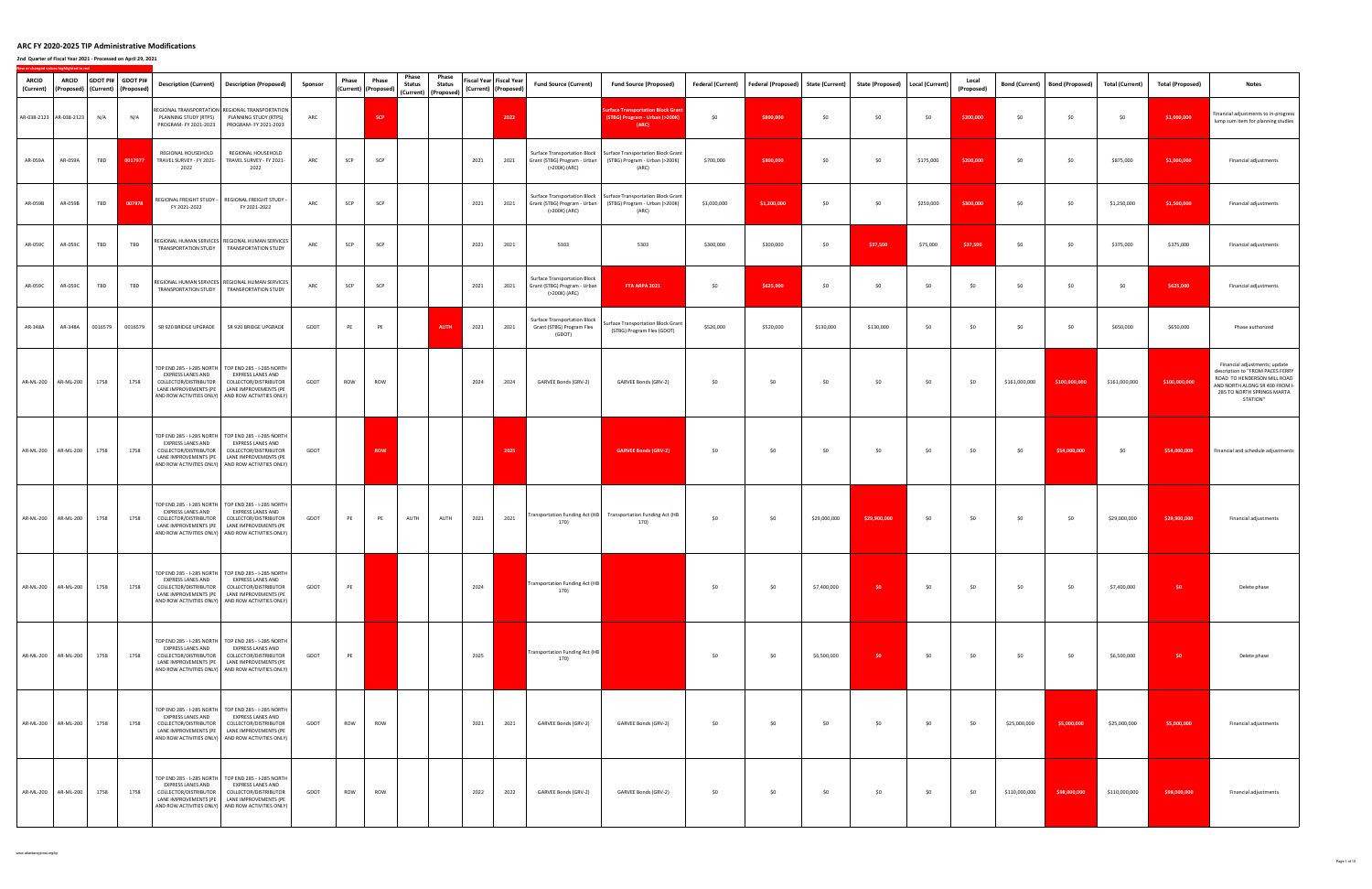| <b>ARCID</b><br>(Current) | <b>ARCID</b>            |         | GDOT PI# GDOT PI#<br>(Proposed)   (Current)   (Proposed) |                                                                                                  | Description (Current)   Description (Proposed)                                                                                                                                                                   | Sponsor | Phase | Phase<br>(Current) (Proposed) | Phase<br><b>Status</b> | Phase<br><b>Status</b><br>(Current) (Proposed) | <b>Fiscal Year Fiscal Year</b><br>(Current) (Proposed) |      | <b>Fund Source (Current)</b>                                                         | <b>Fund Source (Proposed)</b>                                                                                                             | <b>Federal (Current)</b> | <b>Federal (Proposed)</b> | <b>State (Current)</b> | <b>State (Proposed)</b> | Local (Current) | Local<br>(Proposed) | <b>Bond (Current)</b> | <b>Bond (Proposed)</b> | <b>Total (Current)</b> | <b>Total (Proposed)</b> | <b>Notes</b>                                                                                                                                                                 |
|---------------------------|-------------------------|---------|----------------------------------------------------------|--------------------------------------------------------------------------------------------------|------------------------------------------------------------------------------------------------------------------------------------------------------------------------------------------------------------------|---------|-------|-------------------------------|------------------------|------------------------------------------------|--------------------------------------------------------|------|--------------------------------------------------------------------------------------|-------------------------------------------------------------------------------------------------------------------------------------------|--------------------------|---------------------------|------------------------|-------------------------|-----------------|---------------------|-----------------------|------------------------|------------------------|-------------------------|------------------------------------------------------------------------------------------------------------------------------------------------------------------------------|
|                           | AR-038-2123 AR-038-2123 | N/A     | N/A                                                      | PLANNING STUDY (RTPS)<br>PROGRAM- FY 2021-2023                                                   | REGIONAL TRANSPORTATION REGIONAL TRANSPORTATION<br>PLANNING STUDY (RTPS)<br>PROGRAM- FY 2021-2023                                                                                                                | ARC     |       | <b>SCP</b>                    |                        |                                                |                                                        | 2022 |                                                                                      | urface Transportation Block Grant<br>(STBG) Program - Urban (>200K)<br>(ARC)                                                              | \$0                      | \$800,000                 | \$0                    | \$0                     | \$0             | \$200,000           | \$0                   | \$0                    | \$0                    | \$1,000,000             | Financial adjustments to in-progress<br>lump sum item for planning studies                                                                                                   |
| AR-059A                   | AR-059A                 | TBD     | 0017977                                                  | REGIONAL HOUSEHOLD<br>TRAVEL SURVEY - FY 2021-<br>2022                                           | REGIONAL HOUSEHOLD<br>TRAVEL SURVEY - FY 2021-<br>2022                                                                                                                                                           | ARC     | SCP   | SCP                           |                        |                                                | 2021                                                   | 2021 | (>200K) (ARC)                                                                        | Surface Transportation Block   Surface Transportation Block Grant<br>Grant (STBG) Program - Urban (STBG) Program - Urban (>200K)<br>(ARC) | \$700,000                | \$800,000                 | \$0                    | \$0                     | \$175,000       | \$200,000           | \$0                   | \$0                    | \$875,000              | \$1,000,000             | Financial adjustments                                                                                                                                                        |
| AR-059B                   | AR-059B                 | TBD     | 007978                                                   | REGIONAL FREIGHT STUDY -<br>FY 2021-2022                                                         | REGIONAL FREIGHT STUDY -<br>FY 2021-2022                                                                                                                                                                         | ARC     | SCP   | SCP                           |                        |                                                | 2021                                                   | 2021 | (>200K) (ARC)                                                                        | Surface Transportation Block   Surface Transportation Block Grant<br>Grant (STBG) Program - Urban (STBG) Program - Urban (>200K)<br>(ARC) | \$1,000,000              | \$1,200,000               | \$0                    | \$0                     | \$250,000       | \$300,000           | \$0                   | \$0                    | \$1,250,000            | \$1,500,000             | Financial adjustments                                                                                                                                                        |
| AR-059C                   | AR-059C                 | TBD     | TBD                                                      |                                                                                                  | REGIONAL HUMAN SERVICES   REGIONAL HUMAN SERVICES<br>TRANSPORTATION STUDY   TRANSPORTATION STUDY                                                                                                                 | ARC     | SCP   | SCP                           |                        |                                                | 2021                                                   | 2021 | 5303                                                                                 | 5303                                                                                                                                      | \$300,000                | \$300,000                 | \$0                    | \$37,500                | \$75,000        | \$37,500            | \$0                   | \$0                    | \$375,000              | \$375,000               | Financial adjustments                                                                                                                                                        |
| AR-059C                   | AR-059C                 | TBD     | TBD                                                      |                                                                                                  | REGIONAL HUMAN SERVICES   REGIONAL HUMAN SERVICES<br>TRANSPORTATION STUDY   TRANSPORTATION STUDY                                                                                                                 | ARC     | SCP   | SCP                           |                        |                                                | 2021                                                   | 2021 | <b>Surface Transportation Block</b><br>Grant (STBG) Program - Urban<br>(>200K) (ARC) | FTA ARPA 2021                                                                                                                             | \$0                      | \$625,000                 | \$0                    | \$0                     | \$0             | \$0                 | \$0                   | \$0                    | \$0                    | \$625,000               | Financial adjustments                                                                                                                                                        |
| AR-348A                   | AR-348A                 | 0016579 | 0016579                                                  | SR 920 BRIDGE UPGRADE                                                                            | SR 920 BRIDGE UPGRADE                                                                                                                                                                                            | GDOT    | PE    | PE                            |                        | <b>AUTH</b>                                    | 2021                                                   | 2021 | Surface Transportation Block<br>Grant (STBG) Program Flex<br>(GDOT)                  | Surface Transportation Block Grant<br>(STBG) Program Flex (GDOT)                                                                          | \$520,000                | \$520,000                 | \$130,000              | \$130,000               | \$0             | \$0                 | \$0                   | \$0                    | \$650,000              | \$650,000               | Phase authorized                                                                                                                                                             |
|                           | AR-ML-200 AR-ML-200     | 1758    | 1758                                                     | EXPRESS LANES AND<br>COLLECTOR/DISTRIBUTOR<br>LANE IMPROVEMENTS (PE                              | TOP END 285 - I-285 NORTH TOP END 285 - I-285 NORTH<br>EXPRESS LANES AND<br>COLLECTOR/DISTRIBUTOR<br>LANE IMPROVEMENTS (PE<br>AND ROW ACTIVITIES ONLY) AND ROW ACTIVITIES ONLY)                                  | GDOT    | ROW   | ROW                           |                        |                                                | 2024                                                   | 2024 | GARVEE Bonds (GRV-2)                                                                 | GARVEE Bonds (GRV-2)                                                                                                                      | \$0                      | \$0                       | \$0                    | \$0                     | \$0             | \$0                 | \$161,000,000         | \$100,000,000          | \$161,000,000          | \$100,000,000           | Financial adjustments; update<br>description to "FROM PACES FERRY<br>ROAD TO HENDERSON MILL ROAD<br>AND NORTH ALONG SR 400 FROM I-<br>285 TO NORTH SPRINGS MARTA<br>STATION" |
|                           | AR-ML-200 AR-ML-200     | 1758    | 1758                                                     | <b>EXPRESS LANES AND</b><br>COLLECTOR/DISTRIBUTOR<br>LANE IMPROVEMENTS (PE                       | TOP END 285 - I-285 NORTH   TOP END 285 - I-285 NORTH<br>EXPRESS LANES AND<br>COLLECTOR/DISTRIBUTOR<br>LANE IMPROVEMENTS (PE<br>AND ROW ACTIVITIES ONLY) AND ROW ACTIVITIES ONLY)                                | GDOT    |       | <b>ROW</b>                    |                        |                                                |                                                        | 2025 |                                                                                      | <b>GARVEE Bonds (GRV-2)</b>                                                                                                               | \$0                      | \$0                       | \$0                    | \$0                     | \$0             | \$0                 | \$0                   | \$54,000,000           | \$0                    | \$54,000,000            | Financial and schedule adjustments                                                                                                                                           |
|                           | AR-ML-200 AR-ML-200     | 1758    | 1758                                                     | TOP END 285 - I-285 NORTH<br>EXPRESS LANES AND<br>COLLECTOR/DISTRIBUTOR<br>LANE IMPROVEMENTS (PE | TOP END 285 - I-285 NORTH<br>EXPRESS LANES AND<br>COLLECTOR/DISTRIBUTOR<br>LANE IMPROVEMENTS (PE<br>AND ROW ACTIVITIES ONLY) AND ROW ACTIVITIES ONLY)                                                            | GDOT    | PE    | PE                            | AUTH                   | AUTH                                           | 2021                                                   | 2021 | 170)                                                                                 | Transportation Funding Act (HB Transportation Funding Act (HB<br>170)                                                                     | \$0                      | \$0                       | \$29,000,000           | \$29,900,000            | \$0             | \$0                 | \$0                   | \$0                    | \$29,000,000           | \$29,900,000            | Financial adjustments                                                                                                                                                        |
|                           | AR-ML-200 AR-ML-200     | 1758    | 1758                                                     | EXPRESS LANES AND<br>COLLECTOR/DISTRIBUTOR                                                       | TOP END 285 - I-285 NORTH   TOP END 285 - I-285 NORTH<br>EXPRESS LANES AND<br>COLLECTOR/DISTRIBUTOR<br>LANE IMPROVEMENTS (PE   LANE IMPROVEMENTS (PE<br>AND ROW ACTIVITIES ONLY) AND ROW ACTIVITIES ONLY)        | GDOT    | PE    |                               |                        |                                                | 2024                                                   |      | Transportation Funding Act (HB<br>170)                                               |                                                                                                                                           | \$0                      | \$0                       | \$7,400,000            | \$0                     | \$0             | \$0                 | \$0                   | \$0                    | \$7,400,000            | $50 -$                  | Delete phase                                                                                                                                                                 |
|                           | AR-ML-200 AR-ML-200     | 1758    | 1758                                                     | EXPRESS LANES AND<br>COLLECTOR/DISTRIBUTOR                                                       | TOP END 285 - I-285 NORTH   TOP END 285 - I-285 NORTH<br>EXPRESS LANES AND<br>COLLECTOR/DISTRIBUTOR<br>LANE IMPROVEMENTS (PE   LANE IMPROVEMENTS (PE<br>AND ROW ACTIVITIES ONLY) AND ROW ACTIVITIES ONLY)        | GDOT    | PE    |                               |                        |                                                | 2025                                                   |      | Transportation Funding Act (HB<br>170)                                               |                                                                                                                                           | \$0                      | \$0                       | \$6,500,000            | \$0                     | \$0             | \$0                 | \$0                   | \$0                    | \$6,500,000            | \$0                     | Delete phase                                                                                                                                                                 |
|                           | AR-ML-200 AR-ML-200     | 1758    | 1758                                                     | <b>EXPRESS LANES AND</b><br>COLLECTOR/DISTRIBUTOR                                                | TOP END 285 - I-285 NORTH   TOP END 285 - I-285 NORTH<br>EXPRESS LANES AND<br>COLLECTOR/DISTRIBUTOR<br>LANE IMPROVEMENTS (PE   LANE IMPROVEMENTS (PE<br>AND ROW ACTIVITIES ONLY) AND ROW ACTIVITIES ONLY)        | GDOT    | ROW   | ROW                           |                        |                                                | 2021                                                   | 2021 | GARVEE Bonds (GRV-2)                                                                 | GARVEE Bonds (GRV-2)                                                                                                                      | \$0                      | \$0                       | \$0                    | \$0                     | \$0             | \$0                 | \$25,000,000          | \$5,000,000            | \$25,000,000           | \$5,000,000             | Financial adjustments                                                                                                                                                        |
|                           | AR-ML-200 AR-ML-200     | 1758    | 1758                                                     | EXPRESS LANES AND<br>COLLECTOR/DISTRIBUTOR                                                       | TOP END 285 - I-285 NORTH   TOP END 285 - I-285 NORTH<br><b>EXPRESS LANES AND</b><br>COLLECTOR/DISTRIBUTOR<br>LANE IMPROVEMENTS (PE   LANE IMPROVEMENTS (PE<br>AND ROW ACTIVITIES ONLY) AND ROW ACTIVITIES ONLY) | GDOT    | ROW   | <b>ROW</b>                    |                        |                                                | 2022                                                   | 2022 | GARVEE Bonds (GRV-2)                                                                 | GARVEE Bonds (GRV-2)                                                                                                                      | \$0                      | \$0                       | \$0                    | \$0                     | \$0             | \$0                 | \$110,000,000         | \$98,000,000           | \$110,000,000          | \$98,000,000            | Financial adjustments                                                                                                                                                        |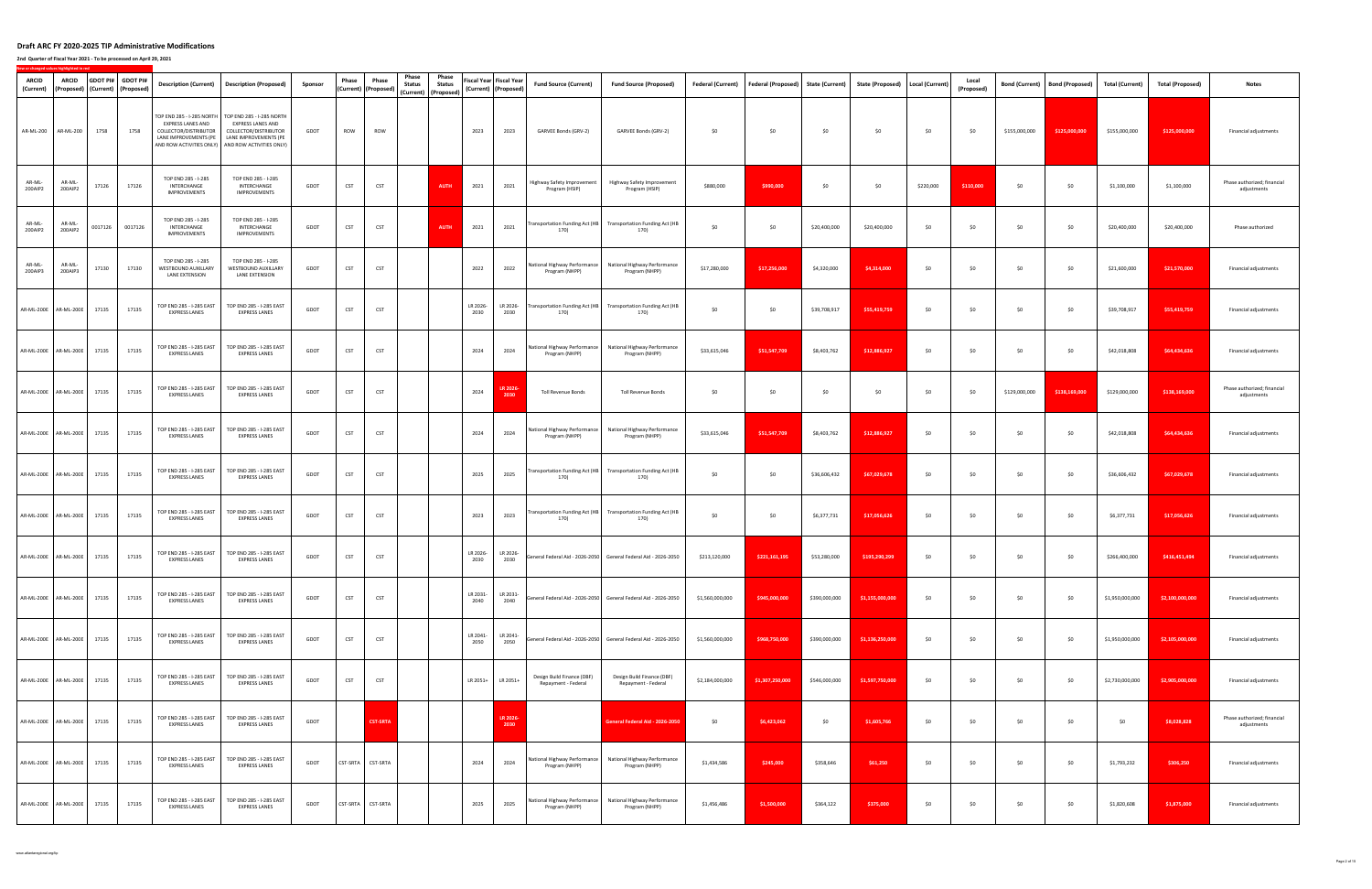**2nd Quarter of Fiscal Year 2021 ‐ To be processed on April 29, 2021**

| <b>ARCID</b><br>(Current) | ARCID                       |         | GDOT PI# GDOT PI#<br>(Proposed) (Current) (Proposed) | <b>Description (Current)</b>                                               | <b>Description (Proposed)</b>                                                                                                                                                            | Sponsor | Phase      | Phase<br>(Current) (Proposed) | Phase<br><b>Status</b> | Phase<br><b>Status</b><br>(Current) (Proposed) |                  | Fiscal Year Fiscal Year<br>(Current) (Proposed) | <b>Fund Source (Current)</b>                      | <b>Fund Source (Proposed)</b>                                         | Federal (Current) | Federal (Proposed) State (Current) |               | <b>State (Proposed)</b> | Local (Current) | Local<br>(Proposed) | <b>Bond (Current)</b> | <b>Bond (Proposed)</b> | <b>Total (Current)</b> | <b>Total (Proposed)</b> | <b>Notes</b>                               |
|---------------------------|-----------------------------|---------|------------------------------------------------------|----------------------------------------------------------------------------|------------------------------------------------------------------------------------------------------------------------------------------------------------------------------------------|---------|------------|-------------------------------|------------------------|------------------------------------------------|------------------|-------------------------------------------------|---------------------------------------------------|-----------------------------------------------------------------------|-------------------|------------------------------------|---------------|-------------------------|-----------------|---------------------|-----------------------|------------------------|------------------------|-------------------------|--------------------------------------------|
|                           | AR-ML-200 AR-ML-200         | 1758    | 1758                                                 | <b>EXPRESS LANES AND</b><br>COLLECTOR/DISTRIBUTOR<br>LANE IMPROVEMENTS (PE | TOP END 285 - I-285 NORTH   TOP END 285 - I-285 NORTH<br><b>EXPRESS LANES AND</b><br>COLLECTOR/DISTRIBUTOR<br>LANE IMPROVEMENTS (PE<br>AND ROW ACTIVITIES ONLY) AND ROW ACTIVITIES ONLY) | GDOT    | ROW        | ROW                           |                        |                                                | 2023             | 2023                                            | GARVEE Bonds (GRV-2)                              | GARVEE Bonds (GRV-2)                                                  | \$0               | \$0                                | \$0           | \$0                     | \$0             | \$0                 | \$155,000,000         | \$125,000,000          | \$155,000,000          | \$125,000,000           | Financial adjustments                      |
| AR-ML-<br>200AIP2         | AR-ML-<br>200AIP2           | 17126   | 17126                                                | TOP END 285 - I-285<br>INTERCHANGE<br><b>IMPROVEMENTS</b>                  | TOP END 285 - I-285<br>INTERCHANGE<br><b>IMPROVEMENTS</b>                                                                                                                                | GDOT    | CST        | <b>CST</b>                    |                        | AUTH                                           | 2021             | 2021                                            | Highway Safety Improvement<br>Program (HSIP)      | Highway Safety Improvement<br>Program (HSIP)                          | \$880,000         | \$990,000                          | \$0           | \$0                     | \$220,000       | \$110,000           | \$0                   | \$0                    | \$1,100,000            | \$1,100,000             | Phase authorized; financial<br>adjustments |
| AR-ML-<br>200AIP2         | AR-ML-<br>200AIP2           | 0017126 | 0017126                                              | TOP END 285 - I-285<br>INTERCHANGE<br><b>IMPROVEMENTS</b>                  | TOP END 285 - I-285<br>INTERCHANGE<br><b>IMPROVEMENTS</b>                                                                                                                                | GDOT    | <b>CST</b> | CST                           |                        | AUTH                                           | 2021             | 2021                                            | 170)                                              | Transportation Funding Act (HB Transportation Funding Act (HB<br>170) | \$0               | \$0                                | \$20,400,000  | \$20,400,000            | \$0             | \$0                 | \$0                   | \$0                    | \$20,400,000           | \$20,400,000            | Phase authorized                           |
| AR-ML-<br>200AIP3         | AR-ML-<br>200AIP3           | 17130   | 17130                                                | TOP END 285 - I-285<br>WESTBOUND AUXILLARY<br>LANE EXTENSION               | TOP END 285 - I-285<br>WESTBOUND AUXILLARY<br>LANE EXTENSION                                                                                                                             | GDOT    | <b>CST</b> | CST                           |                        |                                                | 2022             | 2022                                            | National Highway Performance<br>Program (NHPP)    | National Highway Performance<br>Program (NHPP)                        | \$17,280,000      | \$17,256,000                       | \$4,320,000   | \$4,314,000             | \$0             | \$0                 | \$0                   | \$0                    | \$21,600,000           | \$21,570,000            | Financial adjustments                      |
|                           | AR-ML-200E AR-ML-200E       | 17135   | 17135                                                | TOP END 285 - I-285 EAST<br><b>EXPRESS LANES</b>                           | TOP END 285 - I-285 EAST<br><b>EXPRESS LANES</b>                                                                                                                                         | GDOT    | <b>CST</b> | CST                           |                        |                                                | LR 2026-<br>2030 | LR 2026-<br>2030                                | Transportation Funding Act (HB<br>170)            | <b>Transportation Funding Act (HB</b><br>170)                         | \$0               | \$0                                | \$39,708,917  | \$55,419,759            | \$0             | \$0                 | \$0                   | \$0                    | \$39,708,917           | \$55,419,759            | Financial adjustments                      |
|                           | AR-ML-200E AR-ML-200E       | 17135   | 17135                                                | TOP END 285 - I-285 EAST<br><b>EXPRESS LANES</b>                           | TOP END 285 - I-285 EAST<br><b>EXPRESS LANES</b>                                                                                                                                         | GDOT    | <b>CST</b> | <b>CST</b>                    |                        |                                                | 2024             | 2024                                            | National Highway Performance<br>Program (NHPP)    | National Highway Performance<br>Program (NHPP)                        | \$33,615,046      | \$51,547,709                       | \$8,403,762   | \$12,886,927            | \$0             | \$0                 | \$0                   | \$0                    | \$42,018,808           | \$64,434,636            | Financial adjustments                      |
|                           | AR-ML-200E AR-ML-200E       | 17135   | 17135                                                | TOP END 285 - I-285 EAST<br><b>EXPRESS LANES</b>                           | TOP END 285 - I-285 EAST<br><b>EXPRESS LANES</b>                                                                                                                                         | GDOT    | CST        | CST                           |                        |                                                | 2024             | LR 202<br>2030                                  | Toll Revenue Bonds                                | <b>Toll Revenue Bonds</b>                                             | \$0               | \$0                                | \$0           | \$0                     | \$0             | \$0                 | \$129,000,000         | \$138,169,000          | \$129,000,000          | \$138,169,000           | Phase authorized; financial<br>adjustments |
|                           | AR-ML-200E AR-ML-200E       | 17135   | 17135                                                | TOP END 285 - I-285 EAST<br><b>EXPRESS LANES</b>                           | TOP END 285 - I-285 EAST<br><b>EXPRESS LANES</b>                                                                                                                                         | GDOT    | <b>CST</b> | <b>CST</b>                    |                        |                                                | 2024             | 2024                                            | National Highway Performance<br>Program (NHPP)    | National Highway Performance<br>Program (NHPP)                        | \$33,615,046      | \$51,547,709                       | \$8,403,762   | \$12,886,927            | \$0             | \$0                 | \$0                   | \$0                    | \$42,018,808           | \$64,434,636            | Financial adjustments                      |
|                           | AR-ML-200E AR-ML-200E       | 17135   | 17135                                                | TOP END 285 - I-285 EAST<br><b>EXPRESS LANES</b>                           | TOP END 285 - I-285 EAST<br><b>EXPRESS LANES</b>                                                                                                                                         | GDOT    | CST        | <b>CST</b>                    |                        |                                                | 2025             | 2025                                            | 170)                                              | Transportation Funding Act (HB Transportation Funding Act (HB<br>170) | \$0               | \$0                                | \$36,606,432  | \$67,029,678            | \$0             | \$0                 | \$0                   | \$0                    | \$36,606,432           | \$67,029,678            | Financial adjustments                      |
|                           | AR-ML-200E AR-ML-200E 17135 |         | 17135                                                | TOP END 285 - I-285 EAST<br><b>EXPRESS LANES</b>                           | TOP END 285 - I-285 EAST<br><b>EXPRESS LANES</b>                                                                                                                                         | GDOT    | <b>CST</b> | CST                           |                        |                                                | 2023             | 2023                                            | 170)                                              | Transportation Funding Act (HB Transportation Funding Act (HB<br>170) | \$0               | \$0                                | \$6,377,731   | \$17,056,626            | \$0             | \$0                 | \$0                   | \$0                    | \$6,377,731            | \$17,056,626            | Financial adjustments                      |
|                           | AR-ML-200E AR-ML-200E 17135 |         | 17135                                                | TOP END 285 - I-285 EAST<br><b>EXPRESS LANES</b>                           | TOP END 285 - I-285 EAST<br><b>EXPRESS LANES</b>                                                                                                                                         | GDOT    | <b>CST</b> | <b>CST</b>                    |                        |                                                | LR 2026-<br>2030 | LR 2026-<br>2030                                |                                                   | General Federal Aid - 2026-2050 General Federal Aid - 2026-2050       | \$213,120,000     | \$221,161,195                      | \$53,280,000  | \$195,290,299           | \$0             | \$0                 | \$0                   | \$0                    | \$266,400,000          | \$416,451,494           | Financial adjustments                      |
|                           | AR-ML-200E AR-ML-200E       | 17135   | 17135                                                | TOP END 285 - I-285 EAST<br><b>EXPRESS LANES</b>                           | TOP END 285 - I-285 EAST<br><b>EXPRESS LANES</b>                                                                                                                                         | GDOT    | <b>CST</b> | <b>CST</b>                    |                        |                                                | LR 2031-<br>2040 | LR 2031-<br>2040                                |                                                   | General Federal Aid - 2026-2050 General Federal Aid - 2026-2050       | \$1,560,000,000   | \$945,000,000                      | \$390,000,000 | \$1,155,000,000         | \$0             | \$0                 | \$0                   | \$0                    | \$1,950,000,000        | \$2,100,000,000         | Financial adjustments                      |
|                           | AR-ML-200E AR-ML-200E       | 17135   | 17135                                                | TOP END 285 - I-285 EAST<br><b>EXPRESS LANES</b>                           | TOP END 285 - I-285 EAST<br><b>EXPRESS LANES</b>                                                                                                                                         | GDOT    | <b>CST</b> | <b>CST</b>                    |                        |                                                | LR 2041-<br>2050 | LR 2041-<br>2050                                |                                                   | General Federal Aid - 2026-2050 General Federal Aid - 2026-2050       | \$1,560,000,000   | \$968,750,000                      | \$390,000,000 | \$1,136,250,000         | \$0             | \$0                 | \$0                   | \$0                    | \$1,950,000,000        | \$2,105,000,000         | Financial adjustments                      |
|                           | AR-ML-200E AR-ML-200E       | 17135   | 17135                                                | TOP END 285 - I-285 EAST<br><b>EXPRESS LANES</b>                           | TOP END 285 - I-285 EAST<br><b>EXPRESS LANES</b>                                                                                                                                         | GDOT    | <b>CST</b> | <b>CST</b>                    |                        |                                                | LR 2051+         | LR 2051+                                        | Design Build Finance (DBF)<br>Repayment - Federal | Design Build Finance (DBF)<br>Repayment - Federal                     | \$2,184,000,000   | \$1,307,250,000                    | \$546,000,000 | \$1,597,750,000         | \$0             | \$0                 | \$0                   | \$0                    | \$2,730,000,000        | \$2,905,000,000         | Financial adjustments                      |
|                           | AR-ML-200E AR-ML-200E       | 17135   | 17135                                                | TOP END 285 - I-285 EAST<br><b>EXPRESS LANES</b>                           | TOP END 285 - I-285 EAST<br><b>EXPRESS LANES</b>                                                                                                                                         | GDOT    |            | <b>CST-SRTA</b>               |                        |                                                |                  | <b>LR 2026</b><br>2030                          |                                                   | General Federal Aid - 2026-2050                                       | \$0               | \$6,423,062                        | \$0           | \$1,605,766             | \$0             | \$0                 | \$0                   | \$0                    | \$0                    | \$8,028,828             | Phase authorized; financial<br>adjustments |
|                           | AR-ML-200E AR-ML-200E       | 17135   | 17135                                                | TOP END 285 - I-285 EAST<br><b>EXPRESS LANES</b>                           | TOP END 285 - I-285 EAST<br><b>EXPRESS LANES</b>                                                                                                                                         | GDOT    |            | CST-SRTA CST-SRTA             |                        |                                                | 2024             | 2024                                            | National Highway Performance<br>Program (NHPP)    | National Highway Performance<br>Program (NHPP)                        | \$1,434,586       | \$245,000                          | \$358,646     | \$61,250                | \$0             | \$0                 | \$0                   | \$0                    | \$1,793,232            | \$306,250               | Financial adjustments                      |
|                           | AR-ML-200E AR-ML-200E       | 17135   | 17135                                                | TOP END 285 - I-285 EAST<br><b>EXPRESS LANES</b>                           | TOP END 285 - I-285 EAST<br><b>EXPRESS LANES</b>                                                                                                                                         | GDOT    |            | CST-SRTA CST-SRTA             |                        |                                                | 2025             | 2025                                            | National Highway Performance<br>Program (NHPP)    | National Highway Performance<br>Program (NHPP)                        | \$1,456,486       | \$1,500,000                        | \$364,122     | \$375,000               | \$0             | \$0                 | \$0                   | \$0                    | \$1,820,608            | \$1,875,000             | Financial adjustments                      |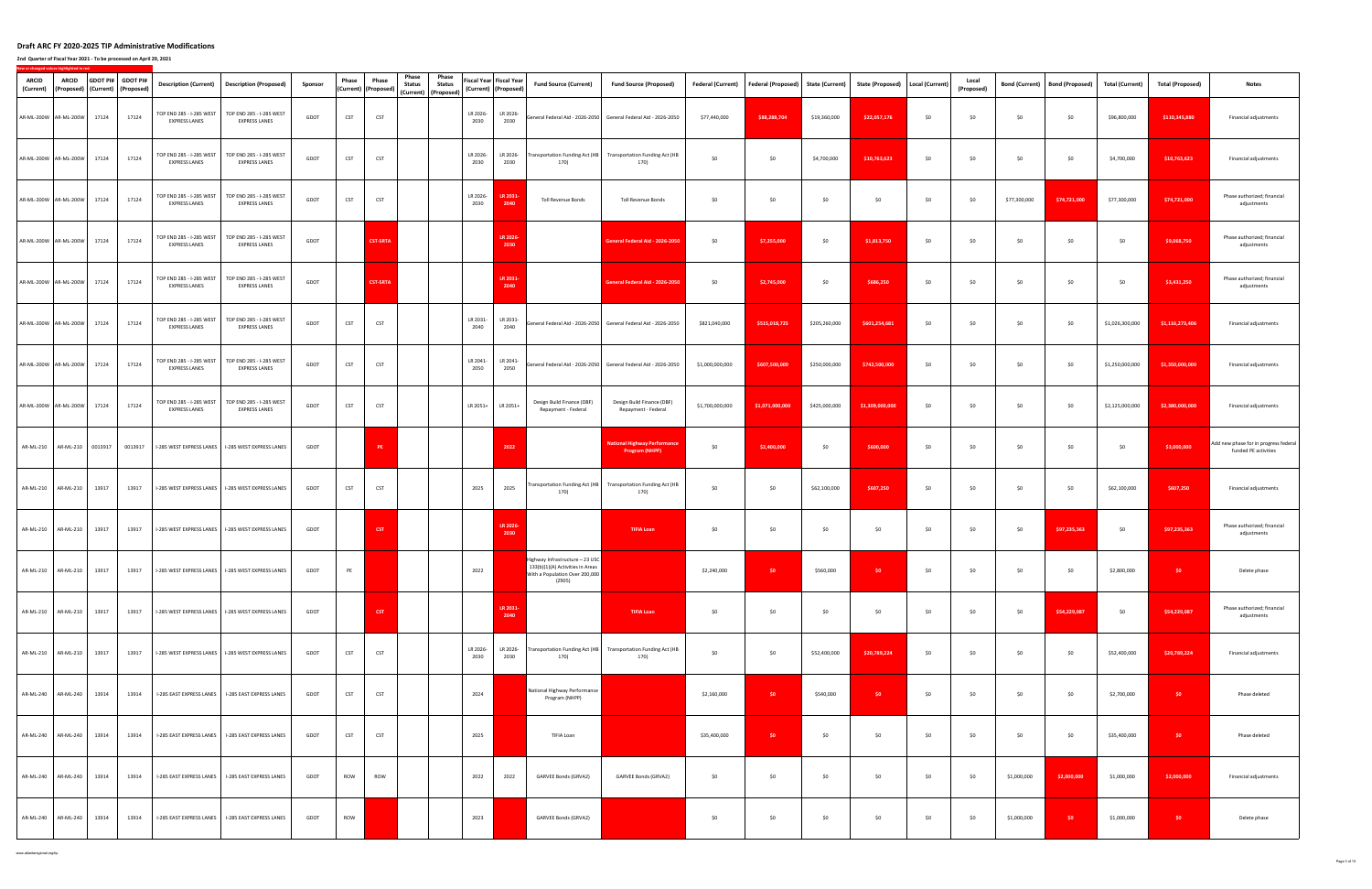**2nd Quarter of Fiscal Year 2021 ‐ To be processed on April 29, 2021**

| <b>ARCID</b><br>(Current) | <b>ARCID</b><br>(Proposed) (Current) (Proposed) |       | GDOT PI# GDOT PI# | <b>Description (Current)</b>                     | <b>Description (Proposed)</b>                                                                      | Sponsor | Phase      | Phase<br>(Current) (Proposed) | Phase<br><b>Status</b> | Phase<br><b>Status</b><br>(Current) (Proposed) | Fiscal Year Fiscal Year<br>(Current) (Proposed) |                        | <b>Fund Source (Current)</b>                                                                                    | <b>Fund Source (Proposed)</b>                                         | Federal (Current) | <b>Federal (Proposed)</b> | <b>State (Current)</b> | State (Proposed)   Local (Current) |     | Local<br>(Proposed) | <b>Bond (Current)</b> | <b>Bond (Proposed)</b> | <b>Total (Current)</b> | <b>Total (Proposed)</b> | <b>Notes</b>                                                  |
|---------------------------|-------------------------------------------------|-------|-------------------|--------------------------------------------------|----------------------------------------------------------------------------------------------------|---------|------------|-------------------------------|------------------------|------------------------------------------------|-------------------------------------------------|------------------------|-----------------------------------------------------------------------------------------------------------------|-----------------------------------------------------------------------|-------------------|---------------------------|------------------------|------------------------------------|-----|---------------------|-----------------------|------------------------|------------------------|-------------------------|---------------------------------------------------------------|
|                           | AR-ML-200W AR-ML-200W                           | 17124 | 17124             | TOP END 285 - I-285 WEST<br><b>EXPRESS LANES</b> | TOP END 285 - I-285 WEST<br><b>EXPRESS LANES</b>                                                   | GDOT    | <b>CST</b> | <b>CST</b>                    |                        |                                                | LR 2026-<br>2030                                | LR 2026-<br>2030       |                                                                                                                 | General Federal Aid - 2026-2050 General Federal Aid - 2026-2050       | \$77,440,000      | \$88,288,704              | \$19,360,000           | \$22,057,176                       | \$0 | \$0                 | \$0                   | \$0                    | \$96,800,000           | \$110,345,880           | Financial adjustments                                         |
|                           | AR-ML-200W AR-ML-200W 17124                     |       | 17124             | TOP END 285 - I-285 WEST<br><b>EXPRESS LANES</b> | TOP END 285 - I-285 WEST<br><b>EXPRESS LANES</b>                                                   | GDOT    | <b>CST</b> | CST                           |                        |                                                | LR 2026-<br>2030                                | LR 2026-<br>2030       | 170)                                                                                                            | Transportation Funding Act (HB Transportation Funding Act (HB<br>170) | \$0               | \$0                       | \$4,700,000            | \$10,763,623                       | \$0 | \$0                 | \$0                   | \$0                    | \$4,700,000            | \$10,763,623            | Financial adjustments                                         |
|                           | AR-ML-200W AR-ML-200W                           | 17124 | 17124             | TOP END 285 - I-285 WEST<br><b>EXPRESS LANES</b> | TOP END 285 - I-285 WEST<br><b>EXPRESS LANES</b>                                                   | GDOT    | CST        | <b>CST</b>                    |                        |                                                | LR 2026-<br>2030                                | <b>LR 203</b><br>2040  | Toll Revenue Bonds                                                                                              | <b>Toll Revenue Bonds</b>                                             | \$0               | \$0                       | \$0                    | \$0                                | \$0 | \$0                 | \$77,300,000          | \$74,721,000           | \$77,300,000           | \$74,721,000            | Phase authorized; financial<br>adjustments                    |
|                           | AR-ML-200W AR-ML-200W                           | 17124 | 17124             | TOP END 285 - I-285 WEST<br><b>EXPRESS LANES</b> | TOP END 285 - I-285 WEST<br><b>EXPRESS LANES</b>                                                   | GDOT    |            | <b>CST-SRTA</b>               |                        |                                                |                                                 | LR 2026<br>2030        |                                                                                                                 | General Federal Aid - 2026-2050                                       | \$0               | \$7,255,000               | \$0                    | \$1,813,750                        | \$0 | \$0                 | \$0                   | \$0                    | \$0                    | \$9,068,750             | Phase authorized; financial<br>adjustments                    |
|                           | AR-ML-200W AR-ML-200W                           | 17124 | 17124             | TOP END 285 - I-285 WEST<br><b>EXPRESS LANES</b> | TOP END 285 - I-285 WEST<br><b>EXPRESS LANES</b>                                                   | GDOT    |            | <b>CST-SRTA</b>               |                        |                                                |                                                 | <b>LR 2031</b><br>2040 |                                                                                                                 | eneral Federal Aid - 2026-2050                                        | \$0               | \$2,745,000               | \$0                    | \$686,250                          | \$0 | \$0                 | \$0                   | \$0                    | \$0                    | \$3,431,250             | Phase authorized; financial<br>adjustments                    |
|                           | AR-ML-200W AR-ML-200W                           | 17124 | 17124             | TOP END 285 - I-285 WEST<br><b>EXPRESS LANES</b> | TOP END 285 - I-285 WEST<br><b>EXPRESS LANES</b>                                                   | GDOT    | <b>CST</b> | CST                           |                        |                                                | LR 2031-<br>2040                                | LR 2031-<br>2040       |                                                                                                                 | General Federal Aid - 2026-2050 General Federal Aid - 2026-2050       | \$821,040,000     | \$515,018,725             | \$205,260,000          | \$601,254,681                      | \$0 | \$0                 | \$0                   | \$0                    | \$1,026,300,000        | \$1,116,273,406         | Financial adjustments                                         |
|                           | AR-ML-200W AR-ML-200W                           | 17124 | 17124             | TOP END 285 - I-285 WEST<br><b>EXPRESS LANES</b> | TOP END 285 - I-285 WEST<br><b>EXPRESS LANES</b>                                                   | GDOT    | <b>CST</b> | CST                           |                        |                                                | LR 2041-<br>2050                                | LR 2041-<br>2050       |                                                                                                                 | General Federal Aid - 2026-2050 General Federal Aid - 2026-2050       | \$1,000,000,000   | \$607,500,000             | \$250,000,000          | \$742,500,000                      | \$0 | \$0                 | \$0                   | \$0                    | \$1,250,000,000        | \$1,350,000,000         | Financial adjustments                                         |
|                           | AR-ML-200W AR-ML-200W                           | 17124 | 17124             | TOP END 285 - I-285 WEST<br><b>EXPRESS LANES</b> | TOP END 285 - I-285 WEST<br><b>EXPRESS LANES</b>                                                   | GDOT    | <b>CST</b> | <b>CST</b>                    |                        |                                                | LR 2051+                                        | LR 2051+               | Design Build Finance (DBF)<br>Repayment - Federal                                                               | Design Build Finance (DBF)<br>Repayment - Federal                     | \$1,700,000,000   | \$1,071,000,000           | \$425,000,000          | \$1,309,000,000                    | \$0 | \$0                 | \$0                   | \$0                    | \$2,125,000,000        | \$2,380,000,000         | Financial adjustments                                         |
|                           | AR-ML-210   AR-ML-210   0013917                 |       | 0013917           |                                                  | I-285 WEST EXPRESS LANES   I-285 WEST EXPRESS LANES                                                | GDOT    |            | PE                            |                        |                                                |                                                 | 2022                   |                                                                                                                 | <b>National Highway Performance</b><br><b>Program (NHPP)</b>          | \$0               | \$2,400,000               | \$0                    | \$600,000                          | \$0 | \$0                 | \$0                   | \$0                    | \$0                    | \$3,000,000             | Add new phase for in progress federal<br>funded PE activities |
|                           | AR-ML-210 AR-ML-210                             | 13917 | 13917             |                                                  | I-285 WEST EXPRESS LANES   I-285 WEST EXPRESS LANES                                                | GDOT    | <b>CST</b> | <b>CST</b>                    |                        |                                                | 2025                                            | 2025                   | 170)                                                                                                            | Transportation Funding Act (HB Transportation Funding Act (HB<br>170) | \$0               | \$0                       | \$62,100,000           | \$607,250                          | \$0 | \$0                 | \$0                   | \$0                    | \$62,100,000           | \$607,250               | Financial adjustments                                         |
|                           | AR-ML-210 AR-ML-210                             | 13917 | 13917             |                                                  | I-285 WEST EXPRESS LANES   I-285 WEST EXPRESS LANES                                                | GDOT    |            | <b>CST</b>                    |                        |                                                |                                                 | LR 2026-<br>2030       |                                                                                                                 | <b>TIFIA Loan</b>                                                     | \$0               | \$0                       | \$0                    | \$0                                | \$0 | \$0                 | \$0                   | \$97,235,363           | \$0                    | \$97,235,363            | Phase authorized; financial<br>adjustments                    |
|                           |                                                 |       |                   |                                                  | AR-ML-210   AR-ML-210   13917   13917   I-285 WEST EXPRESS LANES   I-285 WEST EXPRESS LANES   GDOT |         | PE         |                               |                        |                                                | 2022                                            |                        | Highway Infrastructure - 23 USC<br>133(b)(1)(A) Activities in Areas<br>With a Population Over 200,000<br>(Z905) |                                                                       | \$2,240,000       | so a                      | \$560,000              | <b>SO</b>                          | \$0 | 50                  | \$0                   | \$0                    | \$2,800,000            | <b>SO</b>               | Delete phase                                                  |
|                           | AR-ML-210 AR-ML-210                             | 13917 | 13917             |                                                  | I-285 WEST EXPRESS LANES   I-285 WEST EXPRESS LANES                                                | GDOT    |            | <b>CST</b>                    |                        |                                                |                                                 | <b>LR 2031</b><br>2040 |                                                                                                                 | <b>TIFIA Loan</b>                                                     | \$0               | \$0                       | \$0                    | \$0                                | \$0 | \$0                 | \$0                   | \$54,229,087           | \$0                    | \$54,229,087            | Phase authorized; financial<br>adjustments                    |
|                           | AR-ML-210 AR-ML-210                             | 13917 | 13917             |                                                  | I-285 WEST EXPRESS LANES   I-285 WEST EXPRESS LANES                                                | GDOT    | <b>CST</b> | <b>CST</b>                    |                        |                                                | LR 2026-<br>2030                                | LR 2026-<br>2030       | 170)                                                                                                            | Transportation Funding Act (HB Transportation Funding Act (HB<br>170) | \$0               | \$0                       | \$52,400,000           | \$20,789,224                       | \$0 | \$0                 | \$0                   | \$0                    | \$52,400,000           | \$20,789,224            | Financial adjustments                                         |
|                           | AR-ML-240 AR-ML-240                             | 13914 | 13914             | I-285 EAST EXPRESS LANES                         | I-285 EAST EXPRESS LANES                                                                           | GDOT    | <b>CST</b> | CST                           |                        |                                                | 2024                                            |                        | National Highway Performance<br>Program (NHPP)                                                                  |                                                                       | \$2,160,000       | \$0                       | \$540,000              | \$0                                | \$0 | \$0                 | \$0                   | \$0                    | \$2,700,000            | SO                      | Phase deleted                                                 |
|                           | AR-ML-240 AR-ML-240                             | 13914 | 13914             | I-285 EAST EXPRESS LANES                         | I-285 EAST EXPRESS LANES                                                                           | GDOT    | <b>CST</b> | <b>CST</b>                    |                        |                                                | 2025                                            |                        | TIFIA Loan                                                                                                      |                                                                       | \$35,400,000      | \$0                       | \$0                    | \$0                                | \$0 | \$0                 | \$0                   | \$0                    | \$35,400,000           | SO                      | Phase deleted                                                 |
|                           | AR-ML-240 AR-ML-240                             | 13914 | 13914             | I-285 EAST EXPRESS LANES                         | I-285 EAST EXPRESS LANES                                                                           | GDOT    | ROW        | ROW                           |                        |                                                | 2022                                            | 2022                   | GARVEE Bonds (GRVA2)                                                                                            | GARVEE Bonds (GRVA2)                                                  | \$0               | \$0                       | \$0                    | \$0                                | \$0 | \$0                 | \$1,000,000           | \$2,000,000            | \$1,000,000            | \$2,000,000             | Financial adjustments                                         |
|                           | AR-ML-240 AR-ML-240                             | 13914 | 13914             | I-285 EAST EXPRESS LANES                         | I-285 EAST EXPRESS LANES                                                                           | GDOT    | ROW        |                               |                        |                                                | 2023                                            |                        | <b>GARVEE Bonds (GRVA2)</b>                                                                                     |                                                                       | \$0               | \$0                       | \$0                    | \$0                                | \$0 | \$0                 | \$1,000,000           | \$0                    | \$1,000,000            | SO.                     | Delete phase                                                  |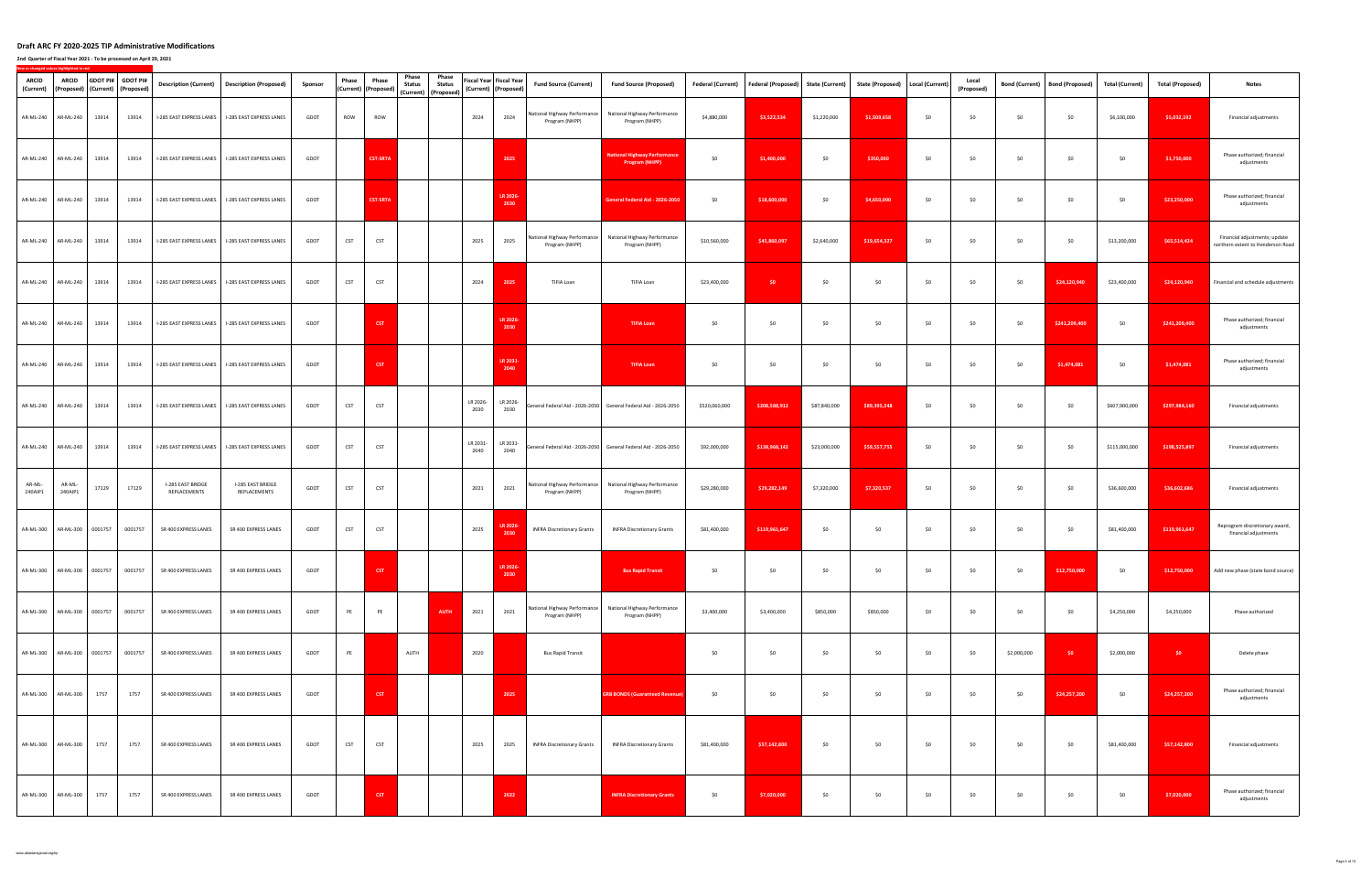### **2nd Quarter of Fiscal Year 2021 ‐ To be processed on April 29, 2021**

|                   |                             |                   |       |                                                                |                                   |                                                                               |         |            |                               | Phase         | Phase                                 |                  |                                                 |                                                |                                                                 |                          |                           |                        |                         |                 |                     |                         |                        |                        |                         |                                                                    |
|-------------------|-----------------------------|-------------------|-------|----------------------------------------------------------------|-----------------------------------|-------------------------------------------------------------------------------|---------|------------|-------------------------------|---------------|---------------------------------------|------------------|-------------------------------------------------|------------------------------------------------|-----------------------------------------------------------------|--------------------------|---------------------------|------------------------|-------------------------|-----------------|---------------------|-------------------------|------------------------|------------------------|-------------------------|--------------------------------------------------------------------|
| <b>ARCID</b>      |                             | <b>ARCID</b>      |       | GDOT PI# GDOT PI#<br>(Current) (Proposed) (Current) (Proposed) |                                   | Description (Current)   Description (Proposed)                                | Sponsor | Phase      | Phase<br>(Current) (Proposed) | <b>Status</b> | <b>Status</b><br>(Current) (Proposed) |                  | Fiscal Year Fiscal Year<br>(Current) (Proposed) | <b>Fund Source (Current)</b>                   | <b>Fund Source (Proposed)</b>                                   | <b>Federal (Current)</b> | <b>Federal (Proposed)</b> | <b>State (Current)</b> | <b>State (Proposed)</b> | Local (Current) | Local<br>(Proposed) | <b>Bond (Current)</b>   | <b>Bond (Proposed)</b> | <b>Total (Current)</b> | <b>Total (Proposed)</b> | <b>Notes</b>                                                       |
|                   | AR-ML-240 AR-ML-240 13914   |                   |       | 13914                                                          |                                   | I-285 EAST EXPRESS LANES   I-285 EAST EXPRESS LANES                           | GDOT    | ROW        | ROW                           |               |                                       | 2024             | 2024                                            | National Highway Performance<br>Program (NHPP) | National Highway Performance<br>Program (NHPP)                  | \$4,880,000              | \$3,522,534               | \$1,220,000            | \$1,509,658             | \$0             | \$0                 | \$0                     | \$0                    | \$6,100,000            | \$5,032,192             | Financial adjustments                                              |
|                   | AR-ML-240 AR-ML-240         |                   | 13914 | 13914                                                          |                                   | I-285 EAST EXPRESS LANES   I-285 EAST EXPRESS LANES                           | GDOT    |            | <b>CST-SRTA</b>               |               |                                       |                  | 2025                                            |                                                | <b>National Highway Performance</b><br><b>Program (NHPP)</b>    | \$0                      | \$1,400,000               | \$0                    | \$350,000               | \$0             | \$0                 | \$0                     | \$0                    | \$0                    | \$1,750,000             | Phase authorized; financial<br>adjustments                         |
|                   | AR-ML-240 AR-ML-240         |                   | 13914 | 13914                                                          |                                   | I-285 EAST EXPRESS LANES   I-285 EAST EXPRESS LANES                           | GDOT    |            | <b>CST-SRTA</b>               |               |                                       |                  | LR 2026-<br>2030                                |                                                | <b>Seneral Federal Aid - 2026-2050</b>                          | \$0                      | \$18,600,000              | \$0                    | \$4,650,000             | \$0             | \$0                 | \$0                     | \$0                    | \$0                    | \$23,250,000            | Phase authorized; financial<br>adjustments                         |
|                   | AR-ML-240 AR-ML-240         |                   | 13914 | 13914                                                          |                                   | I-285 EAST EXPRESS LANES   I-285 EAST EXPRESS LANES                           | GDOT    | <b>CST</b> | <b>CST</b>                    |               |                                       | 2025             | 2025                                            | National Highway Performance<br>Program (NHPP) | National Highway Performance<br>Program (NHPP)                  | \$10,560,000             | \$45,860,097              | \$2,640,000            | \$19,654,327            | \$0             | \$0                 | \$0                     | \$0                    | \$13,200,000           | \$65,514,424            | Financial adjustments; update<br>northern extent to Henderson Road |
|                   | AR-ML-240 AR-ML-240         |                   | 13914 | 13914                                                          |                                   | I-285 EAST EXPRESS LANES   I-285 EAST EXPRESS LANES                           | GDOT    | CST        | CST                           |               |                                       | 2024             | 2025                                            | TIFIA Loan                                     | TIFIA Loan                                                      | \$23,400,000             | \$0                       | \$0                    | \$0                     | \$0             | \$0                 | \$0                     | \$24,120,940           | \$23,400,000           | \$24,120,940            | Financial and schedule adjustments                                 |
|                   | AR-ML-240 AR-ML-240         |                   | 13914 | 13914                                                          |                                   | I-285 EAST EXPRESS LANES   I-285 EAST EXPRESS LANES                           | GDOT    |            | <b>CST</b>                    |               |                                       |                  | LR 2026-<br>2030                                |                                                | <b>TIFIA Loan</b>                                               | \$0                      | \$0                       | \$0                    | \$0                     | \$0             | \$0                 | \$0                     | \$241,209,400          | \$0                    | \$241,209,400           | Phase authorized; financial<br>adjustments                         |
|                   | AR-ML-240 AR-ML-240         |                   | 13914 | 13914                                                          | I-285 EAST EXPRESS LANES          | I-285 EAST EXPRESS LANES                                                      | GDOT    |            | <b>CST</b>                    |               |                                       |                  | LR 2031-<br>2040                                |                                                | <b>TIFIA Loan</b>                                               | \$0                      | \$0                       | \$0                    | \$0                     | \$0             | \$0                 | \$0                     | \$1,474,081            | \$0                    | \$1,474,081             | Phase authorized; financial<br>adjustments                         |
|                   | AR-ML-240 AR-ML-240         |                   | 13914 | 13914                                                          | I-285 EAST EXPRESS LANES          | I-285 EAST EXPRESS LANES                                                      | GDOT    | CST        | <b>CST</b>                    |               |                                       | LR 2026-<br>2030 | LR 2026-<br>2030                                |                                                | General Federal Aid - 2026-2050 General Federal Aid - 2026-2050 | \$520,060,000            | \$208,588,912             | \$87,840,000           | \$89,395,248            | \$0             | \$0                 | \$0                     | \$0                    | \$607,900,000          | \$297,984,160           | Financial adjustments                                              |
|                   | AR-ML-240 AR-ML-240         |                   | 13914 | 13914                                                          |                                   | I-285 EAST EXPRESS LANES   I-285 EAST EXPRESS LANES                           | GDOT    | <b>CST</b> | <b>CST</b>                    |               |                                       | LR 2031-<br>2040 | LR 2031-<br>2040                                |                                                | General Federal Aid - 2026-2050 General Federal Aid - 2026-2050 | \$92,000,000             | \$138,968,142             | \$23,000,000           | \$59,557,755            | \$0             | \$0                 | \$0                     | \$0                    | \$115,000,000          | \$198,525,897           | Financial adjustments                                              |
| AR-ML-<br>240AIP1 |                             | AR-ML-<br>240AIP1 | 17129 | 17129                                                          | I-285 EAST BRIDGE<br>REPLACEMENTS | I-285 EAST BRIDGE<br>REPLACEMENTS                                             | GDOT    | <b>CST</b> | <b>CST</b>                    |               |                                       | 2021             | 2021                                            | National Highway Performance<br>Program (NHPP) | National Highway Performance<br>Program (NHPP)                  | \$29,280,000             | \$29,282,149              | \$7,320,000            | \$7,320,537             | \$0             | \$0                 | \$0                     | \$0                    | \$36,600,000           | \$36,602,686            | Financial adjustments                                              |
|                   | AR-ML-300 AR-ML-300 0001757 |                   |       | 0001757                                                        | SR 400 EXPRESS LANES              | SR 400 EXPRESS LANES                                                          | GDOT    | <b>CST</b> | <b>CST</b>                    |               |                                       | 2025             | LK 202<br>2030                                  | <b>INFRA Discretionary Grants</b>              | <b>INFRA Discretionary Grants</b>                               | \$81,400,000             | \$119,961,647             | \$0                    | \$0                     | \$0             | \$0                 | \$0                     | \$0                    | \$81,400,000           | \$119,961,647           | Reprogram discretionary award,<br>financial adjustments            |
|                   |                             |                   |       |                                                                |                                   | AR-ML-300 AR-ML-300 0001757 0001757 SR 400 EXPRESS LANES SR 400 EXPRESS LANES | GDOT    |            | <b>CST</b>                    |               |                                       |                  | LR 2026-                                        |                                                | <b>Bus Rapid Transit</b>                                        | 50                       | 50                        | \$0                    | 50                      | SO              | SO                  | $\sim$ 50 $\sim$ $\sim$ | \$12,750,000           | SO                     |                         | \$12,750,000 Add new phase (state bond source)                     |
|                   | AR-ML-300 AR-ML-300 0001757 |                   |       | 0001757                                                        | SR 400 EXPRESS LANES              | SR 400 EXPRESS LANES                                                          | GDOT    | PE         | PE                            |               | AUTH                                  | 2021             | 2021                                            | National Highway Performance<br>Program (NHPP) | National Highway Performance<br>Program (NHPP)                  | \$3,400,000              | \$3,400,000               | \$850,000              | \$850,000               | \$0             | \$0                 | \$0                     | \$0                    | \$4,250,000            | \$4,250,000             | Phase authorized                                                   |
|                   | AR-ML-300 AR-ML-300 0001757 |                   |       | 0001757                                                        | SR 400 EXPRESS LANES              | SR 400 EXPRESS LANES                                                          | GDOT    | PE         |                               | AUTH          |                                       | 2020             |                                                 | <b>Bus Rapid Transit</b>                       |                                                                 | \$0                      | \$0                       | \$0                    | \$0                     | \$0             | \$0                 | \$2,000,000             | \$0                    | \$2,000,000            | $50 -$                  | Delete phase                                                       |
|                   | AR-ML-300 AR-ML-300         |                   | 1757  | 1757                                                           | SR 400 EXPRESS LANES              | SR 400 EXPRESS LANES                                                          | GDOT    |            | <b>CST</b>                    |               |                                       |                  | 2025                                            |                                                | <b>GRB BONDS (Guaranteed Revenue</b>                            | \$0                      | \$0                       | \$0                    | \$0                     | \$0             | \$0                 | \$0                     | \$24,257,200           | \$0                    | \$24,257,200            | Phase authorized; financial<br>adjustments                         |
|                   | AR-ML-300 AR-ML-300         |                   | 1757  | 1757                                                           | SR 400 EXPRESS LANES              | SR 400 EXPRESS LANES                                                          | GDOT    | <b>CST</b> | <b>CST</b>                    |               |                                       | 2025             | 2025                                            | <b>INFRA Discretionary Grants</b>              | <b>INFRA Discretionary Grants</b>                               | \$81,400,000             | \$57,142,800              | \$0                    | \$0                     | \$0             | \$0                 | \$0                     | \$0                    | \$81,400,000           | \$57,142,800            | Financial adjustments                                              |
|                   | AR-ML-300 AR-ML-300         |                   | 1757  | 1757                                                           | SR 400 EXPRESS LANES              | SR 400 EXPRESS LANES                                                          | GDOT    |            | <b>CST</b>                    |               |                                       |                  | 2022                                            |                                                | <b>INFRA Discretionary Grants</b>                               | \$0                      | \$7,020,000               | \$0                    | \$0                     | \$0             | \$0                 | \$0                     | \$0                    | \$0                    | \$7,020,000             | Phase authorized; financial<br>adjustments                         |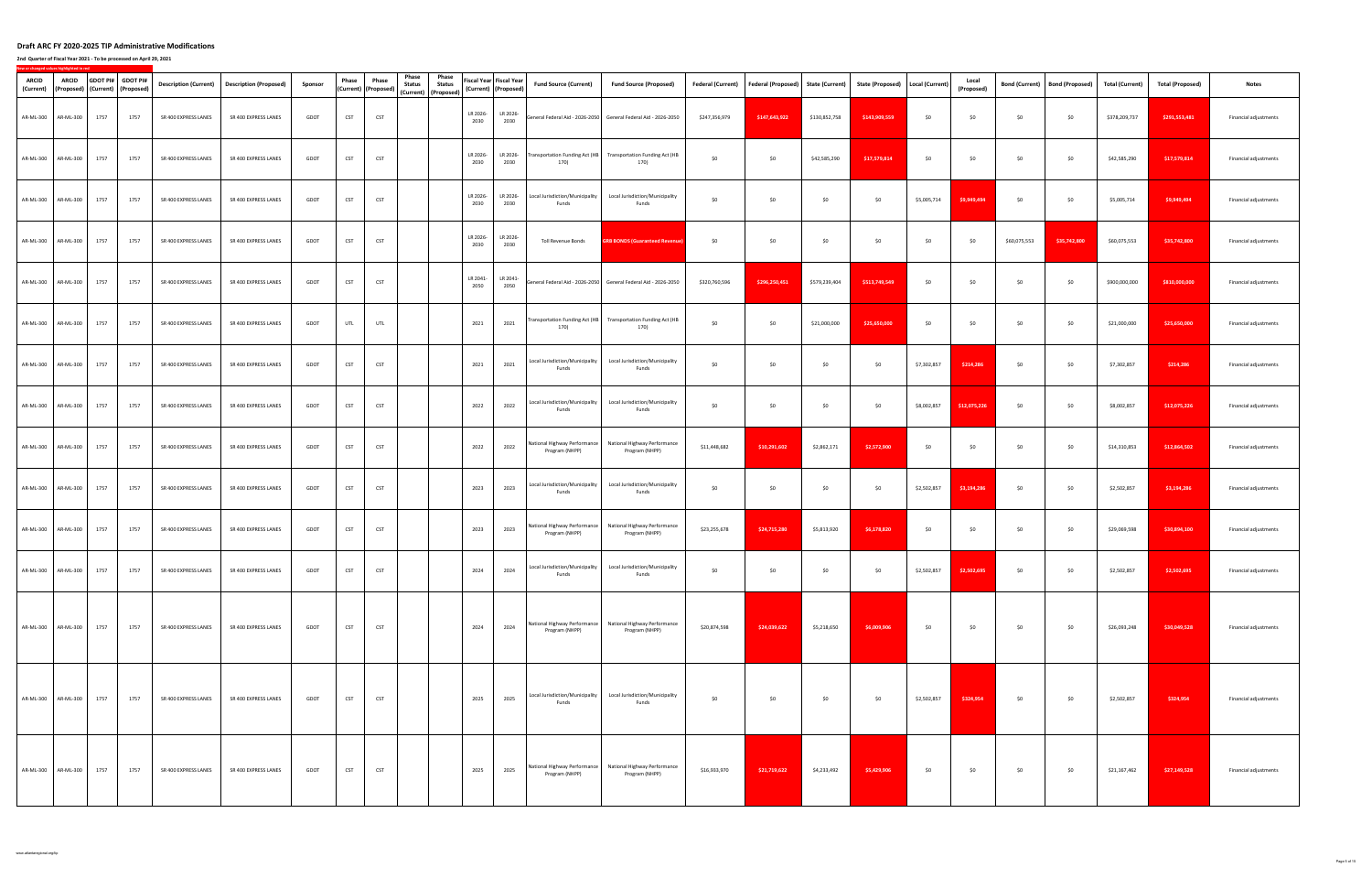| ARCID | ARCID<br>(Current) (Proposed) (Current) (Proposed) |      | GDOT PI# GDOT PI# |                      | Description (Current)   Description (Proposed)                          | Sponsor     | Phase      | Phase<br>(Current) (Proposed) | Phase<br>Phase<br><b>Status</b><br><b>Status</b> |                  | Fiscal Year Fiscal Year<br>(Current) (Proposed) | <b>Fund Source (Current)</b>                         | <b>Fund Source (Proposed)</b>                                                 | <b>Federal (Current)</b> | Federal (Proposed) State (Current) |               | <b>State (Proposed)</b> | Local (Current) | Local<br>(Proposed)     | <b>Bond (Current)</b> | <b>Bond (Proposed)</b> | <b>Total (Current)</b> | <b>Total (Proposed)</b> | <b>Notes</b>                 |
|-------|----------------------------------------------------|------|-------------------|----------------------|-------------------------------------------------------------------------|-------------|------------|-------------------------------|--------------------------------------------------|------------------|-------------------------------------------------|------------------------------------------------------|-------------------------------------------------------------------------------|--------------------------|------------------------------------|---------------|-------------------------|-----------------|-------------------------|-----------------------|------------------------|------------------------|-------------------------|------------------------------|
|       | AR-ML-300 AR-ML-300                                | 1757 | 1757              | SR 400 EXPRESS LANES | SR 400 EXPRESS LANES                                                    | GDOT        | <b>CST</b> | <b>CST</b>                    | (Current) (Proposed)                             | LR 2026-<br>2030 | LR 2026-<br>2030                                |                                                      | General Federal Aid - 2026-2050 General Federal Aid - 2026-2050               | \$247,356,979            | \$147,643,922                      | \$130,852,758 | \$143,909,559           | \$0             | \$0                     | \$0                   | \$0                    | \$378,209,737          | \$291,553,481           | Financial adjustments        |
|       | AR-ML-300 AR-ML-300                                | 1757 | 1757              | SR 400 EXPRESS LANES | SR 400 EXPRESS LANES                                                    | GDOT        | <b>CST</b> | <b>CST</b>                    |                                                  | LR 2026-<br>2030 | LR 2026-<br>2030                                | 170)                                                 | Transportation Funding Act (HB Transportation Funding Act (HB<br>170)         | \$0                      | \$0                                | \$42,585,290  | \$17,579,814            | \$0             | \$0                     | \$0                   | \$0                    | \$42,585,290           | \$17,579,814            | Financial adjustments        |
|       | AR-ML-300 AR-ML-300                                | 1757 | 1757              | SR 400 EXPRESS LANES | SR 400 EXPRESS LANES                                                    | GDOT        | <b>CST</b> | <b>CST</b>                    |                                                  | LR 2026-<br>2030 | LR 2026-<br>2030                                | Local Jurisdiction/Municipality<br>Funds             | Local Jurisdiction/Municipality<br>Funds                                      | \$0                      | \$0                                | \$0           | \$0                     | \$5,005,714     | \$9,949,494             | \$0                   | \$0                    | \$5,005,714            | \$9,949,494             | Financial adjustments        |
|       | AR-ML-300 AR-ML-300                                | 1757 | 1757              | SR 400 EXPRESS LANES | SR 400 EXPRESS LANES                                                    | GDOT        | <b>CST</b> | <b>CST</b>                    |                                                  | LR 2026-<br>2030 | LR 2026-<br>2030                                | Toll Revenue Bonds                                   | <b>GRB BONDS (Guaranteed Revenue</b>                                          | \$0                      | \$0                                | \$0           | \$0                     | \$0             | \$0                     | \$60,075,553          | \$35,742,800           | \$60,075,553           | \$35,742,800            | Financial adjustments        |
|       | AR-ML-300 AR-ML-300                                | 1757 | 1757              | SR 400 EXPRESS LANES | SR 400 EXPRESS LANES                                                    | GDOT        | <b>CST</b> | <b>CST</b>                    |                                                  | LR 2041-<br>2050 | LR 2041-<br>2050                                |                                                      | General Federal Aid - 2026-2050 General Federal Aid - 2026-2050               | \$320,760,596            | \$296,250,451                      | \$579,239,404 | \$513,749,549           | \$0             | \$0                     | \$0                   | \$0                    | \$900,000,000          | \$810,000,000           | Financial adjustments        |
|       | AR-ML-300 AR-ML-300                                | 1757 | 1757              | SR 400 EXPRESS LANES | SR 400 EXPRESS LANES                                                    | GDOT        | UTL        | UTL                           |                                                  | 2021             | 2021                                            | 170)                                                 | Transportation Funding Act (HB Transportation Funding Act (HB<br>170)         | \$0                      | \$0                                | \$21,000,000  | \$25,650,000            | \$0             | \$0                     | \$0                   | \$0                    | \$21,000,000           | \$25,650,000            | Financial adjustments        |
|       | AR-ML-300 AR-ML-300                                | 1757 | 1757              | SR 400 EXPRESS LANES | SR 400 EXPRESS LANES                                                    | GDOT        | <b>CST</b> | <b>CST</b>                    |                                                  | 2021             | 2021                                            | Local Jurisdiction/Municipality<br>Funds             | Local Jurisdiction/Municipality<br>Funds                                      | \$0                      | \$0                                | \$0           | \$0                     | \$7,302,857     | \$214,286               | \$0                   | \$0                    | \$7,302,857            | \$214,286               | Financial adjustments        |
|       | AR-ML-300 AR-ML-300                                | 1757 | 1757              | SR 400 EXPRESS LANES | SR 400 EXPRESS LANES                                                    | GDOT        | <b>CST</b> | <b>CST</b>                    |                                                  | 2022             | 2022                                            | Local Jurisdiction/Municipality<br>Funds             | Local Jurisdiction/Municipality<br>Funds                                      | \$0                      | \$0                                | \$0           | \$0                     | \$8,002,857     | \$12,075,226            | \$0                   | \$0                    | \$8,002,857            | \$12,075,226            | Financial adjustments        |
|       | AR-ML-300 AR-ML-300                                | 1757 | 1757              | SR 400 EXPRESS LANES | SR 400 EXPRESS LANES                                                    | GDOT        | <b>CST</b> | <b>CST</b>                    |                                                  | 2022             | 2022                                            | National Highway Performance<br>Program (NHPP)       | National Highway Performance<br>Program (NHPP)                                | \$11,448,682             | \$10,291,602                       | \$2,862,171   | \$2,572,900             | \$0             | \$0                     | \$0                   | \$0                    | \$14,310,853           | \$12,864,502            | Financial adjustments        |
|       | AR-ML-300 AR-ML-300                                | 1757 | 1757              | SR 400 EXPRESS LANES | SR 400 EXPRESS LANES                                                    | GDOT        | <b>CST</b> | <b>CST</b>                    |                                                  | 2023             | 2023                                            | Local Jurisdiction/Municipality<br>Funds             | Local Jurisdiction/Municipality<br>Funds                                      | \$0                      | \$0                                | \$0           | \$0                     | \$2,502,857     | \$3,194,286             | \$0                   | \$0                    | \$2,502,857            | \$3,194,286             | Financial adjustments        |
|       | AR-ML-300 AR-ML-300                                | 1757 | 1757              | SR 400 EXPRESS LANES | SR 400 EXPRESS LANES                                                    | GDOT        | <b>CST</b> | <b>CST</b>                    |                                                  | 2023             | 2023                                            | National Highway Performance<br>Program (NHPP)       | National Highway Performance<br>Program (NHPP)                                | \$23,255,678             | \$24,715,280                       | \$5,813,920   | \$6,178,820             | \$0             | \$0                     | \$0                   | \$0                    | \$29,069,598           | \$30,894,100            | Financial adjustments        |
|       |                                                    |      |                   |                      | AR-ML-300 AR-ML-300 1757 1757 SR 400 EXPRESS LANES SR 400 EXPRESS LANES | <b>GDOT</b> | CST        | <b>CST</b>                    |                                                  |                  |                                                 | 2024 2024   Local Jurisdiction/Municipality<br>Funds | Local Jurisdiction/Municipality<br>Funds                                      | \$0                      | $\sim$ 50 $\sim$ 50                |               | SO                      |                 | \$2.502.857 \$2.502.695 | SO                    | SO                     | \$2,502,857            | \$2,502,695             | <b>Financial adjustments</b> |
|       | AR-ML-300 AR-ML-300                                | 1757 | 1757              | SR 400 EXPRESS LANES | SR 400 EXPRESS LANES                                                    | GDOT        | <b>CST</b> | <b>CST</b>                    |                                                  | 2024             | 2024                                            | National Highway Performance<br>Program (NHPP)       | National Highway Performance<br>Program (NHPP)                                | \$20,874,598             | \$24,039,622                       | \$5,218,650   | \$6,009,906             | \$0             | \$0                     | \$0                   | \$0                    | \$26,093,248           | \$30,049,528            | Financial adjustments        |
|       | AR-ML-300 AR-ML-300                                | 1757 | 1757              | SR 400 EXPRESS LANES | SR 400 EXPRESS LANES                                                    | GDOT        | <b>CST</b> | <b>CST</b>                    |                                                  | 2025             | 2025                                            | Local Jurisdiction/Municipality<br>Funds             | Local Jurisdiction/Municipality<br>Funds                                      | \$0                      | \$0                                | \$0           | \$0                     | \$2,502,857     | \$324,954               | \$0                   | \$0                    | \$2,502,857            | \$324,954               | Financial adjustments        |
|       | AR-ML-300 AR-ML-300                                | 1757 | 1757              | SR 400 EXPRESS LANES | SR 400 EXPRESS LANES                                                    | GDOT        | <b>CST</b> | <b>CST</b>                    |                                                  | 2025             | 2025                                            | Program (NHPP)                                       | National Highway Performance   National Highway Performance<br>Program (NHPP) | \$16,933,970             | \$21,719,622                       | \$4,233,492   | \$5,429,906             | \$0             | \$0                     | \$0                   | \$0                    | \$21,167,462           | \$27,149,528            | Financial adjustments        |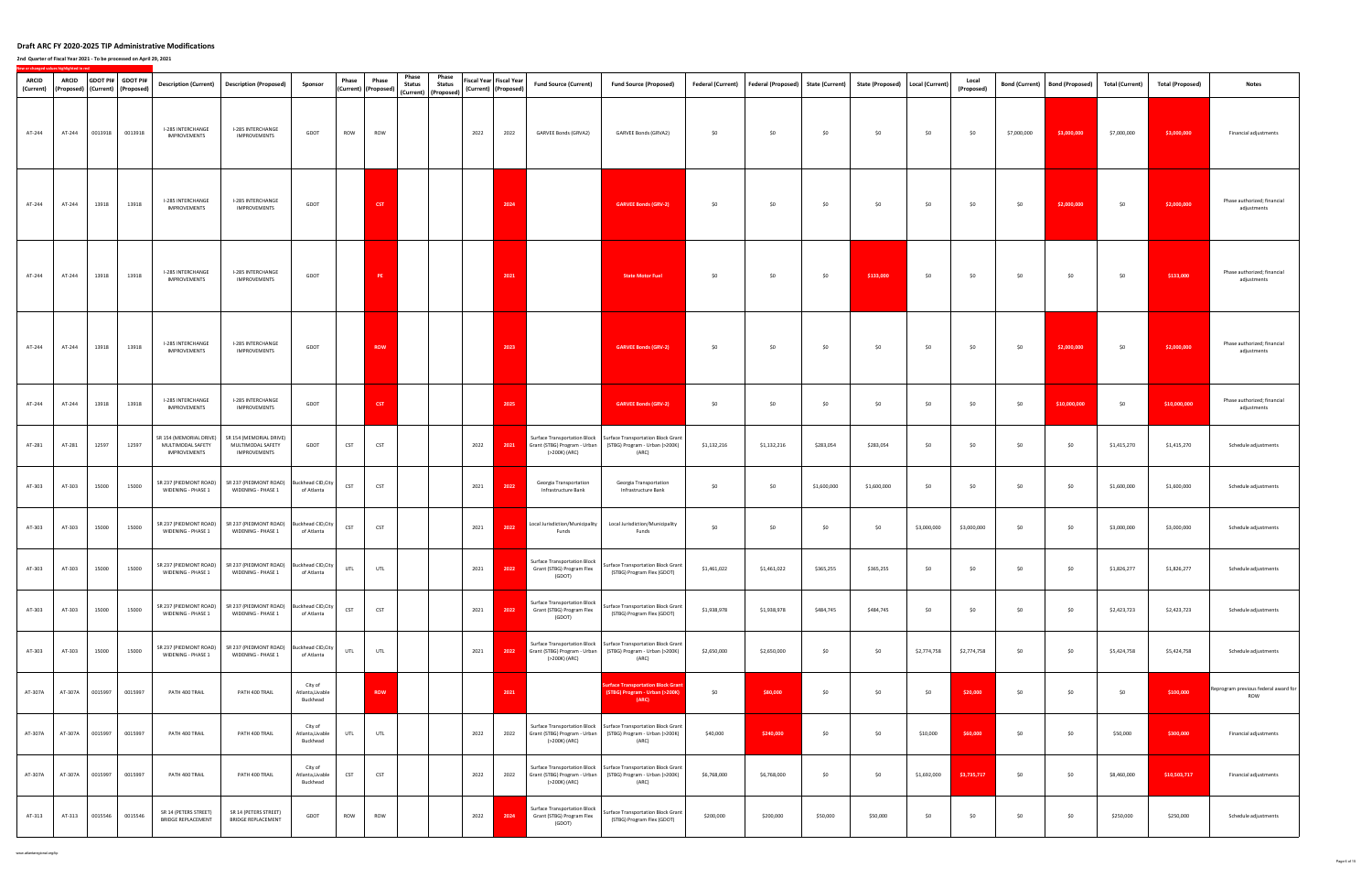### **2nd Quarter of Fiscal Year 2021 ‐ To be processed on April 29, 2021**

| ARCID<br>(Current) | ARCID   | (Proposed)   (Current)   (Proposed) | GDOT PI# GDOT PI# |                                                                     | Description (Current) Description (Proposed)                                                                                        | Sponsor                                 | Phase      | Phase<br>(Current) (Proposed) | Phase<br><b>Status</b> | Phase<br><b>Status</b><br>(Current) (Proposed) |      | Fiscal Year Fiscal Year<br>(Current) (Proposed) | <b>Fund Source (Current)</b>                                                         | <b>Fund Source (Proposed)</b>                                                                                |             | Federal (Current) Federal (Proposed) | <b>State (Current)</b> |             | State (Proposed)   Local (Current) | Local<br>(Proposed) |             | Bond (Current)   Bond (Proposed) | <b>Total (Current)</b> | <b>Total (Proposed)</b> | <b>Notes</b>                                |
|--------------------|---------|-------------------------------------|-------------------|---------------------------------------------------------------------|-------------------------------------------------------------------------------------------------------------------------------------|-----------------------------------------|------------|-------------------------------|------------------------|------------------------------------------------|------|-------------------------------------------------|--------------------------------------------------------------------------------------|--------------------------------------------------------------------------------------------------------------|-------------|--------------------------------------|------------------------|-------------|------------------------------------|---------------------|-------------|----------------------------------|------------------------|-------------------------|---------------------------------------------|
| AT-244             | AT-244  | 0013918                             | 0013918           | I-285 INTERCHANGE<br>IMPROVEMENTS                                   | I-285 INTERCHANGE<br>IMPROVEMENTS                                                                                                   | GDOT                                    | ROW        | ROW                           |                        |                                                | 2022 | 2022                                            | GARVEE Bonds (GRVA2)                                                                 | GARVEE Bonds (GRVA2)                                                                                         | \$0         | \$0                                  | \$0                    | \$0         | \$0                                | \$0                 | \$7,000,000 | \$3,000,000                      | \$7,000,000            | \$3,000,000             | Financial adjustments                       |
| AT-244             | AT-244  | 13918                               | 13918             | I-285 INTERCHANGE<br><b>IMPROVEMENTS</b>                            | I-285 INTERCHANGE<br>IMPROVEMENTS                                                                                                   | GDOT                                    |            | <b>CST</b>                    |                        |                                                |      | 2024                                            |                                                                                      | <b>GARVEE Bonds (GRV-2)</b>                                                                                  | \$0         | \$0                                  | \$0                    | \$0         | \$0                                | \$0                 | \$0         | \$2,000,000                      | \$0                    | \$2,000,000             | Phase authorized; financial<br>adjustments  |
| AT-244             | AT-244  | 13918                               | 13918             | I-285 INTERCHANGE<br>IMPROVEMENTS                                   | I-285 INTERCHANGE<br>IMPROVEMENTS                                                                                                   | GDOT                                    |            | PE                            |                        |                                                |      | 2021                                            |                                                                                      | <b>State Motor Fuel</b>                                                                                      | \$0         | \$0                                  | \$0                    | \$133,000   | \$0                                | \$0                 | \$0         | \$0                              | \$0                    | \$133,000               | Phase authorized; financial<br>adjustments  |
| AT-244             | AT-244  | 13918                               | 13918             | I-285 INTERCHANGE<br>IMPROVEMENTS                                   | I-285 INTERCHANGE<br>IMPROVEMENTS                                                                                                   | GDOT                                    |            | <b>ROW</b>                    |                        |                                                |      | 2023                                            |                                                                                      | <b>GARVEE Bonds (GRV-2)</b>                                                                                  | \$0         | \$0                                  | \$0                    | \$0         | \$0                                | \$0                 | \$0         | \$2,000,000                      | \$0                    | \$2,000,000             | Phase authorized; financial<br>adjustments  |
| AT-244             | AT-244  | 13918                               | 13918             | I-285 INTERCHANGE<br><b>IMPROVEMENTS</b>                            | I-285 INTERCHANGE<br>IMPROVEMENTS                                                                                                   | GDOT                                    |            | <b>CST</b>                    |                        |                                                |      | 2025                                            |                                                                                      | <b>GARVEE Bonds (GRV-2)</b>                                                                                  | \$0         | \$0                                  | \$0                    | \$0         | \$0                                | \$0                 | \$0         | \$10,000,000                     | \$0                    | \$10,000,000            | Phase authorized; financial<br>adjustments  |
| AT-281             | AT-281  | 12597                               | 12597             | SR 154 (MEMORIAL DRIVE)<br>MULTIMODAL SAFETY<br><b>IMPROVEMENTS</b> | SR 154 (MEMORIAL DRIVE)<br>MULTIMODAL SAFETY<br><b>IMPROVEMENTS</b>                                                                 | GDOT                                    | <b>CST</b> | CST                           |                        |                                                | 2022 | 2021                                            | Surface Transportation Block<br>Grant (STBG) Program - Urban<br>(>200K) (ARC)        | Surface Transportation Block Grant<br>(STBG) Program - Urban (>200K)<br>(ARC)                                | \$1,132,216 | \$1,132,216                          | \$283,054              | \$283,054   | \$0                                | \$0                 | \$0         | \$0                              | \$1,415,270            | \$1,415,270             | Schedule adjustments                        |
| AT-303             | AT-303  | 15000                               | 15000             | SR 237 (PIEDMONT ROAD)<br>WIDENING - PHASE 1                        | SR 237 (PIEDMONT ROAD) Buckhead CID, City<br>WIDENING - PHASE 1                                                                     | of Atlanta                              | CST        | CST                           |                        |                                                | 2021 | 2022                                            | Georgia Transportation<br>Infrastructure Bank                                        | Georgia Transportation<br>Infrastructure Bank                                                                | \$0         | \$0                                  | \$1,600,000            | \$1,600,000 | \$0                                | \$0                 | \$0         | \$0                              | \$1,600,000            | \$1,600,000             | Schedule adjustments                        |
| AT-303             | AT-303  | 15000                               | 15000             | SR 237 (PIEDMONT ROAD)<br>WIDENING - PHASE 1                        | SR 237 (PIEDMONT ROAD) Buckhead CID, City<br>WIDENING - PHASE 1                                                                     | of Atlanta                              | CST        | CST                           |                        |                                                | 2021 | 2022                                            | Local Jurisdiction/Municipality<br>Funds                                             | Local Jurisdiction/Municipality<br>Funds                                                                     | \$0         | \$0                                  | \$0                    | \$0         | \$3,000,000                        | \$3,000,000         | \$0         | \$0                              | \$3,000,000            | \$3,000,000             | Schedule adjustments                        |
|                    |         |                                     |                   | WIDENING - PHASE 1                                                  | $AT-303$ $AT-303$ $15000$ $15000$ $SR 237 (PEDMONT ROAD)$ $SR 237 (PEDMONT ROAD)$ $Buchhead CID, City$<br><b>WIDENING - PHASE 1</b> | of Atlanta                              | <b>UTL</b> | UTL                           |                        |                                                | 2021 |                                                 | <b>Surface Transportation Block</b><br>2022 Grant (STBG) Program Flex<br>(GDOT)      | Surface Transportation Block Grant<br>(STBG) Program Flex (GDOT)                                             | \$1,461,022 | \$1,461,022                          | \$365,255              | \$365,255   | \$0                                | \$0                 | \$0         | \$0                              | \$1,826,277            | \$1,826,277             | Schedule adjustments                        |
| AT-303             | AT-303  | 15000                               | 15000             | WIDENING - PHASE 1                                                  | SR 237 (PIEDMONT ROAD) SR 237 (PIEDMONT ROAD) Buckhead CID, City<br>WIDENING - PHASE 1                                              | of Atlanta                              | <b>CST</b> | <b>CST</b>                    |                        |                                                | 2021 |                                                 | <b>Surface Transportation Block</b><br>2022 Grant (STBG) Program Flex<br>(GDOT)      | Surface Transportation Block Grant<br>(STBG) Program Flex (GDOT)                                             | \$1,938,978 | \$1,938,978                          | \$484,745              | \$484,745   | \$0                                | \$0                 | \$0         | \$0                              | \$2,423,723            | \$2,423,723             | Schedule adjustments                        |
| AT-303             | AT-303  | 15000                               | 15000             | SR 237 (PIEDMONT ROAD)<br>WIDENING - PHASE 1                        | SR 237 (PIEDMONT ROAD) Buckhead CID, City<br>WIDENING - PHASE 1                                                                     | of Atlanta                              | UTL        | UTL                           |                        |                                                | 2021 | 2022                                            | <b>Surface Transportation Block</b><br>Grant (STBG) Program - Urban<br>(>200K) (ARC) | Surface Transportation Block Grant<br>(STBG) Program - Urban (>200K)<br>(ARC)                                | \$2,650,000 | \$2,650,000                          | \$0                    | \$0         | \$2,774,758                        | \$2,774,758         | \$0         | \$0                              | \$5,424,758            | \$5,424,758             | Schedule adjustments                        |
| AT-307A            | AT-307A | 0015997                             | 0015997           | PATH 400 TRAIL                                                      | PATH 400 TRAIL                                                                                                                      | City of<br>Atlanta, Livable<br>Buckhead |            | ROW                           |                        |                                                |      | 2021                                            |                                                                                      | <b>iurface Transportation Block Grant</b><br>(STBG) Program - Urban (>200K)<br>(ARC)                         | \$0         | \$80,000                             | \$0                    | \$0         | \$0                                | \$20,000            | \$0         | \$0                              | \$0                    | \$100,000               | Reprogram previous federal award for<br>ROW |
| AT-307A            | AT-307A | 0015997                             | 0015997           | PATH 400 TRAIL                                                      | PATH 400 TRAIL                                                                                                                      | City of<br>Atlanta, Livable<br>Buckhead | UTL        | UTL                           |                        |                                                | 2022 | 2022                                            | Grant (STBG) Program - Urban<br>(>200K) (ARC)                                        | Surface Transportation Block   Surface Transportation Block Grant<br>(STBG) Program - Urban (>200K)<br>(ARC) | \$40,000    | \$240,000                            | \$0                    | \$0         | \$10,000                           | \$60,000            | \$0         | \$0                              | \$50,000               | \$300,000               | Financial adjustments                       |
| AT-307A            | AT-307A | 0015997                             | 0015997           | PATH 400 TRAIL                                                      | PATH 400 TRAIL                                                                                                                      | City of<br>Atlanta, Livable<br>Buckhead | CST        | <b>CST</b>                    |                        |                                                | 2022 | 2022                                            | Grant (STBG) Program - Urban<br>(>200K) (ARC)                                        | Surface Transportation Block   Surface Transportation Block Grant<br>(STBG) Program - Urban (>200K)<br>(ARC) | \$6,768,000 | \$6,768,000                          | \$0                    | \$0         | \$1,692,000                        | \$3,735,717         | \$0         | \$0                              | \$8,460,000            | \$10,503,717            | Financial adjustments                       |
| AT-313             | AT-313  | 0015546                             | 0015546           | SR 14 (PETERS STREET)<br><b>BRIDGE REPLACEMENT</b>                  | SR 14 (PETERS STREET)<br><b>BRIDGE REPLACEMENT</b>                                                                                  | GDOT                                    | ROW        | ROW                           |                        |                                                | 2022 | 2024                                            | Surface Transportation Block<br>Grant (STBG) Program Flex<br>(GDOT)                  | Surface Transportation Block Grant<br>(STBG) Program Flex (GDOT)                                             | \$200,000   | \$200,000                            | \$50,000               | \$50,000    | \$0                                | \$0                 | \$0         | \$0                              | \$250,000              | \$250,000               | Schedule adjustments                        |

www.atlantaregional.org/tip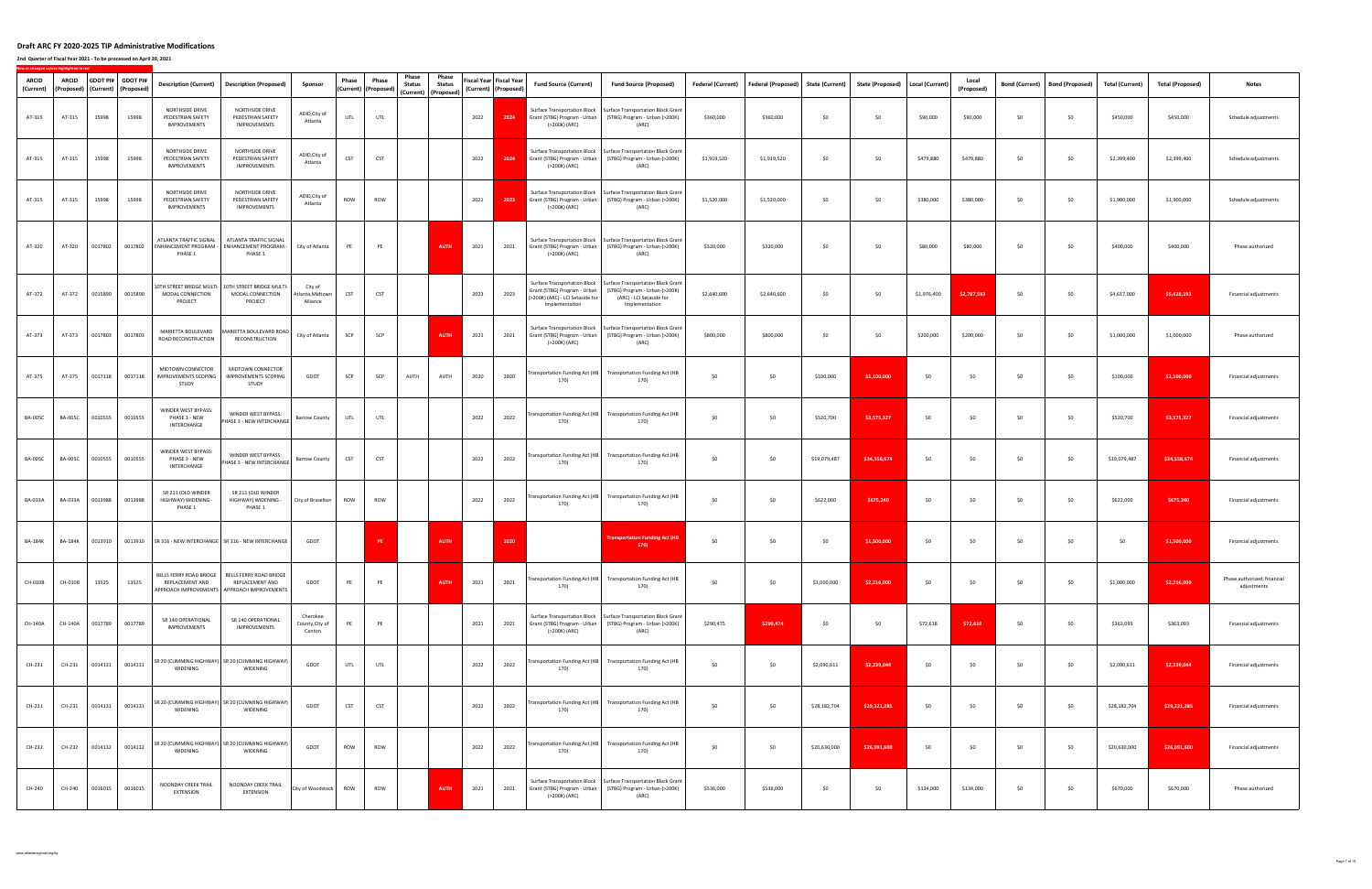**2nd Quarter of Fiscal Year 2021 ‐ To be processed on April 29, 2021**

| ARCID<br>(Current) | <b>ARCID</b><br>(Proposed) |         | GDOT PI# GDOT PI#<br>(Current) (Proposed) | <b>Description (Current)</b>                                | <b>Description (Proposed)</b>                                                             | Sponsor                                | Phase      | Phase<br>(Current) (Proposed | Phase<br><b>Status</b><br>(Current) (Proposed) | Phase<br><b>Status</b> | Fiscal Year Fiscal Year<br>(Current) (Proposed) | <b>Fund Source (Current)</b>                                                                                       | <b>Fund Source (Proposed)</b>                                                                                                             | Federal (Current) | Federal (Proposed) State (Current) |              | <b>State (Proposed)</b> | Local (Current) | Local<br>(Proposed) | <b>Bond (Current)</b> | <b>Bond (Proposed)</b> | <b>Total (Current)</b> | <b>Total (Proposed)</b> | <b>Notes</b>                               |
|--------------------|----------------------------|---------|-------------------------------------------|-------------------------------------------------------------|-------------------------------------------------------------------------------------------|----------------------------------------|------------|------------------------------|------------------------------------------------|------------------------|-------------------------------------------------|--------------------------------------------------------------------------------------------------------------------|-------------------------------------------------------------------------------------------------------------------------------------------|-------------------|------------------------------------|--------------|-------------------------|-----------------|---------------------|-----------------------|------------------------|------------------------|-------------------------|--------------------------------------------|
| AT-315             | AT-315                     | 15998   | 15998                                     | NORTHSIDE DRIVE<br>PEDESTRIAN SAFETY<br>IMPROVEMENTS        | NORTHSIDE DRIVE<br>PEDESTRIAN SAFETY<br>IMPROVEMENTS                                      | ADID, City of<br>Atlanta               | <b>UTL</b> | UTL                          |                                                |                        | 2022<br>2024                                    | <b>Surface Transportation Block</b><br>(>200K) (ARC)                                                               | Surface Transportation Block Grant<br>Grant (STBG) Program - Urban (STBG) Program - Urban (>200K)<br>(ARC)                                | \$360,000         | \$360,000                          | \$0          | \$0                     | \$90,000        | \$90,000            | \$0                   | \$0                    | \$450,000              | \$450,000               | Schedule adjustments                       |
| AT-315             | AT-315                     | 15998   | 15998                                     | NORTHSIDE DRIVE<br>PEDESTRIAN SAFETY<br><b>IMPROVEMENTS</b> | NORTHSIDE DRIVE<br>PEDESTRIAN SAFETY<br><b>IMPROVEMENTS</b>                               | ADID, City of<br>Atlanta               | <b>CST</b> | <b>CST</b>                   |                                                |                        | 2022<br>2024                                    | (>200K) (ARC)                                                                                                      | Surface Transportation Block   Surface Transportation Block Grant<br>Grant (STBG) Program - Urban (STBG) Program - Urban (>200K)<br>(ARC) | \$1,919,520       | \$1,919,520                        | \$0          | \$0                     | \$479,880       | \$479,880           | \$0                   | \$0                    | \$2,399,400            | \$2,399,400             | Schedule adjustments                       |
| AT-315             | AT-315                     | 15998   | 15998                                     | NORTHSIDE DRIVE<br>PEDESTRIAN SAFETY<br>IMPROVEMENTS        | NORTHSIDE DRIVE<br>PEDESTRIAN SAFETY<br>IMPROVEMENTS                                      | ADID, City of<br>Atlanta               | ROW        | ROW                          |                                                |                        | 2023<br>2021                                    | <b>Surface Transportation Block</b><br>Grant (STBG) Program - Urban<br>(>200K) (ARC)                               | Surface Transportation Block Grant<br>(STBG) Program - Urban (>200K)<br>(ARC)                                                             | \$1,520,000       | \$1,520,000                        | \$0          | \$0                     | \$380,000       | \$380,000           | \$0                   | \$0                    | \$1,900,000            | \$1,900,000             | Schedule adjustments                       |
| AT-320             | AT-320                     | 0017802 | 0017802                                   | ATLANTA TRAFFIC SIGNAL<br>ENHANCEMENT PROGRAM -<br>PHASE 1  | ATLANTA TRAFFIC SIGNAL<br>ENHANCEMENT PROGRAM -<br>PHASE 1                                | City of Atlanta                        | PE         | PE                           |                                                | <b>AUTH</b>            | 2021<br>2021                                    | Grant (STBG) Program - Urban<br>(>200K) (ARC)                                                                      | Surface Transportation Block   Surface Transportation Block Grant<br>(STBG) Program - Urban (>200K)<br>(ARC)                              | \$320,000         | \$320,000                          | \$0          | \$0                     | \$80,000        | \$80,000            | \$0                   | \$0                    | \$400,000              | \$400,000               | Phase authorized                           |
| AT-372             | AT-372                     | 0015890 | 0015890                                   | 10TH STREET BRIDGE MULTI-<br>MODAL CONNECTION<br>PROJECT    | 10TH STREET BRIDGE MULTI-<br>MODAL CONNECTION<br>PROJECT                                  | City of<br>Atlanta,Midtown<br>Alliance | <b>CST</b> | <b>CST</b>                   |                                                |                        | 2023<br>2023                                    | Surface Transportation Block<br>Grant (STBG) Program - Urban<br>(>200K) (ARC) - LCI Setaside for<br>Implementation | Surface Transportation Block Grant<br>(STBG) Program - Urban (>200K)<br>(ARC) - LCI Setaside for<br>Implementation                        | \$2,640,600       | \$2,640,600                        | \$0          | \$0                     | \$1,976,400     | \$2,787,593         | \$0                   | \$0                    | \$4,617,000            | \$5,428,193             | Financial adjustments                      |
| AT-373             | AT-373                     | 0017803 | 0017803                                   | MARIETTA BOULEVARD<br>ROAD RECONSTRUCTION                   | MARIETTA BOULEVARD ROAD<br>RECONSTRUCTION                                                 | City of Atlanta                        | SCP        | SCP                          |                                                | <b>AUTH</b>            | 2021<br>2021                                    | Grant (STBG) Program - Urban<br>(>200K) (ARC)                                                                      | Surface Transportation Block   Surface Transportation Block Grant<br>(STBG) Program - Urban (>200K)<br>(ARC)                              | \$800,000         | \$800,000                          | \$0          | \$0                     | \$200,000       | \$200,000           | \$0                   | \$0                    | \$1,000,000            | \$1,000,000             | Phase authorized                           |
| AT-375             | AT-375                     | 0017118 | 0017118                                   | MIDTOWN CONNECTOR<br><b>IMPROVEMENTS SCOPING</b><br>STUDY   | MIDTOWN CONNECTOR<br><b>IMPROVEMENTS SCOPING</b><br>STUDY                                 | GDOT                                   | SCP        | SCP                          | AUTH                                           | AUTH                   | 2020<br>2020                                    | Transportation Funding Act (HB<br>170)                                                                             | Transportation Funding Act (HB<br>170)                                                                                                    | \$0               | \$0                                | \$100,000    | \$1,100,000             | \$0             | \$0                 | \$0                   | \$0                    | \$100,000              | \$1,100,000             | Financial adjustments                      |
| <b>BA-005C</b>     | <b>BA-005C</b>             | 0010555 | 0010555                                   | WINDER WEST BYPASS:<br>PHASE 3 - NEW<br>INTERCHANGE         | WINDER WEST BYPASS:<br>PHASE 3 - NEW INTERCHANGE                                          | <b>Barrow County</b>                   | UTL        | UTL                          |                                                |                        | 2022<br>2022                                    | Transportation Funding Act (HB<br>170)                                                                             | <b>Transportation Funding Act (HB</b><br>170)                                                                                             | \$0               | \$0                                | \$520,700    | \$3,575,327             | \$0             | <b>SO</b>           | \$0                   | \$0                    | \$520,700              | \$3,575,327             | Financial adjustments                      |
| <b>BA-005C</b>     | <b>BA-005C</b>             | 0010555 | 0010555                                   | WINDER WEST BYPASS:<br>PHASE 3 - NEW<br>INTERCHANGE         | WINDER WEST BYPASS:<br>PHASE 3 - NEW INTERCHANGE                                          | <b>Barrow County</b>                   | <b>CST</b> | <b>CST</b>                   |                                                |                        | 2022<br>2022                                    | Transportation Funding Act (HB<br>170)                                                                             | <b>Transportation Funding Act (HB</b><br>170)                                                                                             | \$0               | \$0                                | \$19,079,487 | \$34,558,674            | \$0             | \$0                 | \$0                   | \$0                    | \$19,079,487           | \$34,558,674            | Financial adjustments                      |
| <b>BA-033A</b>     | <b>BA-033A</b>             | 0013988 | 0013988                                   | SR 211 (OLD WINDER<br>HIGHWAY) WIDENING -<br>PHASE 1        | SR 211 (OLD WINDER<br>HIGHWAY) WIDENING -<br>PHASE 1                                      | City of Braselton                      | ROW        | ROW                          |                                                |                        | 2022<br>2022                                    | Transportation Funding Act (HB<br>170)                                                                             | <b>Transportation Funding Act (HB</b><br>170)                                                                                             | \$0               | \$0                                | \$622,000    | \$675,240               | \$0             | \$0                 | \$0                   | \$0                    | \$622,000              | \$675,240               | Financial adjustments                      |
| BA-184K            | <b>BA-184K</b>             | 0013910 | 0013910                                   |                                                             | SR 316 - NEW INTERCHANGE   SR 316 - NEW INTERCHANGE                                       | GDOT                                   |            | PE                           |                                                | <b>AUTH</b>            | 2020                                            |                                                                                                                    | <b>Fransportation Funding Act (HB</b><br>170                                                                                              | \$0               | \$0                                | \$0          | \$1,500,000             | \$0             | \$0                 | \$0                   | \$0                    | \$0                    | \$1,500,000             | Financial adjustments                      |
| CH-010B            | CH-010B                    | 13525   | 13525                                     | BELLS FERRY ROAD BRIDGE<br>REPLACEMENT AND                  | BELLS FERRY ROAD BRIDGE<br>REPLACEMENT AND<br>APPROACH IMPROVEMENTS APPROACH IMPROVEMENTS | GDOT                                   | PE         | PE                           |                                                | <b>AUTH</b>            | 2021<br>2021                                    | 170)                                                                                                               | Transportation Funding Act (HB Transportation Funding Act (HB<br>170)                                                                     | \$0               | \$0                                | \$1,000,000  | \$2,216,000             | \$0             | \$0                 | \$0                   | \$0                    | \$1,000,000            | \$2,216,000             | Phase authorized; financial<br>adjustments |
| CH-140A            | CH-140A                    | 0017789 | 0017789                                   | SR 140 OPERATIONAL<br>IMPROVEMENTS                          | SR 140 OPERATIONAL<br>IMPROVEMENTS                                                        | Cherokee<br>County, City of<br>Canton  | PE         | PE                           |                                                |                        | 2021<br>2021                                    | Grant (STBG) Program - Urban<br>(>200K) (ARC)                                                                      | Surface Transportation Block   Surface Transportation Block Grant<br>(STBG) Program - Urban (>200K)<br>(ARC)                              | \$290,475         | \$290,474                          | \$0          | \$0                     | \$72,618        | \$72,619            | \$0                   | \$0                    | \$363,093              | \$363,093               | Financial adjustments                      |
| CH-231             | CH-231                     | 0014131 | 0014131                                   | WIDENING                                                    | SR 20 (CUMMING HIGHWAY) SR 20 (CUMMING HIGHWAY)<br><b>WIDENING</b>                        | GDOT                                   | UTL        | UTL                          |                                                |                        | 2022<br>2022                                    | Transportation Funding Act (HB<br>170)                                                                             | <b>Transportation Funding Act (HB</b><br>170)                                                                                             | \$0               | \$0                                | \$2,090,611  | \$2,239,044             | \$0             | \$0                 | \$0                   | \$0                    | \$2,090,611            | \$2,239,044             | Financial adjustments                      |
| CH-231             | CH-231                     | 0014131 | 0014131                                   | WIDENING                                                    | SR 20 (CUMMING HIGHWAY) SR 20 (CUMMING HIGHWAY)<br><b>WIDENING</b>                        | GDOT                                   | <b>CST</b> | <b>CST</b>                   |                                                |                        | 2022<br>2022                                    | Transportation Funding Act (HB<br>170)                                                                             | <b>Transportation Funding Act (HB</b><br>170)                                                                                             | \$0               | \$0                                | \$28,182,704 | \$29,321,285            | \$0             | \$0                 | \$0                   | \$0                    | \$28,182,704           | \$29,321,285            | Financial adjustments                      |
| CH-232             | CH-232                     | 0014132 | 0014132                                   | WIDENING                                                    | SR 20 (CUMMING HIGHWAY) SR 20 (CUMMING HIGHWAY)<br>WIDENING                               | GDOT                                   | ROW        | ROW                          |                                                |                        | 2022<br>2022                                    | Transportation Funding Act (HB<br>170)                                                                             | <b>Transportation Funding Act (HB</b><br>170)                                                                                             | \$0               | \$0                                | \$20,630,000 | \$26,091,600            | \$0             | \$0                 | \$0                   | \$0                    | \$20,630,000           | \$26,091,600            | Financial adjustments                      |
| CH-240             | CH-240                     | 0016015 | 0016015                                   | NOONDAY CREEK TRAIL<br>EXTENSION                            | NOONDAY CREEK TRAIL<br><b>EXTENSION</b>                                                   | City of Woodstock                      | ROW        | ROW                          |                                                | <b>AUTH</b>            | 2021<br>2021                                    | Grant (STBG) Program - Urban<br>(>200K) (ARC)                                                                      | Surface Transportation Block   Surface Transportation Block Grant<br>(STBG) Program - Urban (>200K)<br>(ARC)                              | \$536,000         | \$536,000                          | \$0          | \$0                     | \$134,000       | \$134,000           | \$0                   | \$0                    | \$670,000              | \$670,000               | Phase authorized                           |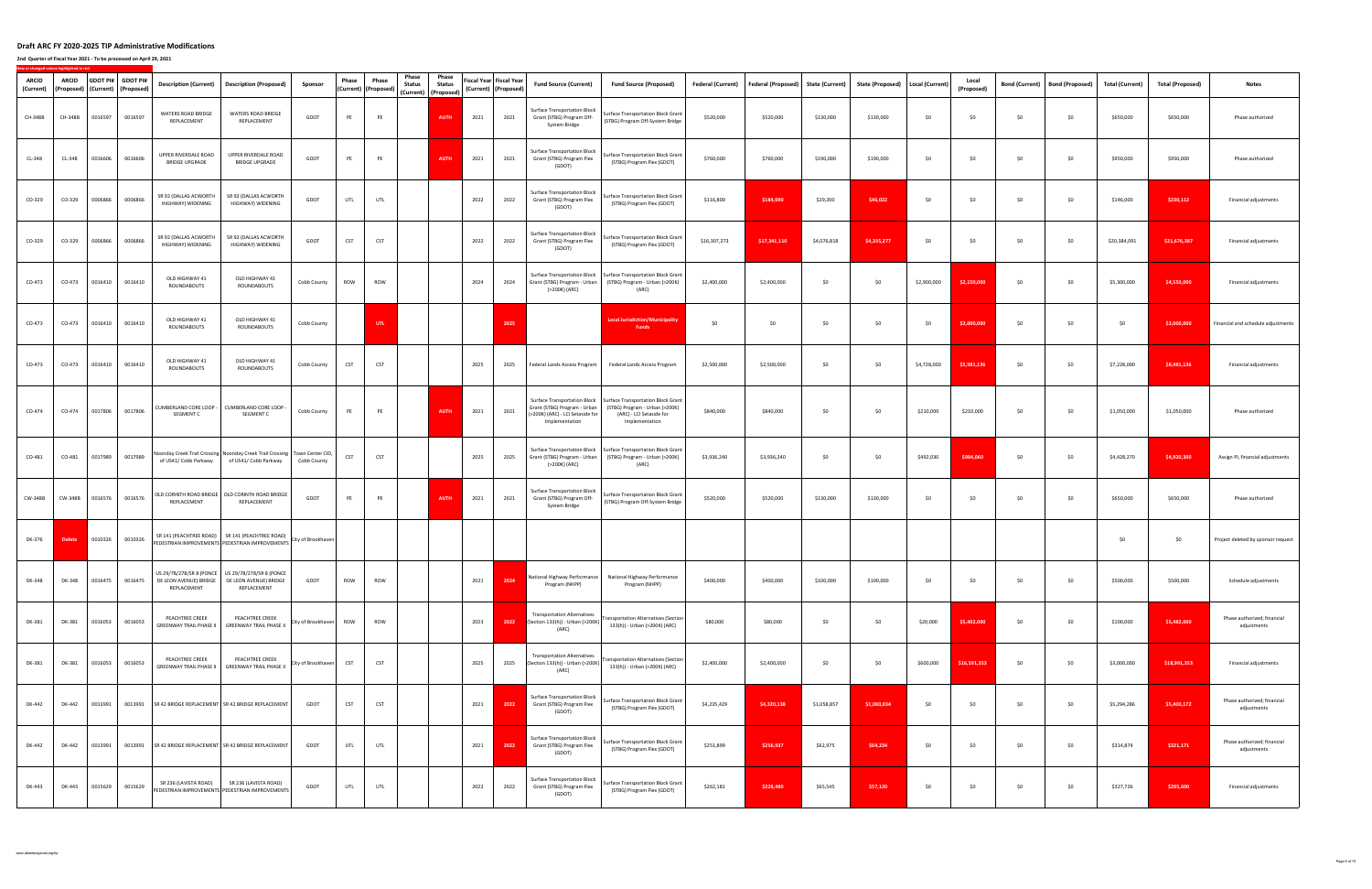**2nd Quarter of Fiscal Year 2021 ‐ To be processed on April 29, 2021**

| ARCID<br>(Current) | ARCID         |         | GDOT PI# GDOT PI#<br>(Proposed)   (Current)   (Proposed) | <b>Description (Current)</b>                      | <b>Description (Proposed)</b>                                                                                         | Sponsor            | Phase      | Phase<br>(Current) (Proposed) | Phase<br><b>Status</b> | Phase<br><b>Status</b><br>(Current) (Proposed) |      | iscal Year Fiscal Year<br>(Current) (Proposed | <b>Fund Source (Current)</b>                                                                                              | <b>Fund Source (Proposed)</b>                                                                                      | <b>Federal (Current)</b> | <b>Federal (Proposed)</b> | <b>State (Current)</b> | <b>State (Proposed)</b> | Local (Current) | Local<br>(Proposed) | <b>Bond (Current)</b> | <b>Bond (Proposed)</b> | <b>Total (Current)</b> | <b>Total (Proposed)</b> | <b>Notes</b>                               |
|--------------------|---------------|---------|----------------------------------------------------------|---------------------------------------------------|-----------------------------------------------------------------------------------------------------------------------|--------------------|------------|-------------------------------|------------------------|------------------------------------------------|------|-----------------------------------------------|---------------------------------------------------------------------------------------------------------------------------|--------------------------------------------------------------------------------------------------------------------|--------------------------|---------------------------|------------------------|-------------------------|-----------------|---------------------|-----------------------|------------------------|------------------------|-------------------------|--------------------------------------------|
| CH-348B            | CH-348B       | 0016597 | 0016597                                                  | WATERS ROAD BRIDGE<br>REPLACEMENT                 | <b>WATERS ROAD BRIDGE</b><br>REPLACEMENT                                                                              | GDOT               | PE         | PE                            |                        | <b>AUTH</b>                                    | 2021 | 2021                                          | <b>Surface Transportation Block</b><br>Grant (STBG) Program Off-<br>System Bridge                                         | Surface Transportation Block Grant<br>(STBG) Program Off-System Bridge                                             | \$520,000                | \$520,000                 | \$130,000              | \$130,000               | \$0             | 50                  | \$0                   | \$0                    | \$650,000              | \$650,000               | Phase authorized                           |
| CL-348             | CL-348        | 0016606 | 0016606                                                  | UPPER RIVERDALE ROAD<br><b>BRIDGE UPGRADE</b>     | UPPER RIVERDALE ROAD<br><b>BRIDGE UPGRADE</b>                                                                         | GDOT               | PE         | PE                            |                        | <b>AUTH</b>                                    | 2021 | 2021                                          | <b>Surface Transportation Block</b><br>Grant (STBG) Program Flex<br>(GDOT)                                                | Surface Transportation Block Grant<br>(STBG) Program Flex (GDOT)                                                   | \$760,000                | \$760,000                 | \$190,000              | \$190,000               | \$0             | \$0                 | \$0                   | \$0                    | \$950,000              | \$950,000               | Phase authorized                           |
| CO-329             | CO-329        | 0006866 | 0006866                                                  | SR 92 (DALLAS ACWORTH<br>HIGHWAY) WIDENING        | SR 92 (DALLAS ACWORTH<br>HIGHWAY) WIDENING                                                                            | GDOT               | UTL        | UTL                           |                        |                                                | 2022 | 2022                                          | Surface Transportation Block<br>Grant (STBG) Program Flex<br>(GDOT)                                                       | Surface Transportation Block Grant<br>(STBG) Program Flex (GDOT)                                                   | \$116,800                | \$184,090                 | \$29,200               | \$46,022                | \$0             | \$0                 | \$0                   | \$0                    | \$146,000              | \$230,112               | Financial adjustments                      |
| CO-329             | CO-329        | 0006866 | 0006866                                                  | SR 92 (DALLAS ACWORTH<br>HIGHWAY) WIDENING        | SR 92 (DALLAS ACWORTH<br>HIGHWAY) WIDENING                                                                            | GDOT               | <b>CST</b> | CST                           |                        |                                                | 2022 | 2022                                          | <b>Surface Transportation Block</b><br>Grant (STBG) Program Flex<br>(GDOT)                                                | Surface Transportation Block Grant<br>(STBG) Program Flex (GDOT)                                                   | \$16,307,273             | \$17,341,110              | \$4,076,818            | \$4,335,277             | \$0             | \$0                 | \$0                   | \$0                    | \$20,384,091           | \$21,676,387            | Financial adjustments                      |
| CO-473             | CO-473        | 0016410 | 0016410                                                  | OLD HIGHWAY 41<br>ROUNDABOUTS                     | OLD HIGHWAY 41<br>ROUNDABOUTS                                                                                         | Cobb County        | ROW        | ROW                           |                        |                                                | 2024 | 2024                                          | Grant (STBG) Program - Urban<br>(>200K) (ARC)                                                                             | Surface Transportation Block   Surface Transportation Block Grant<br>(STBG) Program - Urban (>200K)<br>(ARC)       | \$2,400,000              | \$2,400,000               | \$0                    | \$0                     | \$2,900,000     | \$2,150,000         | \$0                   | \$0                    | \$5,300,000            | \$4,550,000             | Financial adjustments                      |
| CO-473             | CO-473        | 0016410 | 0016410                                                  | OLD HIGHWAY 41<br>ROUNDABOUTS                     | OLD HIGHWAY 41<br>ROUNDABOUTS                                                                                         | Cobb County        |            | UTL                           |                        |                                                |      | 2025                                          |                                                                                                                           | <b>Local Jurisdiction/Municipality</b><br><b>Funds</b>                                                             | \$0                      | \$0                       | \$0                    | \$0                     | \$0             | \$2,000,000         | \$0                   | \$0                    | \$0                    | \$2,000,000             | Financial and schedule adjustments         |
| CO-473             | CO-473        | 0016410 | 0016410                                                  | OLD HIGHWAY 41<br>ROUNDABOUTS                     | OLD HIGHWAY 41<br>ROUNDABOUTS                                                                                         | Cobb County        | CST        | CST                           |                        |                                                | 2025 | 2025                                          | Federal Lands Access Program                                                                                              | Federal Lands Access Program                                                                                       | \$2,500,000              | \$2,500,000               | \$0                    | \$0                     | \$4,728,000     | \$5,981,136         | \$0                   | \$0                    | \$7,228,000            | \$8,481,136             | Financial adjustments                      |
| CO-474             | CO-474        | 0017806 | 0017806                                                  | UMBERLAND CORE LOOP -<br>SEGMENT C                | CUMBERLAND CORE LOOP -<br>SEGMENT C                                                                                   | Cobb County        | PE         | PE                            |                        | <b>AUTH</b>                                    | 2021 | 2021                                          | <b>Surface Transportation Block</b><br>Grant (STBG) Program - Urban<br>(>200K) (ARC) - LCI Setaside for<br>Implementation | Surface Transportation Block Grant<br>(STBG) Program - Urban (>200K)<br>(ARC) - LCI Setaside for<br>Implementation | \$840,000                | \$840,000                 | \$0                    | \$0                     | \$210,000       | \$210,000           | \$0                   | \$0                    | \$1,050,000            | \$1,050,000             | Phase authorized                           |
| CO-481             | CO-481        | 0017989 | 0017989                                                  | of US41/ Cobb Parkway                             | loonday Creek Trail Crossing Noonday Creek Trail Crossing   Town Center CID,<br>of US41/ Cobb Parkway                 | Cobb County        | CST        | CST                           |                        |                                                | 2025 | 2025                                          | Grant (STBG) Program - Urban<br>(>200K) (ARC)                                                                             | Surface Transportation Block   Surface Transportation Block Grant<br>(STBG) Program - Urban (>200K)<br>(ARC)       | \$3,936,240              | \$3,936,240               | \$0                    | \$0                     | \$492,030       | \$984,060           | \$0                   | \$0                    | \$4,428,270            | \$4,920,300             | Assign PI, financial adjustments           |
| CW-348B            | CW-348B       | 0016576 | 0016576                                                  | REPLACEMENT                                       | OLD CORINTH ROAD BRIDGE   OLD CORINTH ROAD BRIDGE<br>REPLACEMENT                                                      | GDOT               | PE         | PE                            |                        | <b>AUTH</b>                                    | 2021 | 2021                                          | <b>Surface Transportation Block</b><br>Grant (STBG) Program Off-<br>System Bridge                                         | <b>Surface Transportation Block Grant</b><br>(STBG) Program Off-System Bridge                                      | \$520,000                | \$520,000                 | \$130,000              | \$130,000               | \$0             | \$0                 | \$0                   | \$0                    | \$650,000              | \$650,000               | Phase authorized                           |
| DK-376             | <b>Delete</b> | 0010326 | 0010326                                                  |                                                   | SR 141 (PEACHTREE ROAD) SR 141 (PEACHTREE ROAD)<br>PEDESTRIAN IMPROVEMENTS PEDESTRIAN IMPROVEMENTS City of Brookhaven |                    |            |                               |                        |                                                |      |                                               |                                                                                                                           |                                                                                                                    |                          |                           |                        |                         |                 |                     |                       |                        | \$0                    | \$0                     | Project deleted by sponsor request         |
| DK-348             | DK-348        | 0016475 | 0016475                                                  | DE LEON AVENUE) BRIDGE<br>REPLACEMENT             | US 29/78/278/SR 8 (PONCE US 29/78/278/SR 8 (PONCE<br>DE LEON AVENUE) BRIDGE<br>REPLACEMENT                            | GDOT               | ROW        | ROW                           |                        |                                                | 2021 | 2024                                          | National Highway Performance<br>Program (NHPP)                                                                            | National Highway Performance<br>Program (NHPP)                                                                     | \$400,000                | \$400,000                 | \$100,000              | \$100,000               | \$0             | \$0                 | \$0                   | \$0                    | \$500,000              | \$500,000               | Schedule adjustments                       |
| DK-381             | DK-381        | 0016053 | 0016053                                                  | PEACHTREE CREEK<br><b>GREENWAY TRAIL PHASE II</b> | PEACHTREE CREEK<br><b>GREENWAY TRAIL PHASE II</b>                                                                     | City of Brookhaven | ROW        | ROW                           |                        |                                                | 2023 | 2022                                          | <b>Transportation Alternatives</b><br>(Section 133(h)) - Urban (>200K)<br>(ARC)                                           | ansportation Alternatives (Section<br>133(h)) - Urban (>200K) (ARC)                                                | \$80,000                 | \$80,000                  | \$0                    | \$0                     | \$20,000        | \$5,402,000         | \$0                   | \$0                    | \$100,000              | \$5,482,000             | Phase authorized; financial<br>adjustments |
| DK-381             | DK-381        | 0016053 | 0016053                                                  | PEACHTREE CREEK<br><b>GREENWAY TRAIL PHASE II</b> | PEACHTREE CREEK<br><b>GREENWAY TRAIL PHASE II</b>                                                                     | City of Brookhaven | <b>CST</b> | <b>CST</b>                    |                        |                                                | 2025 | 2025                                          | <b>Transportation Alternatives</b><br>(Section 133(h)) - Urban (>200K)<br>(ARC)                                           | ransportation Alternatives (Section<br>133(h)) - Urban (>200K) (ARC)                                               | \$2,400,000              | \$2,400,000               | \$0                    | \$0                     | \$600,000       | \$16,591,353        | \$0                   | \$0                    | \$3,000,000            | \$18,991,353            | Financial adjustments                      |
| DK-442             | DK-442        | 0013991 | 0013991                                                  |                                                   | SR 42 BRIDGE REPLACEMENT SR 42 BRIDGE REPLACEMENT                                                                     | GDOT               | <b>CST</b> | CST                           |                        |                                                | 2021 | 2022                                          | Surface Transportation Block<br>Grant (STBG) Program Flex<br>(GDOT)                                                       | Surface Transportation Block Grant<br>(STBG) Program Flex (GDOT)                                                   | \$4,235,429              | \$4,320,138               | \$1,058,857            | \$1,080,034             | \$0             | \$0                 | \$0                   | \$0                    | \$5,294,286            | \$5,400,172             | Phase authorized; financial<br>adjustments |
| DK-442             | DK-442        | 0013991 | 0013991                                                  |                                                   | SR 42 BRIDGE REPLACEMENT SR 42 BRIDGE REPLACEMENT                                                                     | GDOT               | UTL        | UTL                           |                        |                                                | 2021 | 2022                                          | <b>Surface Transportation Block</b><br>Grant (STBG) Program Flex<br>(GDOT)                                                | Surface Transportation Block Grant<br>(STBG) Program Flex (GDOT)                                                   | \$251,899                | \$256,937                 | \$62,975               | \$64,234                | \$0             | \$0                 | \$0                   | \$0                    | \$314,874              | \$321,171               | Phase authorized; financial<br>adjustments |
| DK-443             | DK-443        | 0015629 | 0015629                                                  |                                                   | SR 236 (LAVISTA ROAD) SR 236 (LAVISTA ROAD)<br>PEDESTRIAN IMPROVEMENTS PEDESTRIAN IMPROVEMENTS                        | GDOT               | UTL        | UTL                           |                        |                                                | 2022 | 2022                                          | Surface Transportation Block<br>Grant (STBG) Program Flex<br>(GDOT)                                                       | Surface Transportation Block Grant<br>(STBG) Program Flex (GDOT)                                                   | \$262,181                | \$228,480                 | \$65,545               | \$57,120                | \$0             | \$0                 | \$0                   | \$0                    | \$327,726              | \$285,600               | Financial adjustments                      |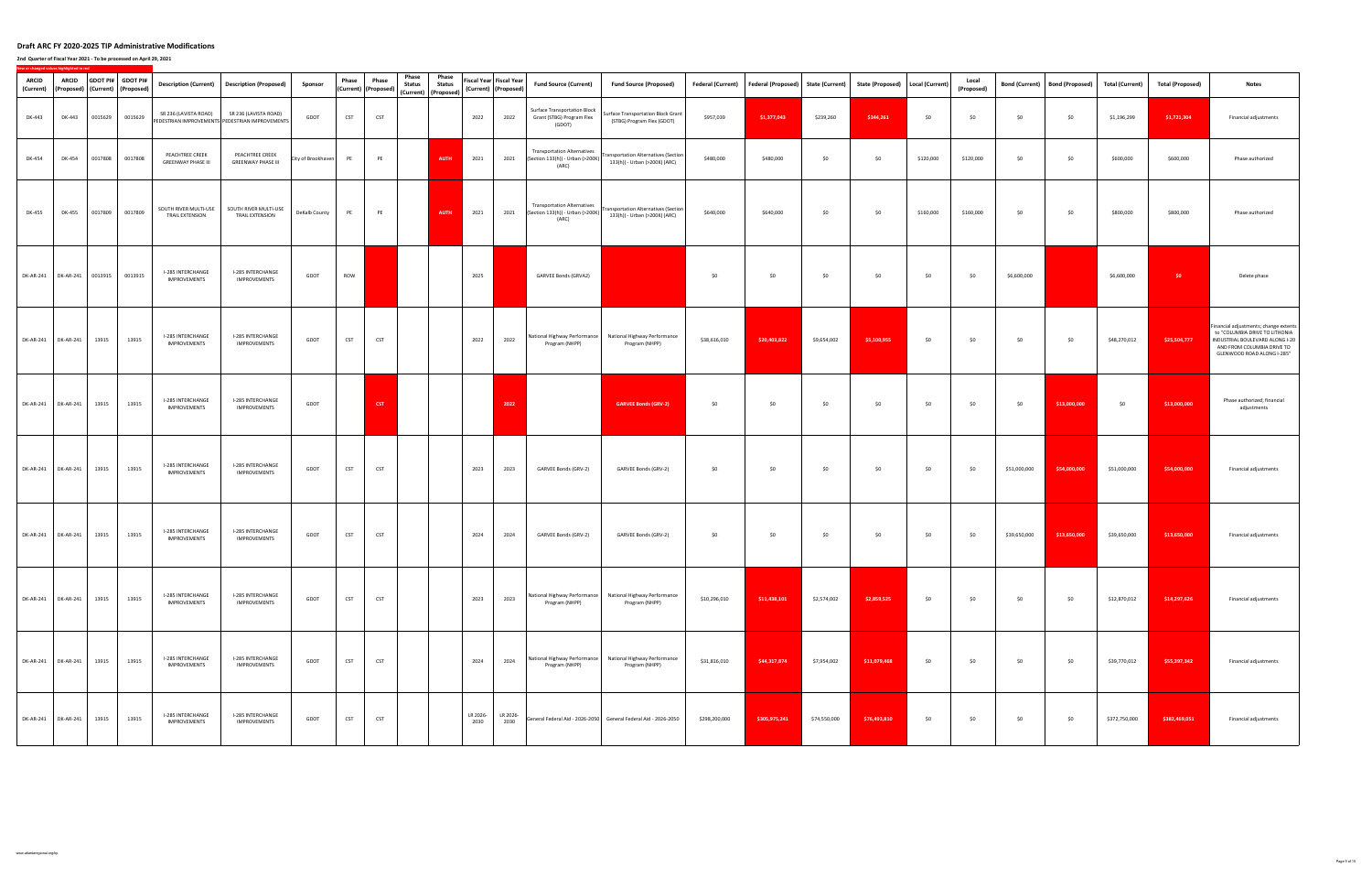| <b>ARCID</b><br>(Current) | <b>ARCID</b>                |         | GDOT PI# GDOT PI#<br>(Proposed) (Current) (Proposed) |                                              | Description (Current) Description (Proposed)                             | Sponsor            | Phase      | Phase<br>(Current) (Proposed) | Phase<br><b>Status</b> | Phase<br><b>Status</b><br>(Current) (Proposed) | (Current) (Proposed) | Fiscal Year Fiscal Year | <b>Fund Source (Current)</b>                                                    | <b>Fund Source (Proposed)</b>                                                | <b>Federal (Current)</b> | <b>Federal (Proposed)</b> | <b>State (Current)</b> | State (Proposed)   Local (Current) |           | Local<br>(Proposed) | <b>Bond (Current)</b> | <b>Bond (Proposed)</b> | <b>Total (Current)</b> | <b>Total (Proposed)</b> | <b>Notes</b>                                                                                                                                                           |
|---------------------------|-----------------------------|---------|------------------------------------------------------|----------------------------------------------|--------------------------------------------------------------------------|--------------------|------------|-------------------------------|------------------------|------------------------------------------------|----------------------|-------------------------|---------------------------------------------------------------------------------|------------------------------------------------------------------------------|--------------------------|---------------------------|------------------------|------------------------------------|-----------|---------------------|-----------------------|------------------------|------------------------|-------------------------|------------------------------------------------------------------------------------------------------------------------------------------------------------------------|
| DK-443                    | DK-443                      | 0015629 | 0015629                                              | SR 236 (LAVISTA ROAD)                        | SR 236 (LAVISTA ROAD)<br>PEDESTRIAN IMPROVEMENTS PEDESTRIAN IMPROVEMENTS | GDOT               | CST        | CST                           |                        |                                                | 2022                 | 2022                    | <b>Surface Transportation Block</b><br>Grant (STBG) Program Flex<br>(GDOT)      | <b>Surface Transportation Block Grant</b><br>(STBG) Program Flex (GDOT)      | \$957,039                | \$1,377,043               | \$239,260              | \$344,261                          | \$0       | \$0                 | \$0                   | \$0                    | \$1,196,299            | \$1,721,304             | Financial adjustments                                                                                                                                                  |
| DK-454                    | DK-454                      | 0017808 | 0017808                                              | PEACHTREE CREEK<br><b>GREENWAY PHASE III</b> | PEACHTREE CREEK<br><b>GREENWAY PHASE III</b>                             | City of Brookhaven | PE         | PE                            |                        | <b>AUTH</b>                                    | 2021                 | 2021                    | <b>Transportation Alternatives</b><br>(Section 133(h)) - Urban (>200K)<br>(ARC) | <b>Transportation Alternatives (Section</b><br>133(h)) - Urban (>200K) (ARC) | \$480,000                | \$480,000                 | \$0                    | \$0                                | \$120,000 | \$120,000           | \$0                   | \$0                    | \$600,000              | \$600,000               | Phase authorized                                                                                                                                                       |
| DK-455                    | <b>DK-455</b>               | 0017809 | 0017809                                              | SOUTH RIVER MULTI-USE<br>TRAIL EXTENSION     | SOUTH RIVER MULTI-USE<br><b>TRAIL EXTENSION</b>                          | DeKalb County      | PE         | PE                            |                        | <b>AUTH</b>                                    | 2021                 | 2021                    | <b>Transportation Alternatives</b><br>(Section 133(h)) - Urban (>200K)<br>(ARC) | <b>Transportation Alternatives (Section</b><br>133(h)) - Urban (>200K) (ARC) | \$640,000                | \$640,000                 | \$0                    | \$0                                | \$160,000 | \$160,000           | \$0                   | \$0                    | \$800,000              | \$800,000               | Phase authorized                                                                                                                                                       |
|                           | DK-AR-241 DK-AR-241 0013915 |         | 0013915                                              | I-285 INTERCHANGE<br>IMPROVEMENTS            | I-285 INTERCHANGE<br>IMPROVEMENTS                                        | GDOT               | ROW        |                               |                        |                                                | 2025                 |                         | GARVEE Bonds (GRVA2)                                                            |                                                                              | \$0                      | \$0                       | \$0                    | \$0                                | \$0       | \$0                 | \$6,600,000           |                        | \$6,600,000            | $50 -$                  | Delete phase                                                                                                                                                           |
|                           | DK-AR-241   DK-AR-241       | 13915   | 13915                                                | I-285 INTERCHANGE<br><b>IMPROVEMENTS</b>     | I-285 INTERCHANGE<br><b>IMPROVEMENTS</b>                                 | GDOT               | <b>CST</b> | <b>CST</b>                    |                        |                                                | 2022                 | 2022                    | Program (NHPP)                                                                  | National Highway Performance National Highway Performance<br>Program (NHPP)  | \$38,616,010             | \$20,403,822              | \$9,654,002            | \$5,100,955                        | \$0       | \$0                 | \$0                   | \$0                    | \$48,270,012           | \$25,504,777            | Financial adjustments; change extents<br>to "COLUMBIA DRIVE TO LITHONIA<br>INDUSTRIAL BOULEVARD ALONG I-20<br>AND FROM COLUMBIA DRIVE TO<br>GLENWOOD ROAD ALONG I-285" |
|                           | DK-AR-241 DK-AR-241         | 13915   | 13915                                                | I-285 INTERCHANGE<br><b>IMPROVEMENTS</b>     | I-285 INTERCHANGE<br>IMPROVEMENTS                                        | GDOT               |            | <b>CST</b>                    |                        |                                                |                      | 2022                    |                                                                                 | <b>GARVEE Bonds (GRV-2)</b>                                                  | \$0                      | \$0                       | \$0                    | \$0                                | \$0       | \$0                 | \$0                   | \$13,000,000           | \$0                    | \$13,000,000            | Phase authorized; financial<br>adjustments                                                                                                                             |
|                           | DK-AR-241 DK-AR-241         | 13915   | 13915                                                | I-285 INTERCHANGE<br>IMPROVEMENTS            | I-285 INTERCHANGE<br>IMPROVEMENTS                                        | GDOT               | <b>CST</b> | <b>CST</b>                    |                        |                                                | 2023                 | 2023                    | GARVEE Bonds (GRV-2)                                                            | GARVEE Bonds (GRV-2)                                                         | \$0                      | \$0                       | \$0                    | \$0                                | \$0       | \$0                 | \$51,000,000          | \$54,000,000           | \$51,000,000           | \$54,000,000            | Financial adjustments                                                                                                                                                  |
|                           | DK-AR-241 DK-AR-241         | 13915   | 13915                                                | I-285 INTERCHANGE<br>IMPROVEMENTS            | I-285 INTERCHANGE<br>IMPROVEMENTS                                        | GDOT               | CST        | <b>CST</b>                    |                        |                                                | 2024                 | 2024                    | GARVEE Bonds (GRV-2)                                                            | GARVEE Bonds (GRV-2)                                                         | \$0                      | \$0                       | \$0                    | \$0                                | \$0       | \$0                 | \$39,650,000          | \$13,650,000           | \$39,650,000           | \$13,650,000            | Financial adjustments                                                                                                                                                  |
|                           | DK-AR-241 DK-AR-241         | 13915   | 13915                                                | I-285 INTERCHANGE<br><b>IMPROVEMENTS</b>     | I-285 INTERCHANGE<br>IMPROVEMENTS                                        | GDOT               | <b>CST</b> | <b>CST</b>                    |                        |                                                | 2023                 | 2023                    | Program (NHPP)                                                                  | National Highway Performance National Highway Performance<br>Program (NHPP)  | \$10,296,010             | \$11,438,101              | \$2,574,002            | \$2,859,525                        | \$0       | \$0                 | \$0                   | \$0                    | \$12,870,012           | \$14,297,626            | Financial adjustments                                                                                                                                                  |
|                           | DK-AR-241 DK-AR-241         | 13915   | 13915                                                | I-285 INTERCHANGE<br><b>IMPROVEMENTS</b>     | I-285 INTERCHANGE<br>IMPROVEMENTS                                        | GDOT               | <b>CST</b> | <b>CST</b>                    |                        |                                                | 2024                 | 2024                    | Program (NHPP)                                                                  | National Highway Performance National Highway Performance<br>Program (NHPP)  | \$31,816,010             | \$44,317,874              | \$7,954,002            | \$11,079,468                       | \$0       | \$0                 | \$0                   | \$0                    | \$39,770,012           | \$55,397,342            | Financial adjustments                                                                                                                                                  |
|                           | DK-AR-241 DK-AR-241         | 13915   | 13915                                                | I-285 INTERCHANGE<br><b>IMPROVEMENTS</b>     | I-285 INTERCHANGE<br>IMPROVEMENTS                                        | GDOT               | CST        | <b>CST</b>                    |                        |                                                | LR 2026-<br>2030     | LR 2026-<br>2030        |                                                                                 | General Federal Aid - 2026-2050 General Federal Aid - 2026-2050              | \$298,200,000            | \$305,975,241             | \$74,550,000           | \$76,493,810                       | \$0       | \$0                 | \$0                   | \$0                    | \$372,750,000          | \$382,469,051           | Financial adjustments                                                                                                                                                  |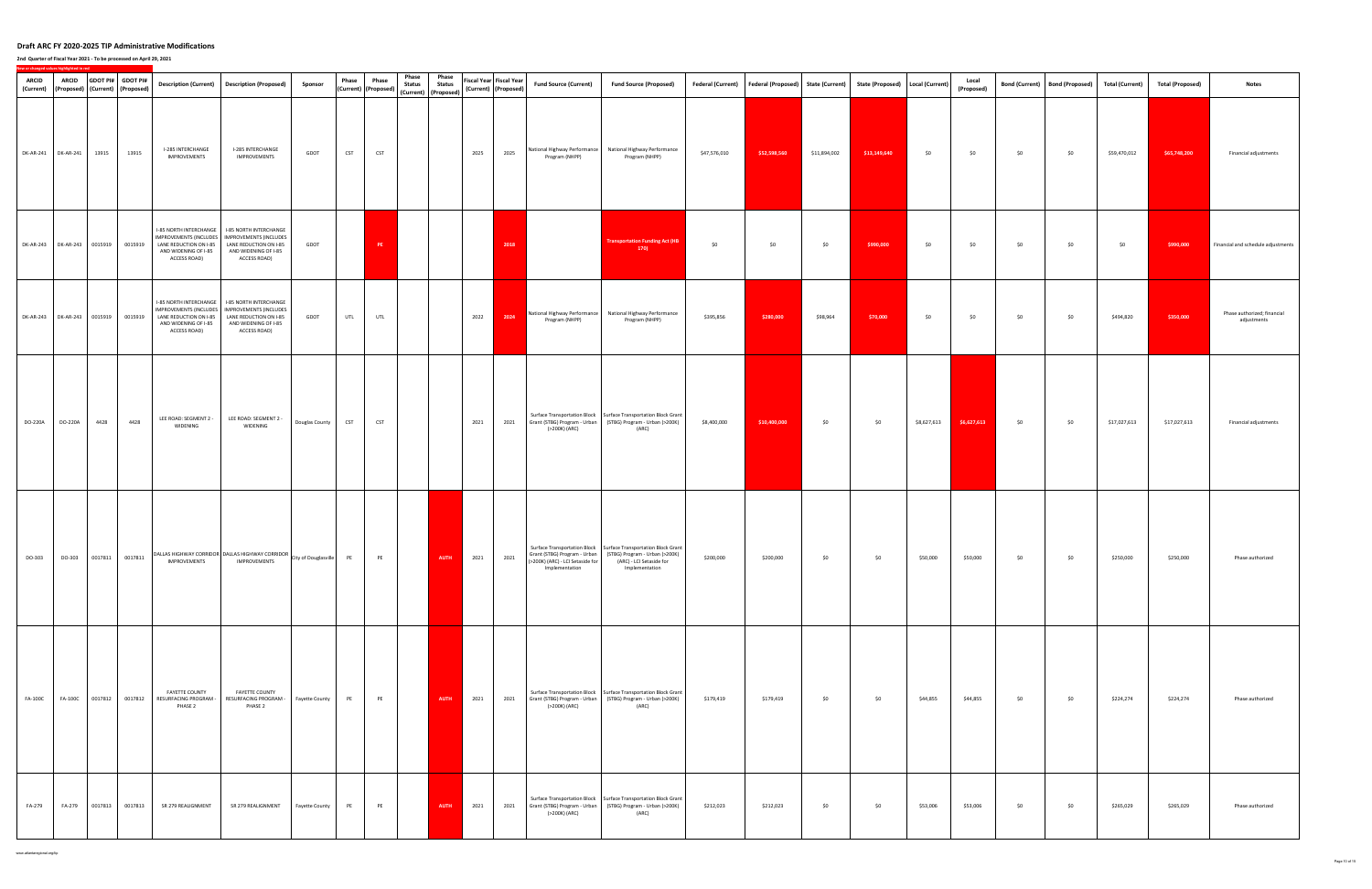### **2nd Quarter of Fiscal Year 2021 ‐ To be processed on April 29, 2021**

| <b>ARCID</b><br>(Current) | <b>ARCID</b>                        |         | GDOT PI# GDOT PI#<br>(Proposed) (Current) (Proposed) |                                                                                                                          | Description (Current) Description (Proposed)                                                                                                | Sponsor              | Phase      | Phase<br>(Current) (Proposed) | Phase<br><b>Status</b> | Phase<br><b>Status</b><br>(Current) (Proposed) |      | Fiscal Year Fiscal Year<br>(Current) (Proposed) | <b>Fund Source (Current)</b>                                                       | <b>Fund Source (Proposed)</b>                                                                                                                     |              | Federal (Current)   Federal (Proposed)   State (Current)   State (Proposed)   Local (Current) |              |              |             | Local<br>(Proposed) | <b>Bond (Current)</b> | Bond (Proposed) Total (Current) |              | <b>Total (Proposed)</b> | <b>Notes</b>                               |
|---------------------------|-------------------------------------|---------|------------------------------------------------------|--------------------------------------------------------------------------------------------------------------------------|---------------------------------------------------------------------------------------------------------------------------------------------|----------------------|------------|-------------------------------|------------------------|------------------------------------------------|------|-------------------------------------------------|------------------------------------------------------------------------------------|---------------------------------------------------------------------------------------------------------------------------------------------------|--------------|-----------------------------------------------------------------------------------------------|--------------|--------------|-------------|---------------------|-----------------------|---------------------------------|--------------|-------------------------|--------------------------------------------|
|                           | DK-AR-241 DK-AR-241                 | 13915   | 13915                                                | I-285 INTERCHANGE<br>IMPROVEMENTS                                                                                        | I-285 INTERCHANGE<br>IMPROVEMENTS                                                                                                           | GDOT                 | <b>CST</b> | CST                           |                        |                                                | 2025 | 2025                                            | Program (NHPP)                                                                     | National Highway Performance National Highway Performance<br>Program (NHPP)                                                                       | \$47,576,010 | \$52,598,560                                                                                  | \$11,894,002 | \$13,149,640 | \$0         | \$0                 | \$0                   | \$0                             | \$59,470,012 | \$65,748,200            | Financial adjustments                      |
|                           | DK-AR-243 DK-AR-243 0015919         |         | 0015919                                              | I-85 NORTH INTERCHANGE<br>LANE REDUCTION ON I-85<br>AND WIDENING OF I-85<br>ACCESS ROAD)                                 | I-85 NORTH INTERCHANGE<br>IMPROVEMENTS (INCLUDES   IMPROVEMENTS (INCLUDES<br>LANE REDUCTION ON I-85<br>AND WIDENING OF I-85<br>ACCESS ROAD) | GDOT                 |            | PE                            |                        |                                                |      | 2018                                            |                                                                                    | <b>Transportation Funding Act (HB</b><br>170                                                                                                      | \$0          | \$0                                                                                           | \$0          | \$990,000    | \$0         | \$0                 | \$0                   | \$0                             | \$0          | \$990,000               | Financial and schedule adjustments         |
|                           | DK-AR-243 DK-AR-243 0015919 0015919 |         |                                                      | I-85 NORTH INTERCHANGE<br><b>MPROVEMENTS (INCLUDES</b><br>LANE REDUCTION ON I-85<br>AND WIDENING OF I-85<br>ACCESS ROAD) | I-85 NORTH INTERCHANGE<br>IMPROVEMENTS (INCLUDES<br>LANE REDUCTION ON I-85<br>AND WIDENING OF I-85<br>ACCESS ROAD)                          | GDOT                 | <b>UTL</b> | UTL                           |                        |                                                | 2022 | 2024                                            | Program (NHPP)                                                                     | National Highway Performance National Highway Performance<br>Program (NHPP)                                                                       | \$395,856    | \$280,000                                                                                     | \$98,964     | \$70,000     | \$0         | \$0                 | \$0                   | \$0                             | \$494,820    | \$350,000               | Phase authorized; financial<br>adjustments |
| DO-220A                   | DO-220A                             | 4428    | 4428                                                 | LEE ROAD: SEGMENT 2 -<br>WIDENING                                                                                        | LEE ROAD: SEGMENT 2 -<br>WIDENING                                                                                                           | Douglas County       | <b>CST</b> | CST                           |                        |                                                | 2021 | 2021                                            | Grant (STBG) Program - Urban<br>(>200K) (ARC)                                      | Surface Transportation Block   Surface Transportation Block Grant<br>(STBG) Program - Urban (>200K)<br>(ARC)                                      | \$8,400,000  | \$10,400,000                                                                                  | \$0          | \$0          | \$8,627,613 | \$6,627,613         | \$0                   | \$0                             | \$17,027,613 | \$17,027,613            | Financial adjustments                      |
| DO-303                    | DO-303                              |         | 0017811 0017811                                      | <b>IMPROVEMENTS</b>                                                                                                      | DALLAS HIGHWAY CORRIDOR DALLAS HIGHWAY CORRIDOR<br><b>IMPROVEMENTS</b>                                                                      | City of Douglasville | PE         | PE                            |                        | AUTH                                           | 2021 | 2021                                            | Grant (STBG) Program - Urban<br>(>200K) (ARC) - LCI Setaside for<br>Implementation | Surface Transportation Block   Surface Transportation Block Grant<br>(STBG) Program - Urban (>200K)<br>(ARC) - LCI Setaside for<br>Implementation | \$200,000    | \$200,000                                                                                     | \$0          | \$0          | \$50,000    | \$50,000            | \$0                   | \$0                             | \$250,000    | \$250,000               | Phase authorized                           |
| <b>FA-100C</b>            | <b>FA-100C</b>                      | 0017812 |                                                      | FAYETTE COUNTY<br>0017812 RESURFACING PROGRAM -<br>PHASE 2                                                               | <b>FAYETTE COUNTY</b><br>RESURFACING PROGRAM -<br>PHASE 2                                                                                   | Fayette County       | PE         | PE                            |                        | <b>AUTH</b>                                    | 2021 | 2021                                            | (>200K) (ARC)                                                                      | Surface Transportation Block   Surface Transportation Block Grant<br>Grant (STBG) Program - Urban (STBG) Program - Urban (>200K)<br>(ARC)         | \$179,419    | \$179,419                                                                                     | \$0          | \$0          | \$44,855    | \$44,855            | \$0                   | \$0                             | \$224,274    | \$224,274               | Phase authorized                           |
| FA-279                    | FA-279                              | 0017813 | 0017813                                              | SR 279 REALIGNMENT                                                                                                       | SR 279 REALIGNMENT                                                                                                                          | Fayette County       | PE         | PE                            |                        | AUTH                                           | 2021 | 2021                                            | (>200K) (ARC)                                                                      | Surface Transportation Block   Surface Transportation Block Grant<br>Grant (STBG) Program - Urban (STBG) Program - Urban (>200K)<br>(ARC)         | \$212,023    | \$212,023                                                                                     | \$0          | \$0          | \$53,006    | \$53,006            | \$0                   | \$0                             | \$265,029    | \$265,029               | Phase authorized                           |

www.atlantaregional.org/tip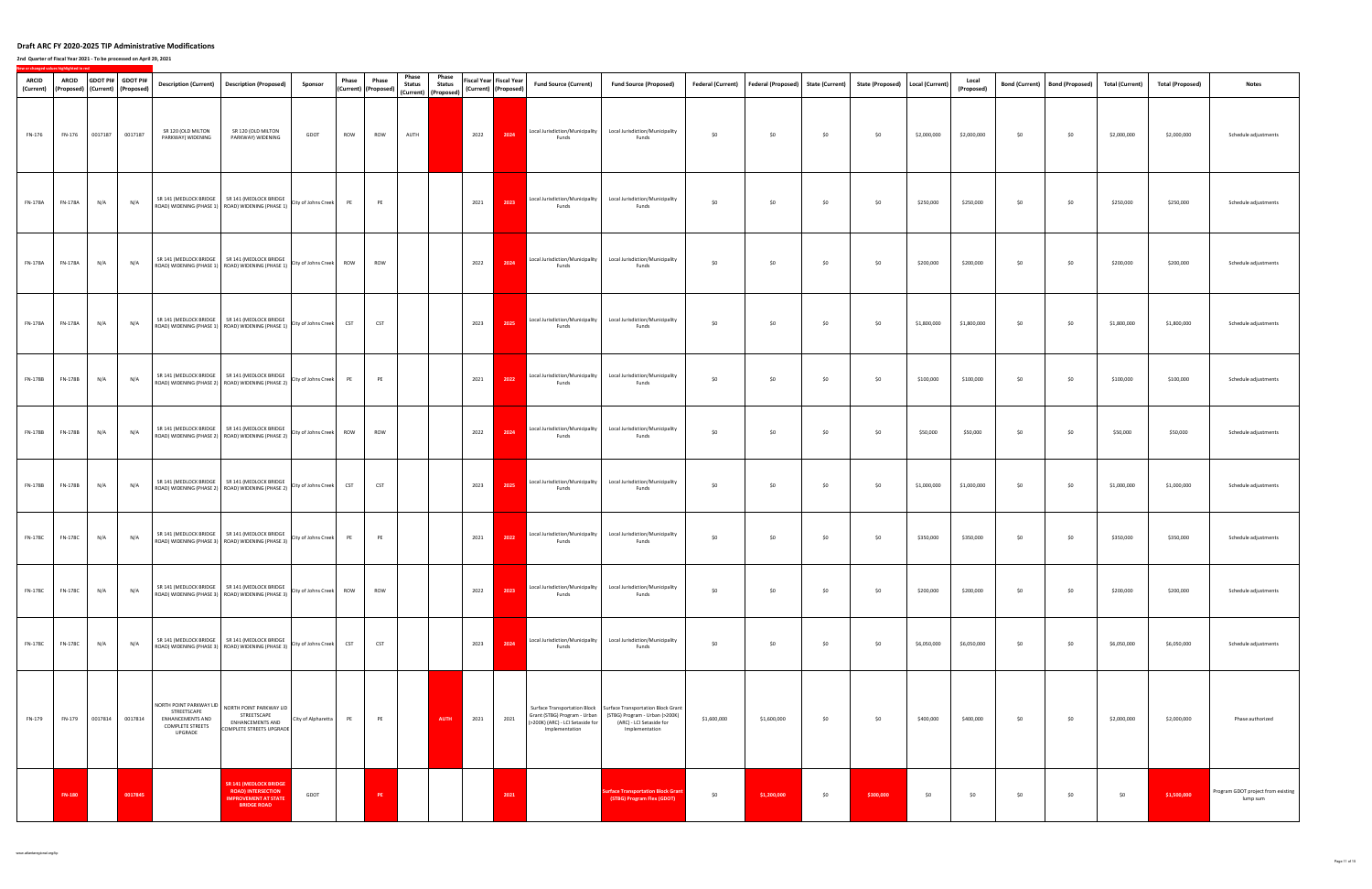| ARCID<br>(Current) | <b>ARCID</b>   |         | GDOT PI# GDOT PI#<br>(Proposed)   (Current)   (Proposed) | <b>Description (Current)</b>                                                                            | <b>Description (Proposed)</b>                                                                                                                              | Sponsor                 | Phase      | Phase<br>(Current)   (Proposed) | Phase<br><b>Status</b>       | Phase<br><b>Status</b> |      | Fiscal Year Fiscal Year<br>(Current) (Proposed) | <b>Fund Source (Current)</b>                                                       | <b>Fund Source (Proposed)</b>                                                                                                                     | <b>Federal (Current)</b> | Federal (Proposed) State (Current) |     | State (Proposed) Local (Current) |             | Local<br>(Proposed) | <b>Bond (Current)</b> | <b>Bond (Proposed)</b> | <b>Total (Current)</b> | <b>Total (Proposed)</b> | <b>Notes</b>                                   |
|--------------------|----------------|---------|----------------------------------------------------------|---------------------------------------------------------------------------------------------------------|------------------------------------------------------------------------------------------------------------------------------------------------------------|-------------------------|------------|---------------------------------|------------------------------|------------------------|------|-------------------------------------------------|------------------------------------------------------------------------------------|---------------------------------------------------------------------------------------------------------------------------------------------------|--------------------------|------------------------------------|-----|----------------------------------|-------------|---------------------|-----------------------|------------------------|------------------------|-------------------------|------------------------------------------------|
| FN-176             | FN-176         | 0017187 | 0017187                                                  | SR 120 (OLD MILTON<br>PARKWAY) WIDENING                                                                 | SR 120 (OLD MILTON<br>PARKWAY) WIDENING                                                                                                                    | GDOT                    | ROW        | ROW                             | (Current) (Proposed)<br>AUTH |                        | 2022 | 2024                                            | Local Jurisdiction/Municipality<br>Funds                                           | Local Jurisdiction/Municipality<br>Funds                                                                                                          | \$0                      | \$0                                | \$0 | \$0                              | \$2,000,000 | \$2,000,000         | \$0                   | \$0                    | \$2,000,000            | \$2,000,000             | Schedule adjustments                           |
| FN-178A            | FN-178A        | N/A     | N/A                                                      |                                                                                                         | SR 141 (MEDLOCK BRIDGE SR 141 (MEDLOCK BRIDGE<br>ROAD) WIDENING (PHASE 1) ROAD) WIDENING (PHASE 1)                                                         | City of Johns Creek     | PE         | PE                              |                              |                        | 2021 | 2023                                            | Local Jurisdiction/Municipality<br>Funds                                           | Local Jurisdiction/Municipality<br>Funds                                                                                                          | \$0                      | \$0                                | \$0 | \$0                              | \$250,000   | \$250,000           | \$0                   | \$0                    | \$250,000              | \$250,000               | Schedule adjustments                           |
| FN-178A            | FN-178A        | N/A     | N/A                                                      |                                                                                                         | SR 141 (MEDLOCK BRIDGE SR 141 (MEDLOCK BRIDGE<br>ROAD) WIDENING (PHASE 1) ROAD) WIDENING (PHASE 1)                                                         | City of Johns Creek ROW |            | ROW                             |                              |                        | 2022 | 2024                                            | Local Jurisdiction/Municipality<br>Funds                                           | Local Jurisdiction/Municipality<br>Funds                                                                                                          | \$0                      | \$0                                | \$0 | \$0                              | \$200,000   | \$200,000           | \$0                   | \$0                    | \$200,000              | \$200,000               | Schedule adjustments                           |
| FN-178A            | <b>FN-178A</b> | N/A     | N/A                                                      |                                                                                                         | SR 141 (MEDLOCK BRIDGE SR 141 (MEDLOCK BRIDGE<br>ROAD) WIDENING (PHASE 1) ROAD) WIDENING (PHASE 1)                                                         | City of Johns Creek     | <b>CST</b> | CST                             |                              |                        | 2023 | 2025                                            | Local Jurisdiction/Municipality<br>Funds                                           | Local Jurisdiction/Municipality<br>Funds                                                                                                          | \$0                      | \$0                                | \$0 | \$0                              | \$1,800,000 | \$1,800,000         | \$0                   | \$0                    | \$1,800,000            | \$1,800,000             | Schedule adjustments                           |
| FN-178B            | FN-178B        | N/A     | N/A                                                      |                                                                                                         | SR 141 (MEDLOCK BRIDGE SR 141 (MEDLOCK BRIDGE<br>ROAD) WIDENING (PHASE 2) ROAD) WIDENING (PHASE 2)                                                         | City of Johns Creek     | PE         | PE                              |                              |                        | 2021 | 2022                                            | Local Jurisdiction/Municipality<br>Funds                                           | Local Jurisdiction/Municipality<br>Funds                                                                                                          | \$0                      | \$0                                | \$0 | \$0                              | \$100,000   | \$100,000           | \$0                   | \$0                    | \$100,000              | \$100,000               | Schedule adjustments                           |
| FN-178B            | FN-178B        | N/A     | N/A                                                      |                                                                                                         | SR 141 (MEDLOCK BRIDGE SR 141 (MEDLOCK BRIDGE<br>$\vert$ ROAD) WIDENING (PHASE 2) $\vert$ ROAD) WIDENING (PHASE 2) $\vert$ City of Johns Creek $\vert$ ROW |                         |            | ROW                             |                              |                        | 2022 | 2024                                            | Local Jurisdiction/Municipality<br>Funds                                           | Local Jurisdiction/Municipality<br>Funds                                                                                                          | \$0                      | \$0                                | \$0 | \$0                              | \$50,000    | \$50,000            | \$0                   | \$0                    | \$50,000               | \$50,000                | Schedule adjustments                           |
| FN-178B            | FN-178B        | N/A     | N/A                                                      |                                                                                                         | SR 141 (MEDLOCK BRIDGE SR 141 (MEDLOCK BRIDGE<br>ROAD) WIDENING (PHASE 2) ROAD) WIDENING (PHASE 2)                                                         | City of Johns Creek     | <b>CST</b> | CST                             |                              |                        | 2023 | 2025                                            | Local Jurisdiction/Municipality<br>Funds                                           | Local Jurisdiction/Municipality<br>Funds                                                                                                          | \$0                      | \$0                                | \$0 | \$0                              | \$1,000,000 | \$1,000,000         | \$0                   | \$0                    | \$1,000,000            | \$1,000,000             | Schedule adjustments                           |
| <b>FN-178C</b>     | <b>FN-178C</b> | N/A     | N/A                                                      |                                                                                                         | SR 141 (MEDLOCK BRIDGE SR 141 (MEDLOCK BRIDGE<br>ROAD) WIDENING (PHASE 3) ROAD) WIDENING (PHASE 3)                                                         | City of Johns Creek     | PE         | PE                              |                              |                        | 2021 | 2022                                            | Local Jurisdiction/Municipality<br>Funds                                           | Local Jurisdiction/Municipality<br>Funds                                                                                                          | \$0                      | \$0                                | \$0 | \$0                              | \$350,000   | \$350,000           | \$0                   | \$0                    | \$350,000              | \$350,000               | Schedule adjustments                           |
| <b>FN-178C</b>     | <b>FN-178C</b> | N/A     | N/A                                                      |                                                                                                         | SR 141 (MEDLOCK BRIDGE SR 141 (MEDLOCK BRIDGE<br>ROAD) WIDENING (PHASE 3) ROAD) WIDENING (PHASE 3)                                                         | City of Johns Creek     | ROW        | ROW                             |                              |                        | 2022 | 2023                                            | Local Jurisdiction/Municipality<br>Funds                                           | Local Jurisdiction/Municipality<br>Funds                                                                                                          | \$0                      | \$0                                | \$0 | \$0                              | \$200,000   | \$200,000           | \$0                   | \$0                    | \$200,000              | \$200,000               | Schedule adjustments                           |
| <b>FN-178C</b>     | <b>FN-178C</b> | N/A     | N/A                                                      |                                                                                                         | SR 141 (MEDLOCK BRIDGE SR 141 (MEDLOCK BRIDGE<br>ROAD) WIDENING (PHASE 3) ROAD) WIDENING (PHASE 3)                                                         | City of Johns Creek     | <b>CST</b> | <b>CST</b>                      |                              |                        | 2023 | 2024                                            | Local Jurisdiction/Municipality<br>Funds                                           | Local Jurisdiction/Municipality<br>Funds                                                                                                          | \$0                      | \$0                                | \$0 | \$0                              | \$6,050,000 | \$6,050,000         | \$0                   | \$0                    | \$6,050,000            | \$6,050,000             | Schedule adjustments                           |
| FN-179             | FN-179         | 0017814 | 0017814                                                  | NORTH POINT PARKWAY LID<br>STREETSCAPE<br><b>ENHANCEMENTS AND</b><br><b>COMPLETE STREETS</b><br>UPGRADE | NORTH POINT PARKWAY LID<br>STREETSCAPE<br>ENHANCEMENTS AND<br>COMPLETE STREETS UPGRADE                                                                     | City of Alpharetta      | PE         | PE                              |                              | <b>AUTH</b>            | 2021 | 2021                                            | Grant (STBG) Program - Urban<br>(>200K) (ARC) - LCI Setaside for<br>Implementation | Surface Transportation Block   Surface Transportation Block Grant<br>(STBG) Program - Urban (>200K)<br>(ARC) - LCI Setaside for<br>Implementation | \$1,600,000              | \$1,600,000                        | \$0 | \$0                              | \$400,000   | \$400,000           | \$0                   | \$0                    | \$2,000,000            | \$2,000,000             | Phase authorized                               |
|                    | <b>FN-180</b>  |         | 0017845                                                  |                                                                                                         | <b>SR 141 (MEDLOCK BRIDGE</b><br><b>ROAD) INTERSECTION</b><br><b>IMPROVEMENT AT STATE</b><br><b>BRIDGE ROAD</b>                                            | GDOT                    |            | PE                              |                              |                        |      | 2021                                            |                                                                                    | urface Transportation Block Grant<br>(STBG) Program Flex (GDOT)                                                                                   | \$0                      | \$1,200,000                        | \$0 | \$300,000                        | \$0         | \$0                 | \$0                   | \$0                    | \$0                    | \$1,500,000             | Program GDOT project from existing<br>lump sum |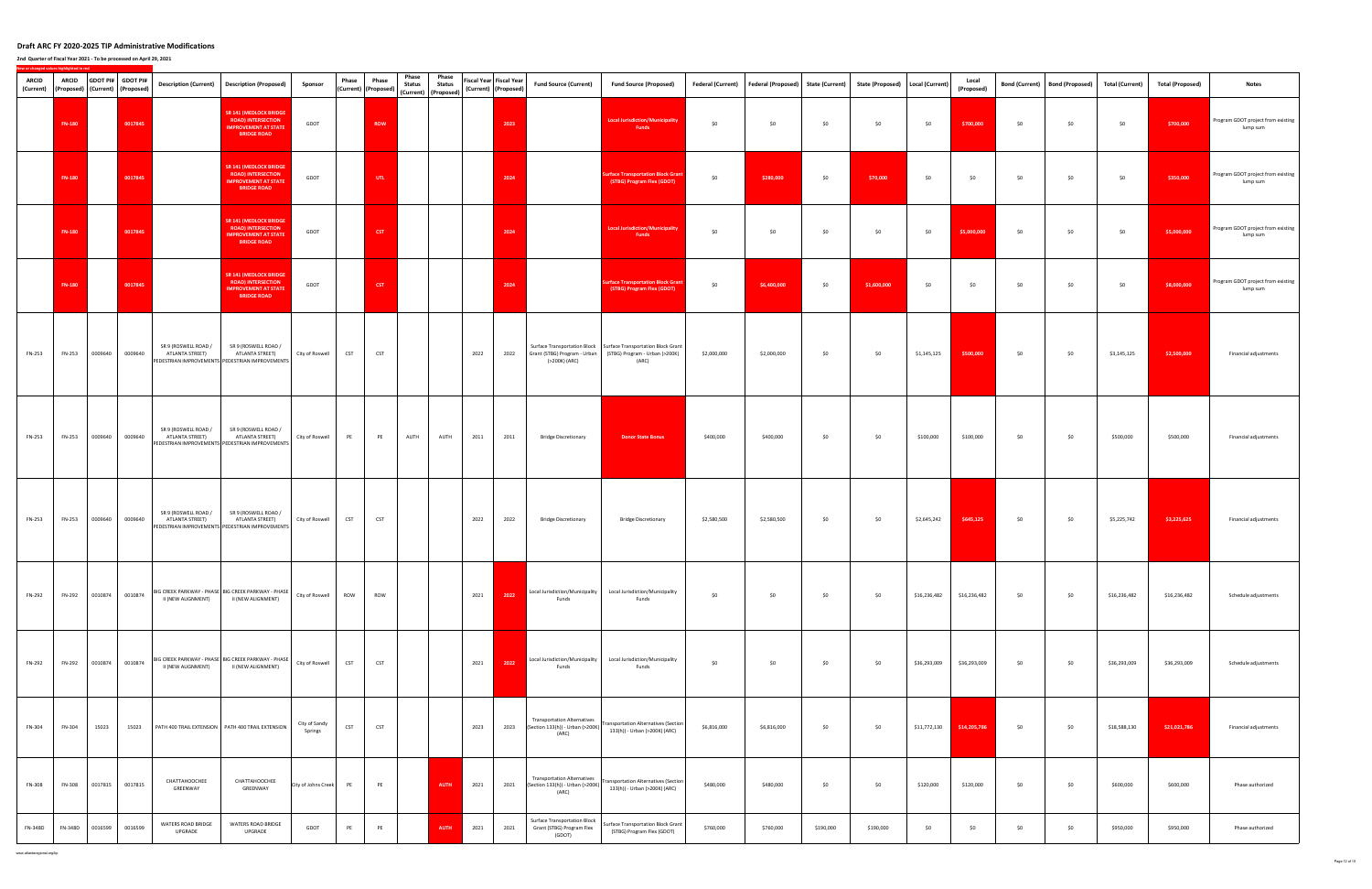**2nd Quarter of Fiscal Year 2021 ‐ To be processed on April 29, 2021**

| <b>ARCID</b> | <b>ARCID</b><br>(Current) (Proposed) (Current) (Proposed) | <b>GDOT PI#</b> | <b>GDOT PI#</b> | <b>Description (Current)</b>            | <b>Description (Proposed)</b>                                                                                   | Sponsor                  | Phase      | Phase<br>(Current) (Proposed) | Phase<br><b>Status</b> | Phase<br><b>Status</b><br>(Current) (Proposed) | Fiscal Year Fiscal Year<br>(Current) (Proposed) |      | <b>Fund Source (Current)</b>                                                    | <b>Fund Source (Proposed)</b>                                                                                                             |             | Federal (Current) Federal (Proposed) State (Current) State (Proposed) |           |             | Local (Current) | Local<br>(Proposed) |     | Bond (Current) Bond (Proposed) | <b>Total (Current)</b> | <b>Total (Proposed)</b> | <b>Notes</b>                                   |
|--------------|-----------------------------------------------------------|-----------------|-----------------|-----------------------------------------|-----------------------------------------------------------------------------------------------------------------|--------------------------|------------|-------------------------------|------------------------|------------------------------------------------|-------------------------------------------------|------|---------------------------------------------------------------------------------|-------------------------------------------------------------------------------------------------------------------------------------------|-------------|-----------------------------------------------------------------------|-----------|-------------|-----------------|---------------------|-----|--------------------------------|------------------------|-------------------------|------------------------------------------------|
|              | <b>FN-180</b>                                             |                 | 0017845         |                                         | <b>SR 141 (MEDLOCK BRIDGE</b><br><b>ROAD) INTERSECTION</b><br><b>IMPROVEMENT AT STATE</b><br><b>BRIDGE ROAD</b> | GDOT                     |            | <b>ROW</b>                    |                        |                                                |                                                 | 2023 |                                                                                 | <b>Local Jurisdiction/Municipality</b><br>Funds                                                                                           | \$0         | \$0                                                                   | \$0       | \$0         | \$0             | \$700,000           | \$0 | \$0                            | \$0                    | \$700,000               | Program GDOT project from existing<br>lump sum |
|              | <b>FN-180</b>                                             |                 | 0017845         |                                         | <b>SR 141 (MEDLOCK BRIDGE</b><br><b>ROAD) INTERSECTION</b><br><b>IMPROVEMENT AT STATE</b><br><b>BRIDGE ROAD</b> | GDOT                     |            | UTL .                         |                        |                                                |                                                 | 2024 |                                                                                 | <b>Surface Transportation Block Grant</b><br>(STBG) Program Flex (GDOT)                                                                   | \$0         | \$280,000                                                             | \$0       | \$70,000    | \$0             | \$0                 | \$0 | \$0                            | \$0                    | \$350,000               | Program GDOT project from existing<br>lump sum |
|              | <b>FN-180</b>                                             |                 | 0017845         |                                         | <b>SR 141 (MEDLOCK BRIDGE</b><br><b>ROAD) INTERSECTION</b><br><b>IMPROVEMENT AT STATE</b><br><b>BRIDGE ROAD</b> | GDOT                     |            | CST                           |                        |                                                |                                                 | 2024 |                                                                                 | <b>Local Jurisdiction/Municipality</b><br>Funds                                                                                           | \$0         | \$0                                                                   | \$0       | \$0         | \$0             | \$5,000,000         | \$0 | \$0                            | \$0                    | \$5,000,000             | Program GDOT project from existing<br>lump sum |
|              | <b>FN-180</b>                                             |                 | 0017845         |                                         | <b>SR 141 (MEDLOCK BRIDGE</b><br><b>ROAD) INTERSECTION</b><br><b>IMPROVEMENT AT STATE</b><br><b>BRIDGE ROAD</b> | GDOT                     |            | CST                           |                        |                                                |                                                 | 2024 |                                                                                 | <b>Surface Transportation Block Grant</b><br>(STBG) Program Flex (GDOT)                                                                   | \$0         | \$6,400,000                                                           | \$0       | \$1,600,000 | \$0             | \$0                 | \$0 | \$0                            | \$0                    | \$8,000,000             | Program GDOT project from existing<br>lump sum |
| FN-253       | FN-253                                                    | 0009640         | 0009640         | SR 9 (ROSWELL ROAD /<br>ATLANTA STREET) | SR 9 (ROSWELL ROAD /<br>ATLANTA STREET)<br>PEDESTRIAN IMPROVEMENTS PEDESTRIAN IMPROVEMENTS                      | City of Roswell          | <b>CST</b> | <b>CST</b>                    |                        |                                                | 2022                                            | 2022 | (>200K) (ARC)                                                                   | Surface Transportation Block   Surface Transportation Block Grant<br>Grant (STBG) Program - Urban (STBG) Program - Urban (>200K)<br>(ARC) | \$2,000,000 | \$2,000,000                                                           | \$0       | \$0         | \$1,145,125     | \$500,000           | \$0 | \$0                            | \$3,145,125            | \$2,500,000             | Financial adjustments                          |
| FN-253       | FN-253                                                    | 0009640         | 0009640         | SR 9 (ROSWELL ROAD /<br>ATLANTA STREET) | SR 9 (ROSWELL ROAD /<br>ATLANTA STREET)<br>PEDESTRIAN IMPROVEMENTS PEDESTRIAN IMPROVEMENTS                      | City of Roswell          | PE         | PE                            | AUTH                   | AUTH                                           | 2011                                            | 2011 | <b>Bridge Discretionary</b>                                                     | <b>Donor State Bonus</b>                                                                                                                  | \$400,000   | \$400,000                                                             | \$0       | \$0         | \$100,000       | \$100,000           | \$0 | \$0                            | \$500,000              | \$500,000               | Financial adjustments                          |
| FN-253       | FN-253                                                    | 0009640         | 0009640         | SR 9 (ROSWELL ROAD /<br>ATLANTA STREET) | SR 9 (ROSWELL ROAD /<br>ATLANTA STREET)<br>PEDESTRIAN IMPROVEMENTS PEDESTRIAN IMPROVEMENTS                      | City of Roswell          | <b>CST</b> | <b>CST</b>                    |                        |                                                | 2022                                            | 2022 | <b>Bridge Discretionary</b>                                                     | <b>Bridge Discretionary</b>                                                                                                               | \$2,580,500 | \$2,580,500                                                           | \$0       | \$0         | \$2,645,242     | \$645,125           | \$0 | \$0                            | \$5,225,742            | \$3,225,625             | Financial adjustments                          |
| FN-292       | FN-292                                                    | 0010874         | 0010874         | II (NEW ALIGNMENT)                      | BIG CREEK PARKWAY - PHASE   BIG CREEK PARKWAY - PHASE  <br>II (NEW ALIGNMENT)                                   | City of Roswell          | ROW        | <b>ROW</b>                    |                        |                                                | 2021                                            | 2022 | Funds                                                                           | Local Jurisdiction/Municipality Local Jurisdiction/Municipality<br>Funds                                                                  | \$0         | \$0                                                                   | \$0       | \$0         | \$16,236,482    | \$16,236,482        | \$0 | \$0                            | \$16,236,482           | \$16,236,482            | Schedule adjustments                           |
| FN-292       | FN-292                                                    | 0010874         | 0010874         | II (NEW ALIGNMENT)                      | BIG CREEK PARKWAY - PHASE   BIG CREEK PARKWAY - PHASE<br>II (NEW ALIGNMENT)                                     | City of Roswell          | <b>CST</b> | <b>CST</b>                    |                        |                                                | 2021                                            | 2022 | Local Jurisdiction/Municipality<br>Funds                                        | Local Jurisdiction/Municipality<br>Funds                                                                                                  | \$0         | \$0                                                                   | \$0       | \$0         | \$36,293,009    | \$36,293,009        | \$0 | \$0                            | \$36,293,009           | \$36,293,009            | Schedule adjustments                           |
| FN-304       | FN-304                                                    | 15023           | 15023           |                                         | PATH 400 TRAIL EXTENSION   PATH 400 TRAIL EXTENSION                                                             | City of Sandy<br>Springs | CST        | <b>CST</b>                    |                        |                                                | 2023                                            | 2023 | (ARC)                                                                           | Section 133(h)) - Urban (>200K) Transportation Alternatives (Section<br>133(h)) - Urban (>200K) (ARC)                                     | \$6,816,000 | \$6,816,000                                                           | \$0       | \$0         | \$11,772,130    | \$14,205,786        | \$0 | \$0                            | \$18,588,130           | \$21,021,786            | Financial adjustments                          |
| FN-308       | FN-308                                                    | 0017815         | 0017815         | CHATTAHOOCHEE<br>GREENWAY               | CHATTAHOOCHEE<br>GREENWAY                                                                                       | City of Johns Creek PE   |            | PE                            |                        | AUTH                                           | 2021                                            | 2021 | <b>Transportation Alternatives</b><br>(Section 133(h)) - Urban (>200K)<br>(ARC) | <b>Transportation Alternatives (Section</b><br>133(h)) - Urban (>200K) (ARC)                                                              | \$480,000   | \$480,000                                                             | \$0       | \$0         | \$120,000       | \$120,000           | \$0 | \$0                            | \$600,000              | \$600,000               | Phase authorized                               |
| FN-348D      | FN-348D                                                   | 0016599         | 0016599         | WATERS ROAD BRIDGE<br>UPGRADE           | WATERS ROAD BRIDGE<br>UPGRADE                                                                                   | GDOT                     | PE         | PE                            |                        | <b>AUTH</b>                                    | 2021                                            | 2021 | <b>Surface Transportation Block</b><br>Grant (STBG) Program Flex<br>(GDOT)      | <b>Surface Transportation Block Grant</b><br>(STBG) Program Flex (GDOT)                                                                   | \$760,000   | \$760,000                                                             | \$190,000 | \$190,000   | \$0             | \$0                 | \$0 | \$0                            | \$950,000              | \$950,000               | Phase authorized                               |

www.atlantaregional.org/tip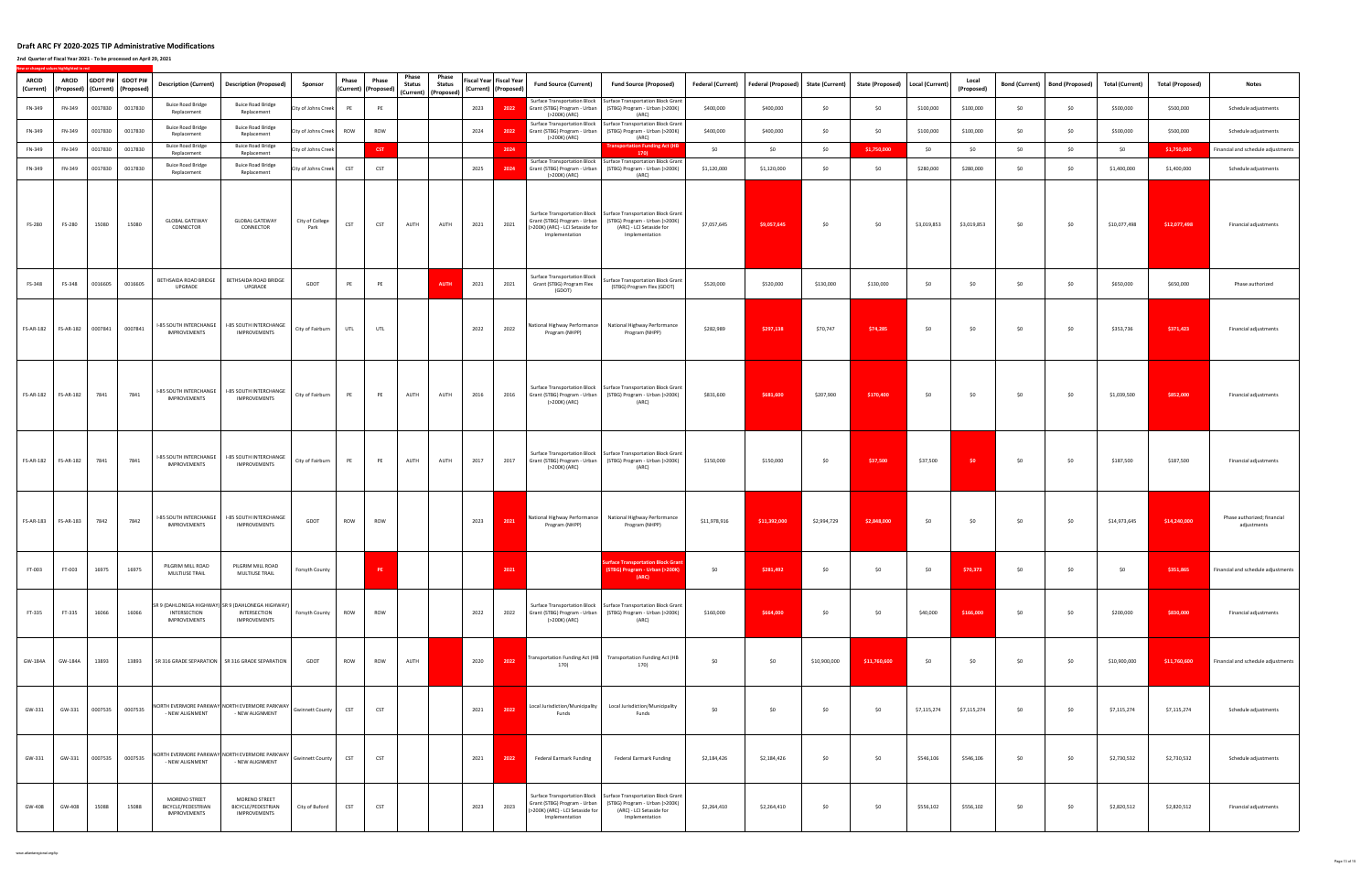| <b>ARCID</b><br>(Current) | ARCID     |         | GDOT PI# GDOT PI#<br>(Proposed)   (Current)   (Proposed) | <b>Description (Current)</b>                        | <b>Description (Proposed)</b>                                                            | Sponsor                 | Phase      | Phase<br>(Current) (Proposed) | Phase<br><b>Status</b> | Phase<br><b>Status</b> |      | iscal Year Fiscal Year<br>(Current) (Proposed) | <b>Fund Source (Current)</b>                                                         | <b>Fund Source (Proposed)</b>                                                                                                                     | <b>Federal (Current)</b> | Federal (Proposed) State (Current) |              | <b>State (Proposed)</b> | <b>Local (Current)</b> | Local<br>(Proposed) | <b>Bond (Current)</b> | <b>Bond (Proposed)</b> | <b>Total (Current)</b> | <b>Total (Proposed)</b> | <b>Notes</b>                               |
|---------------------------|-----------|---------|----------------------------------------------------------|-----------------------------------------------------|------------------------------------------------------------------------------------------|-------------------------|------------|-------------------------------|------------------------|------------------------|------|------------------------------------------------|--------------------------------------------------------------------------------------|---------------------------------------------------------------------------------------------------------------------------------------------------|--------------------------|------------------------------------|--------------|-------------------------|------------------------|---------------------|-----------------------|------------------------|------------------------|-------------------------|--------------------------------------------|
| FN-349                    | FN-349    | 0017830 | 0017830                                                  | <b>Buice Road Bridge</b><br>Replacement             | <b>Buice Road Bridge</b><br>Replacement                                                  | City of Johns Creek     | PE         | PE                            |                        | (Current) (Proposed)   | 2023 | 2022                                           | Grant (STBG) Program - Urban<br>(>200K) (ARC)                                        | Surface Transportation Block   Surface Transportation Block Grant<br>(STBG) Program - Urban (>200K)<br>(ARC)                                      | \$400,000                | \$400,000                          | \$0          | \$0                     | \$100,000              | \$100,000           | \$0                   | \$0                    | \$500,000              | \$500,000               | Schedule adjustments                       |
| FN-349                    | FN-349    | 0017830 | 0017830                                                  | <b>Buice Road Bridge</b><br>Replacement             | <b>Buice Road Bridge</b><br>Replacement                                                  | City of Johns Creek ROW |            | ROW                           |                        |                        | 2024 | 2022                                           | Surface Transportation Block<br>Grant (STBG) Program - Urban<br>(>200K) (ARC)        | Surface Transportation Block Grant<br>(STBG) Program - Urban (>200K)<br>(ARC)                                                                     | \$400,000                | \$400,000                          | \$0          | \$0                     | \$100,000              | \$100,000           | \$0                   | \$0                    | \$500,000              | \$500,000               | Schedule adjustments                       |
| FN-349                    | FN-349    | 0017830 | 0017830                                                  | <b>Buice Road Bridge</b><br>Replacement             | <b>Buice Road Bridge</b><br>Replacement                                                  | City of Johns Creek     |            | CST                           |                        |                        |      | 2024                                           |                                                                                      | <b>Transportation Funding Act (HB</b><br>170)                                                                                                     | \$0                      | \$0                                | \$0          | \$1,750,000             | \$0                    | \$0                 | \$0                   | \$0                    | \$0                    | \$1,750,000             | Financial and schedule adjustments         |
| FN-349                    | FN-349    | 0017830 | 0017830                                                  | <b>Buice Road Bridge</b><br>Replacement             | <b>Buice Road Bridge</b><br>Replacement                                                  | City of Johns Creek     | <b>CST</b> | <b>CST</b>                    |                        |                        | 2025 | 2024                                           | Grant (STBG) Program - Urban<br>(>200K) (ARC)                                        | Surface Transportation Block   Surface Transportation Block Grant<br>(STBG) Program - Urban (>200K)<br>(ARC)                                      | \$1,120,000              | \$1,120,000                        | \$0          | \$0                     | \$280,000              | \$280,000           | \$0                   | \$0                    | \$1,400,000            | \$1,400,000             | Schedule adjustments                       |
| FS-280                    | FS-280    | 15080   | 15080                                                    | <b>GLOBAL GATEWAY</b><br>CONNECTOR                  | <b>GLOBAL GATEWAY</b><br>CONNECTOR                                                       | City of College<br>Park | <b>CST</b> | CST                           | AUTH                   | AUTH                   | 2021 | 2021                                           | Grant (STBG) Program - Urban<br>(>200K) (ARC) - LCI Setaside for<br>Implementation   | Surface Transportation Block   Surface Transportation Block Grant<br>(STBG) Program - Urban (>200K)<br>(ARC) - LCI Setaside for<br>Implementation | \$7,057,645              | \$9,057,645                        | \$0          | \$0                     | \$3,019,853            | \$3,019,853         | \$0                   | \$0                    | \$10,077,498           | \$12,077,498            | Financial adjustments                      |
| FS-348                    | FS-348    | 0016605 | 0016605                                                  | BETHSAIDA ROAD BRIDGE<br>UPGRADE                    | BETHSAIDA ROAD BRIDGE<br>UPGRADE                                                         | GDOT                    | PE         | PE                            |                        | <b>AUTH</b>            | 2021 | 2021                                           | <b>Surface Transportation Block</b><br>Grant (STBG) Program Flex<br>(GDOT)           | Surface Transportation Block Grant<br>(STBG) Program Flex (GDOT)                                                                                  | \$520,000                | \$520,000                          | \$130,000    | \$130,000               | \$0                    | \$0                 | \$0                   | \$0                    | \$650,000              | \$650,000               | Phase authorized                           |
| <b>FS-AR-182</b>          | FS-AR-182 | 0007841 | 0007841                                                  | -85 SOUTH INTERCHANGE<br>IMPROVEMENTS               | I-85 SOUTH INTERCHANGE<br>IMPROVEMENTS                                                   | City of Fairburn        | UTL        | <b>UTL</b>                    |                        |                        | 2022 | 2022                                           | National Highway Performance<br>Program (NHPP)                                       | National Highway Performance<br>Program (NHPP)                                                                                                    | \$282,989                | \$297,138                          | \$70,747     | \$74,285                | \$0                    | \$0                 | \$0                   | \$0                    | \$353,736              | \$371,423               | Financial adjustments                      |
| FS-AR-182                 | FS-AR-182 | 7841    | 7841                                                     | I-85 SOUTH INTERCHANGE<br>IMPROVEMENTS              | <b>I-85 SOUTH INTERCHANGE</b><br><b>IMPROVEMENTS</b>                                     | City of Fairburn        | PE         | PE                            | AUTH                   | AUTH                   | 2016 | 2016                                           | Grant (STBG) Program - Urban<br>(>200K) (ARC)                                        | Surface Transportation Block   Surface Transportation Block Grant<br>(STBG) Program - Urban (>200K)<br>(ARC)                                      | \$831,600                | \$681,600                          | \$207,900    | \$170,400               | \$0                    | \$0                 | \$0                   | \$0                    | \$1,039,500            | \$852,000               | Financial adjustments                      |
| <b>FS-AR-182</b>          | FS-AR-182 | 7841    | 7841                                                     | I-85 SOUTH INTERCHANGE<br>IMPROVEMENTS              | I-85 SOUTH INTERCHANGE<br>IMPROVEMENTS                                                   | City of Fairburn        | PE         | PE                            | AUTH                   | AUTH                   | 2017 | 2017                                           | <b>Surface Transportation Block</b><br>Grant (STBG) Program - Urban<br>(>200K) (ARC) | Surface Transportation Block Grant<br>(STBG) Program - Urban (>200K)<br>(ARC)                                                                     | \$150,000                | \$150,000                          | \$0          | \$37,500                | \$37,500               | \$0                 | \$0                   | \$0                    | \$187,500              | \$187,500               | Financial adjustments                      |
| <b>FS-AR-183</b>          | FS-AR-183 | 7842    | 7842                                                     | I-85 SOUTH INTERCHANGE<br>IMPROVEMENTS              | I-85 SOUTH INTERCHANGE<br>IMPROVEMENTS                                                   | GDOT                    | ROW        | ROW                           |                        |                        | 2023 | 2021                                           | Program (NHPP)                                                                       | National Highway Performance National Highway Performance<br>Program (NHPP)                                                                       | \$11,978,916             | \$11,392,000                       | \$2,994,729  | \$2,848,000             | \$0                    | \$0                 | \$0                   | \$0                    | \$14,973,645           | \$14,240,000            | Phase authorized; financial<br>adjustments |
| FT-003                    |           |         | FT-003 16975 16975                                       | PILGRIM MILL ROAD<br>MULTIUSE TRAIL                 | PILGRIM MILL ROAD<br>MULTIUSE TRAIL                                                      | Forsyth County          |            | PE                            |                        |                        |      |                                                |                                                                                      | <b>Surface Transportation Block Grant</b><br>(STBG) Program - Urban (>200K)<br>(ARC)                                                              | \$0                      | \$281,492                          | \$0          | \$0                     | $\frac{1}{20}$         | \$70,373            | \$0                   | \$0                    | \$0                    | \$351,865               | Financial and schedule adjustments         |
| FT-335                    | FT-335    | 16066   | 16066                                                    | INTERSECTION<br><b>IMPROVEMENTS</b>                 | SR 9 (DAHLONEGA HIGHWAY) SR 9 (DAHLONEGA HIGHWAY)<br>INTERSECTION<br><b>IMPROVEMENTS</b> | Forsyth County          | ROW        | ROW                           |                        |                        | 2022 | 2022                                           | (>200K) (ARC)                                                                        | Surface Transportation Block   Surface Transportation Block Grant<br>Grant (STBG) Program - Urban   (STBG) Program - Urban (>200K)<br>(ARC)       | \$160,000                | \$664,000                          | \$0          | \$0                     | \$40,000               | \$166,000           | \$0                   | \$0                    | \$200,000              | \$830,000               | Financial adjustments                      |
| GW-184A                   | GW-184A   | 13893   | 13893                                                    |                                                     | SR 316 GRADE SEPARATION SR 316 GRADE SEPARATION                                          | GDOT                    | ROW        | ROW                           | AUTH                   |                        | 2020 | 2022                                           | Transportation Funding Act (HB<br>170)                                               | <b>Transportation Funding Act (HB</b><br>170)                                                                                                     | \$0                      | \$0                                | \$10,900,000 | \$11,760,600            | \$0                    | \$0                 | \$0                   | \$0                    | \$10,900,000           | \$11,760,600            | Financial and schedule adjustments         |
| GW-331                    | GW-331    | 0007535 | 0007535                                                  | - NEW ALIGNMENT                                     | NORTH EVERMORE PARKWAY NORTH EVERMORE PARKWAY<br>- NEW ALIGNMENT                         | <b>Gwinnett County</b>  | <b>CST</b> | <b>CST</b>                    |                        |                        | 2021 | 2022                                           | Local Jurisdiction/Municipality<br>Funds                                             | Local Jurisdiction/Municipality<br>Funds                                                                                                          | \$0                      | \$0                                | \$0          | \$0                     | \$7,115,274            | \$7,115,274         | \$0                   | \$0                    | \$7,115,274            | \$7,115,274             | Schedule adjustments                       |
| GW-331                    | GW-331    |         | 0007535 0007535                                          | - NEW ALIGNMENT                                     | NORTH EVERMORE PARKWAY NORTH EVERMORE PARKWAY<br>- NEW ALIGNMENT                         | <b>Gwinnett County</b>  | <b>CST</b> | <b>CST</b>                    |                        |                        | 2021 | 2022                                           | Federal Earmark Funding                                                              | Federal Earmark Funding                                                                                                                           | \$2,184,426              | \$2,184,426                        | \$0          | \$0                     | \$546,106              | \$546,106           | \$0                   | \$0                    | \$2,730,532            | \$2,730,532             | Schedule adjustments                       |
| GW-408                    | GW-408    | 15088   | 15088                                                    | MORENO STREET<br>BICYCLE/PEDESTRIAN<br>IMPROVEMENTS | MORENO STREET<br>BICYCLE/PEDESTRIAN<br>IMPROVEMENTS                                      | City of Buford          | <b>CST</b> | <b>CST</b>                    |                        |                        | 2023 | 2023                                           | Grant (STBG) Program - Urban<br>(>200K) (ARC) - LCI Setaside for<br>Implementation   | Surface Transportation Block Surface Transportation Block Grant<br>(STBG) Program - Urban (>200K)<br>(ARC) - LCI Setaside for<br>Implementation   | \$2,264,410              | \$2,264,410                        | \$0          | \$0                     | \$556,102              | \$556,102           | \$0                   | \$0                    | \$2,820,512            | \$2,820,512             | Financial adjustments                      |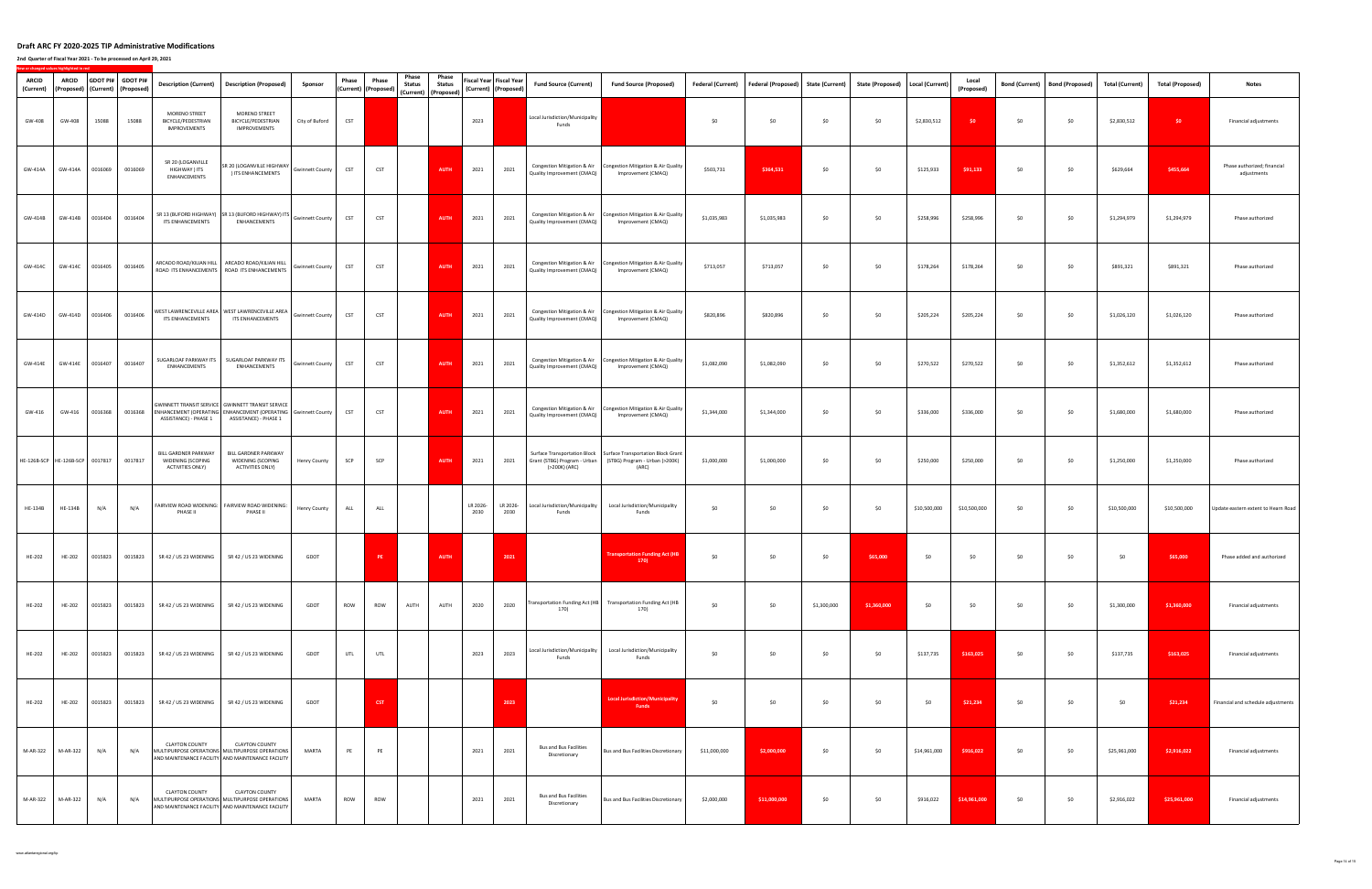| ARCID<br>(Current)              | <b>ARCID</b>   |         | GDOT PI# GDOT PI#<br>(Proposed)   (Current)   (Proposed) | Description (Current)                                         | <b>Description (Proposed)</b>                                                                                                                       | Sponsor                | Phase      | Phase<br>(Current) (Proposed) | Phase<br><b>Status</b> | Phase<br><b>Status</b> |                  | Fiscal Year Fiscal Year<br>(Current) (Proposed) | <b>Fund Source (Current)</b>                              | <b>Fund Source (Proposed)</b>                                                                                                             | <b>Federal (Current)</b> | <b>Federal (Proposed)</b> | <b>State (Current)</b> | State (Proposed)   Local (Current) |              | Local<br>(Proposed) | <b>Bond (Current)</b> | <b>Bond (Proposed)</b> | <b>Total (Current)</b> | <b>Total (Proposed)</b> | <b>Notes</b>                               |
|---------------------------------|----------------|---------|----------------------------------------------------------|---------------------------------------------------------------|-----------------------------------------------------------------------------------------------------------------------------------------------------|------------------------|------------|-------------------------------|------------------------|------------------------|------------------|-------------------------------------------------|-----------------------------------------------------------|-------------------------------------------------------------------------------------------------------------------------------------------|--------------------------|---------------------------|------------------------|------------------------------------|--------------|---------------------|-----------------------|------------------------|------------------------|-------------------------|--------------------------------------------|
| GW-408                          | GW-408         | 15088   | 15088                                                    | MORENO STREET<br>BICYCLE/PEDESTRIAN<br><b>IMPROVEMENTS</b>    | MORENO STREET<br>BICYCLE/PEDESTRIAN<br>IMPROVEMENTS                                                                                                 | City of Buford         | <b>CST</b> |                               |                        | (Current) (Proposed)   | 2023             |                                                 | Local Jurisdiction/Municipality<br>Funds                  |                                                                                                                                           | \$0                      | \$0                       | \$0                    | \$0                                | \$2,830,512  | \$0                 | \$0                   | \$0                    | \$2,830,512            | $50 -$                  | Financial adjustments                      |
| GW-414A                         | GW-414A        | 0016069 | 0016069                                                  | SR 20 (LOGANVILLE<br>HIGHWAY ) ITS<br>ENHANCEMENTS            | SR 20 (LOGANVILLE HIGHWAY<br>) ITS ENHANCEMENTS                                                                                                     | <b>Gwinnett County</b> | <b>CST</b> | <b>CST</b>                    |                        | <b>AUTH</b>            | 2021             | 2021                                            | Congestion Mitigation & Air<br>Quality Improvement (CMAQ) | Congestion Mitigation & Air Quality<br>Improvement (CMAQ)                                                                                 | \$503,731                | \$364,531                 | \$0                    | \$0                                | \$125,933    | \$91,133            | \$0                   | \$0                    | \$629,664              | \$455,664               | Phase authorized; financial<br>adjustments |
| GW-414B                         | GW-414B        | 0016404 | 0016404                                                  | ITS ENHANCEMENTS                                              | SR 13 (BUFORD HIGHWAY) SR 13 (BUFORD HIGHWAY) ITS Gwinnett County<br>ENHANCEMENTS                                                                   |                        | <b>CST</b> | CST                           |                        | <b>AUTH</b>            | 2021             | 2021                                            | Congestion Mitigation & Air<br>Quality Improvement (CMAQ) | Congestion Mitigation & Air Quality<br>Improvement (CMAQ)                                                                                 | \$1,035,983              | \$1,035,983               | \$0                    | \$0                                | \$258,996    | \$258,996           | \$0                   | \$0                    | \$1,294,979            | \$1,294,979             | Phase authorized                           |
| GW-414C                         |                |         | GW-414C 0016405 0016405                                  |                                                               | ARCADO ROAD/KILIAN HILL   ARCADO ROAD/KILIAN HILL<br>ROAD ITS ENHANCEMENTS ROAD ITS ENHANCEMENTS                                                    | Gwinnett County        | <b>CST</b> | <b>CST</b>                    |                        | <b>AUTH</b>            | 2021             | 2021                                            | Quality Improvement (CMAQ)                                | Congestion Mitigation & Air Congestion Mitigation & Air Quality<br>Improvement (CMAQ)                                                     | \$713,057                | \$713,057                 | \$0                    | \$0                                | \$178,264    | \$178,264           | \$0                   | \$0                    | \$891,321              | \$891,321               | Phase authorized                           |
| GW-414D                         | GW-414D        | 0016406 | 0016406                                                  | ITS ENHANCEMENTS                                              | WEST LAWRENCEVILLE AREA   WEST LAWRENCEVILLE AREA<br><b>ITS ENHANCEMENTS</b>                                                                        | <b>Gwinnett County</b> | <b>CST</b> | <b>CST</b>                    |                        | <b>AUTH</b>            | 2021             | 2021                                            | Congestion Mitigation & Air<br>Quality Improvement (CMAQ) | Congestion Mitigation & Air Quality<br>Improvement (CMAQ)                                                                                 | \$820,896                | \$820,896                 | \$0                    | \$0                                | \$205,224    | \$205,224           | \$0                   | \$0                    | \$1,026,120            | \$1,026,120             | Phase authorized                           |
| GW-414E                         | GW-414E        | 0016407 | 0016407                                                  | SUGARLOAF PARKWAY ITS<br>ENHANCEMENTS                         | SUGARLOAF PARKWAY ITS<br>ENHANCEMENTS                                                                                                               | <b>Gwinnett County</b> | <b>CST</b> | <b>CST</b>                    |                        | <b>AUTH</b>            | 2021             | 2021                                            | Congestion Mitigation & Air<br>Quality Improvement (CMAQ) | Congestion Mitigation & Air Quality<br>Improvement (CMAQ)                                                                                 | \$1,082,090              | \$1,082,090               | \$0                    | \$0                                | \$270,522    | \$270,522           | \$0                   | \$0                    | \$1,352,612            | \$1,352,612             | Phase authorized                           |
| GW-416                          | GW-416         |         | 0016368 0016368                                          | ASSISTANCE) - PHASE 1                                         | GWINNETT TRANSIT SERVICE   GWINNETT TRANSIT SERVICE<br>ENHANCEMENT (OPERATING   ENHANCEMENT (OPERATING   Gwinnett County  <br>ASSISTANCE) - PHASE 1 |                        | <b>CST</b> | <b>CST</b>                    |                        | <b>AUTH</b>            | 2021             | 2021                                            | Congestion Mitigation & Air<br>Quality Improvement (CMAQ) | Congestion Mitigation & Air Quality<br>Improvement (CMAQ)                                                                                 | \$1,344,000              | \$1,344,000               | \$0                    | \$0                                | \$336,000    | \$336,000           | \$0                   | \$0                    | \$1,680,000            | \$1,680,000             | Phase authorized                           |
| HE-126B-SCP HE-126B-SCP 0017817 |                |         | 0017817                                                  | BILL GARDNER PARKWAY<br>WIDENING (SCOPING<br>ACTIVITIES ONLY) | <b>BILL GARDNER PARKWAY</b><br>WIDENING (SCOPING<br>ACTIVITIES ONLY)                                                                                | <b>Henry County</b>    | SCP        | SCP                           |                        | <b>AUTH</b>            | 2021             | 2021                                            | (>200K) (ARC)                                             | Surface Transportation Block   Surface Transportation Block Grant<br>Grant (STBG) Program - Urban (STBG) Program - Urban (>200K)<br>(ARC) | \$1,000,000              | \$1,000,000               | \$0                    | \$0                                | \$250,000    | \$250,000           | \$0                   | \$0                    | \$1,250,000            | \$1,250,000             | Phase authorized                           |
| <b>HE-134B</b>                  | <b>HE-134B</b> | N/A     | N/A                                                      | PHASE II                                                      | FAIRVIEW ROAD WIDENING: FAIRVIEW ROAD WIDENING:<br>PHASE II                                                                                         | <b>Henry County</b>    | ALL        | ALL                           |                        |                        | LR 2026-<br>2030 | LR 2026-<br>2030                                | Local Jurisdiction/Municipality<br>Funds                  | Local Jurisdiction/Municipality<br>Funds                                                                                                  | \$0                      | \$0                       | \$0                    | \$0                                | \$10,500,000 | \$10,500,000        | \$0                   | \$0                    | \$10,500,000           | \$10,500,000            | Update eastern extent to Hearn Road        |
| <b>HE-202</b>                   | HE-202         | 0015823 | 0015823                                                  | SR 42 / US 23 WIDENING                                        | SR 42 / US 23 WIDENING                                                                                                                              | GDOT                   |            | <b>PE</b>                     |                        | <b>AUTH</b>            |                  | 2021                                            |                                                           | <b>Transportation Funding Act (HB</b><br>170)                                                                                             | \$0                      | \$0                       | \$0                    | \$65,000                           | \$0          | \$0                 | \$0                   | \$0                    | \$0                    | \$65,000                | Phase added and authorized                 |
| <b>HE-202</b>                   | HE-202         | 0015823 | 0015823                                                  | SR 42 / US 23 WIDENING                                        | SR 42 / US 23 WIDENING                                                                                                                              | GDOT                   | ROW        | ROW                           | AUTH                   | AUTH                   | 2020             | 2020                                            | 170)                                                      | Transportation Funding Act (HB Transportation Funding Act (HB<br>170)                                                                     | \$0                      | \$0                       | \$1,300,000            | \$1,360,000                        | \$0          | \$0                 | \$0                   | \$0                    | \$1,300,000            | \$1,360,000             | Financial adjustments                      |
| HE-202                          | HE-202         | 0015823 | 0015823                                                  | SR 42 / US 23 WIDENING                                        | SR 42 / US 23 WIDENING                                                                                                                              | GDOT                   | UTL        | UTL                           |                        |                        | 2023             | 2023                                            | Local Jurisdiction/Municipality<br>Funds                  | Local Jurisdiction/Municipality<br>Funds                                                                                                  | \$0                      | \$0                       | \$0                    | \$0                                | \$137,735    | \$163,025           | \$0                   | \$0                    | \$137,735              | \$163,025               | Financial adjustments                      |
| HE-202                          | HE-202         | 0015823 | 0015823                                                  | SR 42 / US 23 WIDENING                                        | SR 42 / US 23 WIDENING                                                                                                                              | GDOT                   |            | CST                           |                        |                        |                  | 2023                                            |                                                           | <b>Local Jurisdiction/Municipality</b><br>Funds                                                                                           | \$0                      | \$0                       | \$0                    | \$0                                | \$0          | \$21,234            | \$0                   | \$0                    | \$0                    | \$21,234                | Financial and schedule adjustments         |
| M-AR-322                        | M-AR-322       | N/A     | N/A                                                      | <b>CLAYTON COUNTY</b>                                         | <b>CLAYTON COUNTY</b><br>MULTIPURPOSE OPERATIONS MULTIPURPOSE OPERATIONS<br>AND MAINTENANCE FACILITY AND MAINTENANCE FACILITY                       | MARTA                  | PE         | PE                            |                        |                        | 2021             | 2021                                            | <b>Bus and Bus Facilities</b><br>Discretionary            | Bus and Bus Facilities Discretionary                                                                                                      | \$11,000,000             | \$2,000,000               | \$0                    | \$0                                | \$14,961,000 | \$916,022           | \$0                   | \$0                    | \$25,961,000           | \$2,916,022             | Financial adjustments                      |
| M-AR-322                        | M-AR-322       | N/A     | N/A                                                      | <b>CLAYTON COUNTY</b>                                         | <b>CLAYTON COUNTY</b><br>MULTIPURPOSE OPERATIONS MULTIPURPOSE OPERATIONS<br>AND MAINTENANCE FACILITY AND MAINTENANCE FACILITY                       | MARTA                  | ROW        | ROW                           |                        |                        | 2021             | 2021                                            | <b>Bus and Bus Facilities</b><br>Discretionary            | Bus and Bus Facilities Discretionary                                                                                                      | \$2,000,000              | \$11,000,000              | \$0                    | \$0                                | \$916,022    | \$14,961,000        | \$0                   | \$0                    | \$2,916,022            | \$25,961,000            | Financial adjustments                      |